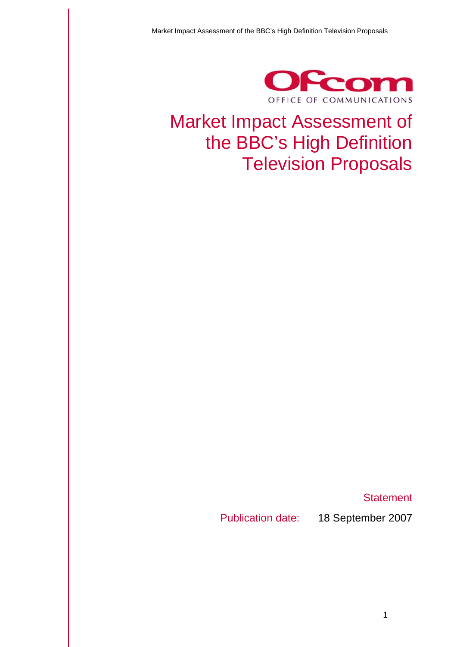

# Market Impact Assessment of the BBC's High Definition Television Proposals

**Statement** 

Publication date: 18 September 2007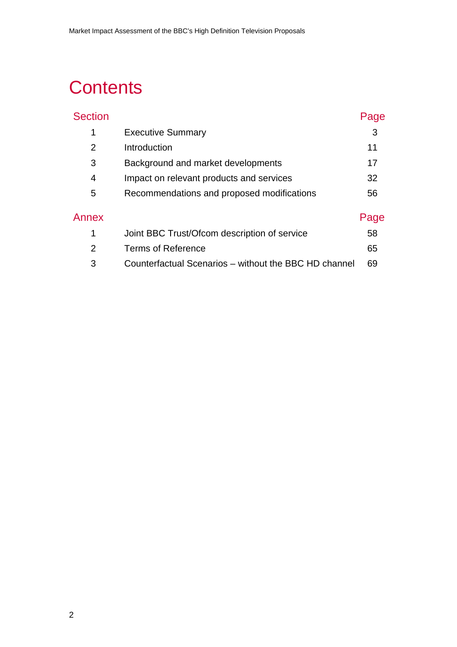# **Contents**

| <b>Section</b> |                                                       | Page |
|----------------|-------------------------------------------------------|------|
| 1              | <b>Executive Summary</b>                              | 3    |
| $\overline{2}$ | Introduction                                          | 11   |
| 3              | Background and market developments                    | 17   |
| 4              | Impact on relevant products and services              | 32   |
| 5              | Recommendations and proposed modifications            | 56   |
| Annex          |                                                       | Page |
| 1              | Joint BBC Trust/Ofcom description of service          | 58   |
| $\overline{2}$ | Terms of Reference                                    | 65   |
| 3              | Counterfactual Scenarios - without the BBC HD channel | 69   |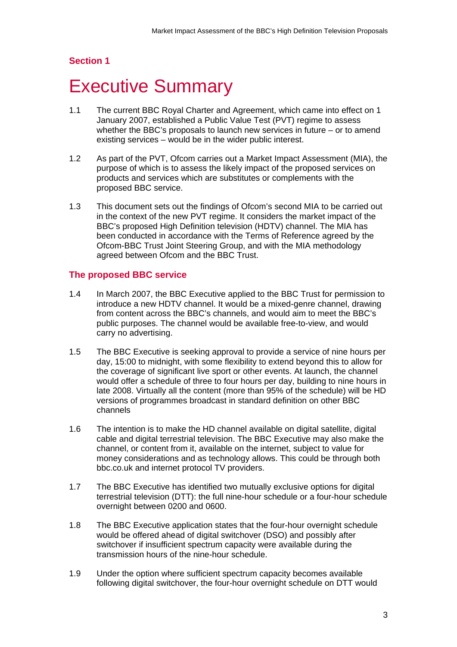## <span id="page-2-0"></span>**Section 1**

# **Executive Summary**

- 1.1 The current BBC Royal Charter and Agreement, which came into effect on 1 January 2007, established a Public Value Test (PVT) regime to assess whether the BBC's proposals to launch new services in future – or to amend existing services – would be in the wider public interest.
- 1.2 As part of the PVT, Ofcom carries out a Market Impact Assessment (MIA), the purpose of which is to assess the likely impact of the proposed services on products and services which are substitutes or complements with the proposed BBC service.
- 1.3 This document sets out the findings of Ofcom's second MIA to be carried out in the context of the new PVT regime. It considers the market impact of the BBC's proposed High Definition television (HDTV) channel. The MIA has been conducted in accordance with the Terms of Reference agreed by the Ofcom-BBC Trust Joint Steering Group, and with the MIA methodology agreed between Ofcom and the BBC Trust.

#### **The proposed BBC service**

- 1.4 In March 2007, the BBC Executive applied to the BBC Trust for permission to introduce a new HDTV channel. It would be a mixed-genre channel, drawing from content across the BBC's channels, and would aim to meet the BBC's public purposes. The channel would be available free-to-view, and would carry no advertising.
- 1.5 The BBC Executive is seeking approval to provide a service of nine hours per day, 15:00 to midnight, with some flexibility to extend beyond this to allow for the coverage of significant live sport or other events. At launch, the channel would offer a schedule of three to four hours per day, building to nine hours in late 2008. Virtually all the content (more than 95% of the schedule) will be HD versions of programmes broadcast in standard definition on other BBC channels
- 1.6 The intention is to make the HD channel available on digital satellite, digital cable and digital terrestrial television. The BBC Executive may also make the channel, or content from it, available on the internet, subject to value for money considerations and as technology allows. This could be through both bbc.co.uk and internet protocol TV providers.
- 1.7 The BBC Executive has identified two mutually exclusive options for digital terrestrial television (DTT): the full nine-hour schedule or a four-hour schedule overnight between 0200 and 0600.
- 1.8 The BBC Executive application states that the four-hour overnight schedule would be offered ahead of digital switchover (DSO) and possibly after switchover if insufficient spectrum capacity were available during the transmission hours of the nine-hour schedule.
- 1.9 Under the option where sufficient spectrum capacity becomes available following digital switchover, the four-hour overnight schedule on DTT would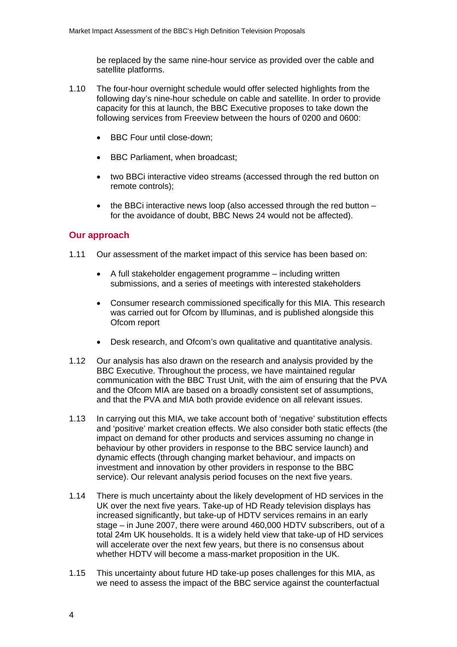be replaced by the same nine-hour service as provided over the cable and satellite platforms.

- 1.10 The four-hour overnight schedule would offer selected highlights from the following day's nine-hour schedule on cable and satellite. In order to provide capacity for this at launch, the BBC Executive proposes to take down the following services from Freeview between the hours of 0200 and 0600:
	- BBC Four until close-down;
	- BBC Parliament, when broadcast;
	- two BBCi interactive video streams (accessed through the red button on remote controls);
	- the BBCi interactive news loop (also accessed through the red button for the avoidance of doubt, BBC News 24 would not be affected).

#### **Our approach**

- 1.11 Our assessment of the market impact of this service has been based on:
	- A full stakeholder engagement programme including written submissions, and a series of meetings with interested stakeholders
	- Consumer research commissioned specifically for this MIA. This research was carried out for Ofcom by Illuminas, and is published alongside this Ofcom report
	- Desk research, and Ofcom's own qualitative and quantitative analysis.
- 1.12 Our analysis has also drawn on the research and analysis provided by the BBC Executive. Throughout the process, we have maintained regular communication with the BBC Trust Unit, with the aim of ensuring that the PVA and the Ofcom MIA are based on a broadly consistent set of assumptions, and that the PVA and MIA both provide evidence on all relevant issues.
- 1.13 In carrying out this MIA, we take account both of 'negative' substitution effects and 'positive' market creation effects. We also consider both static effects (the impact on demand for other products and services assuming no change in behaviour by other providers in response to the BBC service launch) and dynamic effects (through changing market behaviour, and impacts on investment and innovation by other providers in response to the BBC service). Our relevant analysis period focuses on the next five years.
- 1.14 There is much uncertainty about the likely development of HD services in the UK over the next five years. Take-up of HD Ready television displays has increased significantly, but take-up of HDTV services remains in an early stage – in June 2007, there were around 460,000 HDTV subscribers, out of a total 24m UK households. It is a widely held view that take-up of HD services will accelerate over the next few years, but there is no consensus about whether HDTV will become a mass-market proposition in the UK.
- 1.15 This uncertainty about future HD take-up poses challenges for this MIA, as we need to assess the impact of the BBC service against the counterfactual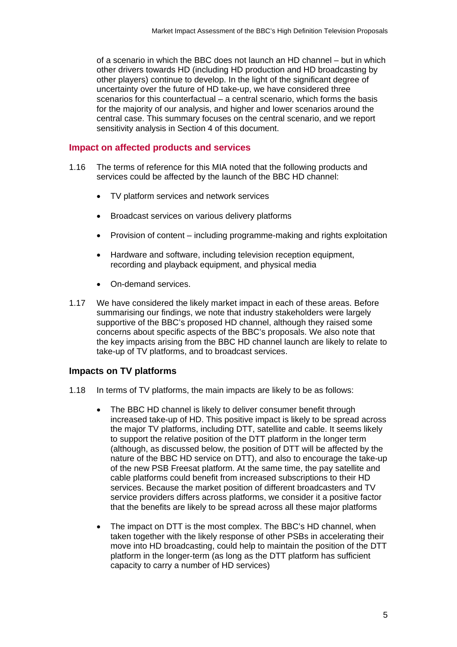of a scenario in which the BBC does not launch an HD channel – but in which other drivers towards HD (including HD production and HD broadcasting by other players) continue to develop. In the light of the significant degree of uncertainty over the future of HD take-up, we have considered three scenarios for this counterfactual – a central scenario, which forms the basis for the majority of our analysis, and higher and lower scenarios around the central case. This summary focuses on the central scenario, and we report sensitivity analysis in Section 4 of this document.

#### **Impact on affected products and services**

- 1.16 The terms of reference for this MIA noted that the following products and services could be affected by the launch of the BBC HD channel:
	- TV platform services and network services
	- Broadcast services on various delivery platforms
	- Provision of content including programme-making and rights exploitation
	- Hardware and software, including television reception equipment, recording and playback equipment, and physical media
	- On-demand services.
- 1.17 We have considered the likely market impact in each of these areas. Before summarising our findings, we note that industry stakeholders were largely supportive of the BBC's proposed HD channel, although they raised some concerns about specific aspects of the BBC's proposals. We also note that the key impacts arising from the BBC HD channel launch are likely to relate to take-up of TV platforms, and to broadcast services.

## **Impacts on TV platforms**

- 1.18 In terms of TV platforms, the main impacts are likely to be as follows:
	- The BBC HD channel is likely to deliver consumer benefit through increased take-up of HD. This positive impact is likely to be spread across the major TV platforms, including DTT, satellite and cable. It seems likely to support the relative position of the DTT platform in the longer term (although, as discussed below, the position of DTT will be affected by the nature of the BBC HD service on DTT), and also to encourage the take-up of the new PSB Freesat platform. At the same time, the pay satellite and cable platforms could benefit from increased subscriptions to their HD services. Because the market position of different broadcasters and TV service providers differs across platforms, we consider it a positive factor that the benefits are likely to be spread across all these major platforms
	- The impact on DTT is the most complex. The BBC's HD channel, when taken together with the likely response of other PSBs in accelerating their move into HD broadcasting, could help to maintain the position of the DTT platform in the longer-term (as long as the DTT platform has sufficient capacity to carry a number of HD services)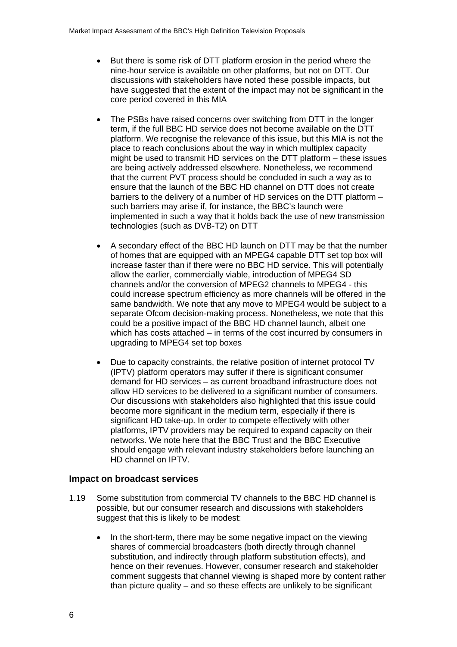- But there is some risk of DTT platform erosion in the period where the nine-hour service is available on other platforms, but not on DTT. Our discussions with stakeholders have noted these possible impacts, but have suggested that the extent of the impact may not be significant in the core period covered in this MIA
- The PSBs have raised concerns over switching from DTT in the longer term, if the full BBC HD service does not become available on the DTT platform. We recognise the relevance of this issue, but this MIA is not the place to reach conclusions about the way in which multiplex capacity might be used to transmit HD services on the DTT platform – these issues are being actively addressed elsewhere. Nonetheless, we recommend that the current PVT process should be concluded in such a way as to ensure that the launch of the BBC HD channel on DTT does not create barriers to the delivery of a number of HD services on the DTT platform – such barriers may arise if, for instance, the BBC's launch were implemented in such a way that it holds back the use of new transmission technologies (such as DVB-T2) on DTT
- A secondary effect of the BBC HD launch on DTT may be that the number of homes that are equipped with an MPEG4 capable DTT set top box will increase faster than if there were no BBC HD service. This will potentially allow the earlier, commercially viable, introduction of MPEG4 SD channels and/or the conversion of MPEG2 channels to MPEG4 - this could increase spectrum efficiency as more channels will be offered in the same bandwidth. We note that any move to MPEG4 would be subject to a separate Ofcom decision-making process. Nonetheless, we note that this could be a positive impact of the BBC HD channel launch, albeit one which has costs attached – in terms of the cost incurred by consumers in upgrading to MPEG4 set top boxes
- Due to capacity constraints, the relative position of internet protocol TV (IPTV) platform operators may suffer if there is significant consumer demand for HD services – as current broadband infrastructure does not allow HD services to be delivered to a significant number of consumers. Our discussions with stakeholders also highlighted that this issue could become more significant in the medium term, especially if there is significant HD take-up. In order to compete effectively with other platforms, IPTV providers may be required to expand capacity on their networks. We note here that the BBC Trust and the BBC Executive should engage with relevant industry stakeholders before launching an HD channel on IPTV.

#### **Impact on broadcast services**

- 1.19 Some substitution from commercial TV channels to the BBC HD channel is possible, but our consumer research and discussions with stakeholders suggest that this is likely to be modest:
	- In the short-term, there may be some negative impact on the viewing shares of commercial broadcasters (both directly through channel substitution, and indirectly through platform substitution effects), and hence on their revenues. However, consumer research and stakeholder comment suggests that channel viewing is shaped more by content rather than picture quality – and so these effects are unlikely to be significant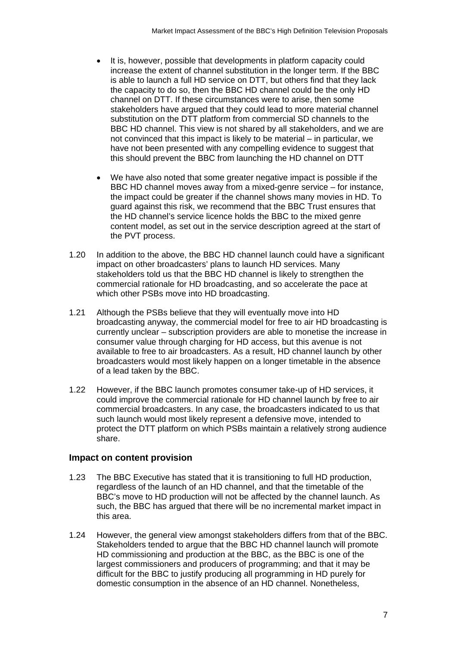- It is, however, possible that developments in platform capacity could increase the extent of channel substitution in the longer term. If the BBC is able to launch a full HD service on DTT, but others find that they lack the capacity to do so, then the BBC HD channel could be the only HD channel on DTT. If these circumstances were to arise, then some stakeholders have argued that they could lead to more material channel substitution on the DTT platform from commercial SD channels to the BBC HD channel. This view is not shared by all stakeholders, and we are not convinced that this impact is likely to be material – in particular, we have not been presented with any compelling evidence to suggest that this should prevent the BBC from launching the HD channel on DTT
- We have also noted that some greater negative impact is possible if the BBC HD channel moves away from a mixed-genre service – for instance, the impact could be greater if the channel shows many movies in HD. To guard against this risk, we recommend that the BBC Trust ensures that the HD channel's service licence holds the BBC to the mixed genre content model, as set out in the service description agreed at the start of the PVT process.
- 1.20 In addition to the above, the BBC HD channel launch could have a significant impact on other broadcasters' plans to launch HD services. Many stakeholders told us that the BBC HD channel is likely to strengthen the commercial rationale for HD broadcasting, and so accelerate the pace at which other PSBs move into HD broadcasting.
- 1.21 Although the PSBs believe that they will eventually move into HD broadcasting anyway, the commercial model for free to air HD broadcasting is currently unclear – subscription providers are able to monetise the increase in consumer value through charging for HD access, but this avenue is not available to free to air broadcasters. As a result, HD channel launch by other broadcasters would most likely happen on a longer timetable in the absence of a lead taken by the BBC.
- 1.22 However, if the BBC launch promotes consumer take-up of HD services, it could improve the commercial rationale for HD channel launch by free to air commercial broadcasters. In any case, the broadcasters indicated to us that such launch would most likely represent a defensive move, intended to protect the DTT platform on which PSBs maintain a relatively strong audience share.

#### **Impact on content provision**

- 1.23 The BBC Executive has stated that it is transitioning to full HD production, regardless of the launch of an HD channel, and that the timetable of the BBC's move to HD production will not be affected by the channel launch. As such, the BBC has argued that there will be no incremental market impact in this area.
- 1.24 However, the general view amongst stakeholders differs from that of the BBC. Stakeholders tended to argue that the BBC HD channel launch will promote HD commissioning and production at the BBC, as the BBC is one of the largest commissioners and producers of programming; and that it may be difficult for the BBC to justify producing all programming in HD purely for domestic consumption in the absence of an HD channel. Nonetheless,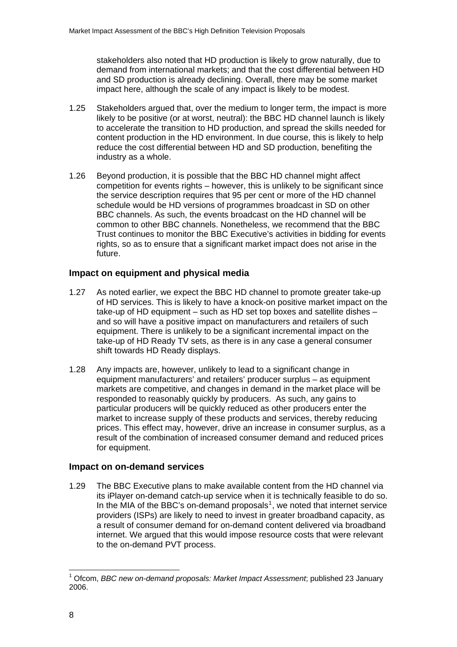<span id="page-7-0"></span>stakeholders also noted that HD production is likely to grow naturally, due to demand from international markets; and that the cost differential between HD and SD production is already declining. Overall, there may be some market impact here, although the scale of any impact is likely to be modest.

- 1.25 Stakeholders argued that, over the medium to longer term, the impact is more likely to be positive (or at worst, neutral): the BBC HD channel launch is likely to accelerate the transition to HD production, and spread the skills needed for content production in the HD environment. In due course, this is likely to help reduce the cost differential between HD and SD production, benefiting the industry as a whole.
- 1.26 Beyond production, it is possible that the BBC HD channel might affect competition for events rights – however, this is unlikely to be significant since the service description requires that 95 per cent or more of the HD channel schedule would be HD versions of programmes broadcast in SD on other BBC channels. As such, the events broadcast on the HD channel will be common to other BBC channels. Nonetheless, we recommend that the BBC Trust continues to monitor the BBC Executive's activities in bidding for events rights, so as to ensure that a significant market impact does not arise in the future.

## **Impact on equipment and physical media**

- 1.27 As noted earlier, we expect the BBC HD channel to promote greater take-up of HD services. This is likely to have a knock-on positive market impact on the take-up of HD equipment – such as HD set top boxes and satellite dishes – and so will have a positive impact on manufacturers and retailers of such equipment. There is unlikely to be a significant incremental impact on the take-up of HD Ready TV sets, as there is in any case a general consumer shift towards HD Ready displays.
- 1.28 Any impacts are, however, unlikely to lead to a significant change in equipment manufacturers' and retailers' producer surplus – as equipment markets are competitive, and changes in demand in the market place will be responded to reasonably quickly by producers. As such, any gains to particular producers will be quickly reduced as other producers enter the market to increase supply of these products and services, thereby reducing prices. This effect may, however, drive an increase in consumer surplus, as a result of the combination of increased consumer demand and reduced prices for equipment.

## **Impact on on-demand services**

1.29 The BBC Executive plans to make available content from the HD channel via its iPlayer on-demand catch-up service when it is technically feasible to do so. In the MIA of the BBC's on-demand proposals<sup>[1](#page-7-0)</sup>, we noted that internet service providers (ISPs) are likely to need to invest in greater broadband capacity, as a result of consumer demand for on-demand content delivered via broadband internet. We argued that this would impose resource costs that were relevant to the on-demand PVT process.

<sup>1</sup> 1 Ofcom, *BBC new on-demand proposals: Market Impact Assessment*; published 23 January 2006.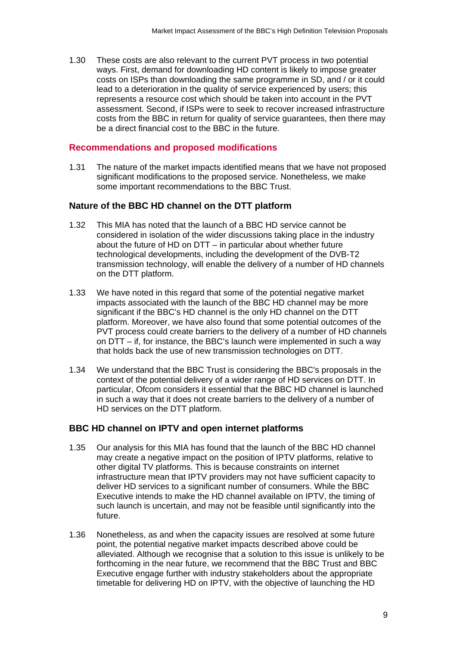1.30 These costs are also relevant to the current PVT process in two potential ways. First, demand for downloading HD content is likely to impose greater costs on ISPs than downloading the same programme in SD, and / or it could lead to a deterioration in the quality of service experienced by users; this represents a resource cost which should be taken into account in the PVT assessment. Second, if ISPs were to seek to recover increased infrastructure costs from the BBC in return for quality of service guarantees, then there may be a direct financial cost to the BBC in the future.

#### **Recommendations and proposed modifications**

1.31 The nature of the market impacts identified means that we have not proposed significant modifications to the proposed service. Nonetheless, we make some important recommendations to the BBC Trust.

#### **Nature of the BBC HD channel on the DTT platform**

- 1.32 This MIA has noted that the launch of a BBC HD service cannot be considered in isolation of the wider discussions taking place in the industry about the future of HD on DTT – in particular about whether future technological developments, including the development of the DVB-T2 transmission technology, will enable the delivery of a number of HD channels on the DTT platform.
- 1.33 We have noted in this regard that some of the potential negative market impacts associated with the launch of the BBC HD channel may be more significant if the BBC's HD channel is the only HD channel on the DTT platform. Moreover, we have also found that some potential outcomes of the PVT process could create barriers to the delivery of a number of HD channels on DTT – if, for instance, the BBC's launch were implemented in such a way that holds back the use of new transmission technologies on DTT.
- 1.34 We understand that the BBC Trust is considering the BBC's proposals in the context of the potential delivery of a wider range of HD services on DTT. In particular, Ofcom considers it essential that the BBC HD channel is launched in such a way that it does not create barriers to the delivery of a number of HD services on the DTT platform.

#### **BBC HD channel on IPTV and open internet platforms**

- 1.35 Our analysis for this MIA has found that the launch of the BBC HD channel may create a negative impact on the position of IPTV platforms, relative to other digital TV platforms. This is because constraints on internet infrastructure mean that IPTV providers may not have sufficient capacity to deliver HD services to a significant number of consumers. While the BBC Executive intends to make the HD channel available on IPTV, the timing of such launch is uncertain, and may not be feasible until significantly into the future.
- 1.36 Nonetheless, as and when the capacity issues are resolved at some future point, the potential negative market impacts described above could be alleviated. Although we recognise that a solution to this issue is unlikely to be forthcoming in the near future, we recommend that the BBC Trust and BBC Executive engage further with industry stakeholders about the appropriate timetable for delivering HD on IPTV, with the objective of launching the HD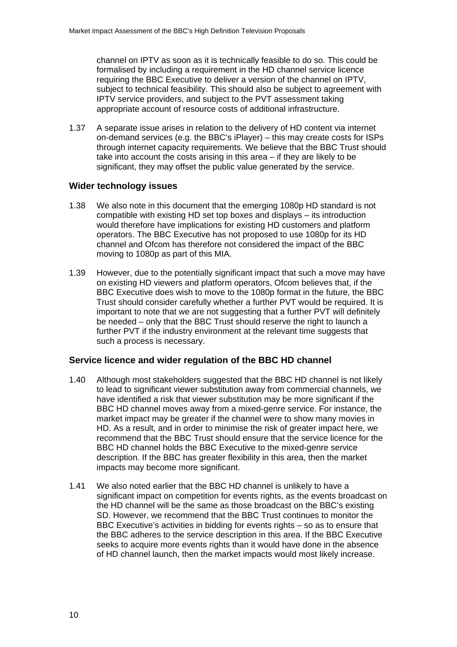channel on IPTV as soon as it is technically feasible to do so. This could be formalised by including a requirement in the HD channel service licence requiring the BBC Executive to deliver a version of the channel on IPTV, subject to technical feasibility. This should also be subject to agreement with IPTV service providers, and subject to the PVT assessment taking appropriate account of resource costs of additional infrastructure.

1.37 A separate issue arises in relation to the delivery of HD content via internet on-demand services (e.g. the BBC's iPlayer) – this may create costs for ISPs through internet capacity requirements. We believe that the BBC Trust should take into account the costs arising in this area – if they are likely to be significant, they may offset the public value generated by the service.

## **Wider technology issues**

- 1.38 We also note in this document that the emerging 1080p HD standard is not compatible with existing HD set top boxes and displays – its introduction would therefore have implications for existing HD customers and platform operators. The BBC Executive has not proposed to use 1080p for its HD channel and Ofcom has therefore not considered the impact of the BBC moving to 1080p as part of this MIA.
- 1.39 However, due to the potentially significant impact that such a move may have on existing HD viewers and platform operators, Ofcom believes that, if the BBC Executive does wish to move to the 1080p format in the future, the BBC Trust should consider carefully whether a further PVT would be required. It is important to note that we are not suggesting that a further PVT will definitely be needed – only that the BBC Trust should reserve the right to launch a further PVT if the industry environment at the relevant time suggests that such a process is necessary.

## **Service licence and wider regulation of the BBC HD channel**

- 1.40 Although most stakeholders suggested that the BBC HD channel is not likely to lead to significant viewer substitution away from commercial channels, we have identified a risk that viewer substitution may be more significant if the BBC HD channel moves away from a mixed-genre service. For instance, the market impact may be greater if the channel were to show many movies in HD. As a result, and in order to minimise the risk of greater impact here, we recommend that the BBC Trust should ensure that the service licence for the BBC HD channel holds the BBC Executive to the mixed-genre service description. If the BBC has greater flexibility in this area, then the market impacts may become more significant.
- 1.41 We also noted earlier that the BBC HD channel is unlikely to have a significant impact on competition for events rights, as the events broadcast on the HD channel will be the same as those broadcast on the BBC's existing SD. However, we recommend that the BBC Trust continues to monitor the BBC Executive's activities in bidding for events rights – so as to ensure that the BBC adheres to the service description in this area. If the BBC Executive seeks to acquire more events rights than it would have done in the absence of HD channel launch, then the market impacts would most likely increase.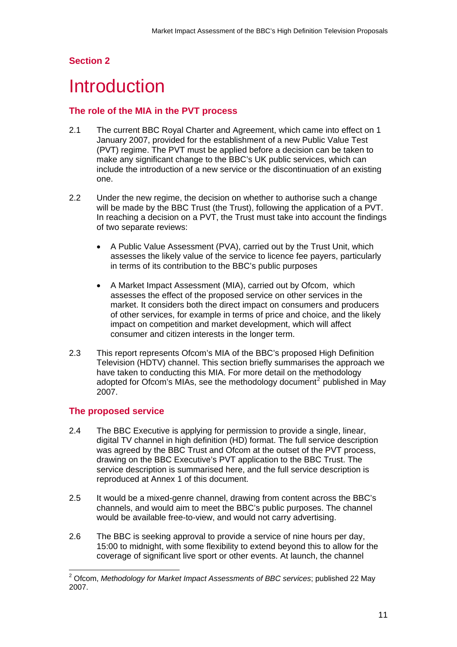# <span id="page-10-0"></span>**Section 2**

# **Introduction**

## **The role of the MIA in the PVT process**

- 2.1 The current BBC Royal Charter and Agreement, which came into effect on 1 January 2007, provided for the establishment of a new Public Value Test (PVT) regime. The PVT must be applied before a decision can be taken to make any significant change to the BBC's UK public services, which can include the introduction of a new service or the discontinuation of an existing one.
- 2.2 Under the new regime, the decision on whether to authorise such a change will be made by the BBC Trust (the Trust), following the application of a PVT. In reaching a decision on a PVT, the Trust must take into account the findings of two separate reviews:
	- A Public Value Assessment (PVA), carried out by the Trust Unit, which assesses the likely value of the service to licence fee payers, particularly in terms of its contribution to the BBC's public purposes
	- A Market Impact Assessment (MIA), carried out by Ofcom, which assesses the effect of the proposed service on other services in the market. It considers both the direct impact on consumers and producers of other services, for example in terms of price and choice, and the likely impact on competition and market development, which will affect consumer and citizen interests in the longer term.
- 2.3 This report represents Ofcom's MIA of the BBC's proposed High Definition Television (HDTV) channel. This section briefly summarises the approach we have taken to conducting this MIA. For more detail on the methodology adopted for Ofcom's MIAs, see the methodology document<sup>[2](#page-10-0)</sup> published in May 2007.

## **The proposed service**

- 2.4 The BBC Executive is applying for permission to provide a single, linear, digital TV channel in high definition (HD) format. The full service description was agreed by the BBC Trust and Ofcom at the outset of the PVT process, drawing on the BBC Executive's PVT application to the BBC Trust. The service description is summarised here, and the full service description is reproduced at Annex 1 of this document.
- 2.5 It would be a mixed-genre channel, drawing from content across the BBC's channels, and would aim to meet the BBC's public purposes. The channel would be available free-to-view, and would not carry advertising.
- 2.6 The BBC is seeking approval to provide a service of nine hours per day, 15:00 to midnight, with some flexibility to extend beyond this to allow for the coverage of significant live sport or other events. At launch, the channel

 2 Ofcom, *Methodology for Market Impact Assessments of BBC services*; published 22 May 2007.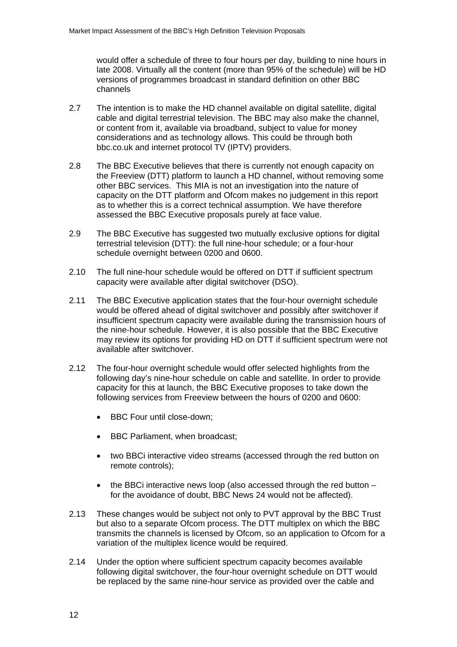would offer a schedule of three to four hours per day, building to nine hours in late 2008. Virtually all the content (more than 95% of the schedule) will be HD versions of programmes broadcast in standard definition on other BBC channels

- 2.7 The intention is to make the HD channel available on digital satellite, digital cable and digital terrestrial television. The BBC may also make the channel, or content from it, available via broadband, subject to value for money considerations and as technology allows. This could be through both bbc.co.uk and internet protocol TV (IPTV) providers.
- 2.8 The BBC Executive believes that there is currently not enough capacity on the Freeview (DTT) platform to launch a HD channel, without removing some other BBC services. This MIA is not an investigation into the nature of capacity on the DTT platform and Ofcom makes no judgement in this report as to whether this is a correct technical assumption. We have therefore assessed the BBC Executive proposals purely at face value.
- 2.9 The BBC Executive has suggested two mutually exclusive options for digital terrestrial television (DTT): the full nine-hour schedule; or a four-hour schedule overnight between 0200 and 0600.
- 2.10 The full nine-hour schedule would be offered on DTT if sufficient spectrum capacity were available after digital switchover (DSO).
- 2.11 The BBC Executive application states that the four-hour overnight schedule would be offered ahead of digital switchover and possibly after switchover if insufficient spectrum capacity were available during the transmission hours of the nine-hour schedule. However, it is also possible that the BBC Executive may review its options for providing HD on DTT if sufficient spectrum were not available after switchover.
- 2.12 The four-hour overnight schedule would offer selected highlights from the following day's nine-hour schedule on cable and satellite. In order to provide capacity for this at launch, the BBC Executive proposes to take down the following services from Freeview between the hours of 0200 and 0600:
	- BBC Four until close-down:
	- BBC Parliament, when broadcast;
	- two BBCi interactive video streams (accessed through the red button on remote controls);
	- the BBCi interactive news loop (also accessed through the red button  $$ for the avoidance of doubt, BBC News 24 would not be affected).
- 2.13 These changes would be subject not only to PVT approval by the BBC Trust but also to a separate Ofcom process. The DTT multiplex on which the BBC transmits the channels is licensed by Ofcom, so an application to Ofcom for a variation of the multiplex licence would be required.
- 2.14 Under the option where sufficient spectrum capacity becomes available following digital switchover, the four-hour overnight schedule on DTT would be replaced by the same nine-hour service as provided over the cable and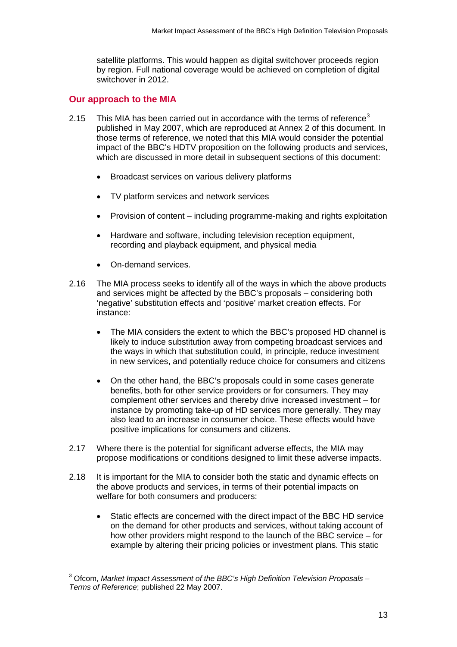<span id="page-12-0"></span>satellite platforms. This would happen as digital switchover proceeds region by region. Full national coverage would be achieved on completion of digital switchover in 2012.

#### **Our approach to the MIA**

- 2.15 This MIA has been carried out in accordance with the terms of reference<sup>[3](#page-12-0)</sup> published in May 2007, which are reproduced at Annex 2 of this document. In those terms of reference, we noted that this MIA would consider the potential impact of the BBC's HDTV proposition on the following products and services, which are discussed in more detail in subsequent sections of this document:
	- Broadcast services on various delivery platforms
	- TV platform services and network services
	- Provision of content including programme-making and rights exploitation
	- Hardware and software, including television reception equipment, recording and playback equipment, and physical media
	- On-demand services.
- 2.16 The MIA process seeks to identify all of the ways in which the above products and services might be affected by the BBC's proposals – considering both 'negative' substitution effects and 'positive' market creation effects. For instance:
	- The MIA considers the extent to which the BBC's proposed HD channel is likely to induce substitution away from competing broadcast services and the ways in which that substitution could, in principle, reduce investment in new services, and potentially reduce choice for consumers and citizens
	- On the other hand, the BBC's proposals could in some cases generate benefits, both for other service providers or for consumers. They may complement other services and thereby drive increased investment – for instance by promoting take-up of HD services more generally. They may also lead to an increase in consumer choice. These effects would have positive implications for consumers and citizens.
- 2.17 Where there is the potential for significant adverse effects, the MIA may propose modifications or conditions designed to limit these adverse impacts.
- 2.18 It is important for the MIA to consider both the static and dynamic effects on the above products and services, in terms of their potential impacts on welfare for both consumers and producers:
	- Static effects are concerned with the direct impact of the BBC HD service on the demand for other products and services, without taking account of how other providers might respond to the launch of the BBC service – for example by altering their pricing policies or investment plans. This static

 3 Ofcom, *Market Impact Assessment of the BBC's High Definition Television Proposals – Terms of Reference*; published 22 May 2007.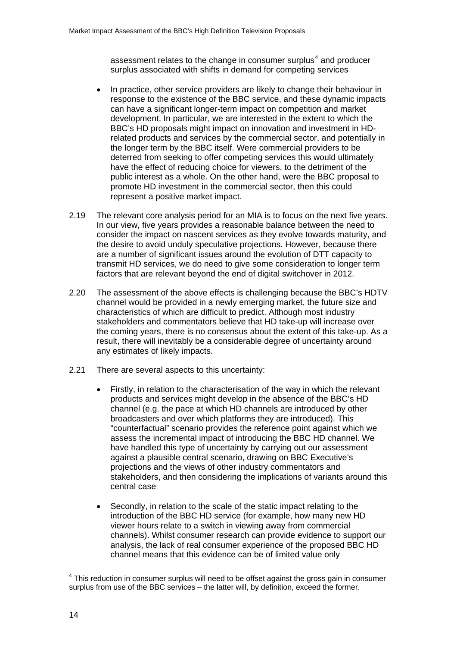<span id="page-13-0"></span>assessment relates to the change in consumer surplus<sup>[4](#page-13-0)</sup> and producer surplus associated with shifts in demand for competing services

- In practice, other service providers are likely to change their behaviour in response to the existence of the BBC service, and these dynamic impacts can have a significant longer-term impact on competition and market development. In particular, we are interested in the extent to which the BBC's HD proposals might impact on innovation and investment in HDrelated products and services by the commercial sector, and potentially in the longer term by the BBC itself. Were commercial providers to be deterred from seeking to offer competing services this would ultimately have the effect of reducing choice for viewers, to the detriment of the public interest as a whole. On the other hand, were the BBC proposal to promote HD investment in the commercial sector, then this could represent a positive market impact.
- 2.19 The relevant core analysis period for an MIA is to focus on the next five years. In our view, five years provides a reasonable balance between the need to consider the impact on nascent services as they evolve towards maturity, and the desire to avoid unduly speculative projections. However, because there are a number of significant issues around the evolution of DTT capacity to transmit HD services, we do need to give some consideration to longer term factors that are relevant beyond the end of digital switchover in 2012.
- 2.20 The assessment of the above effects is challenging because the BBC's HDTV channel would be provided in a newly emerging market, the future size and characteristics of which are difficult to predict. Although most industry stakeholders and commentators believe that HD take-up will increase over the coming years, there is no consensus about the extent of this take-up. As a result, there will inevitably be a considerable degree of uncertainty around any estimates of likely impacts.
- 2.21 There are several aspects to this uncertainty:
	- Firstly, in relation to the characterisation of the way in which the relevant products and services might develop in the absence of the BBC's HD channel (e.g. the pace at which HD channels are introduced by other broadcasters and over which platforms they are introduced). This "counterfactual" scenario provides the reference point against which we assess the incremental impact of introducing the BBC HD channel. We have handled this type of uncertainty by carrying out our assessment against a plausible central scenario, drawing on BBC Executive's projections and the views of other industry commentators and stakeholders, and then considering the implications of variants around this central case
	- Secondly, in relation to the scale of the static impact relating to the introduction of the BBC HD service (for example, how many new HD viewer hours relate to a switch in viewing away from commercial channels). Whilst consumer research can provide evidence to support our analysis, the lack of real consumer experience of the proposed BBC HD channel means that this evidence can be of limited value only

<sup>————————————————————&</sup>lt;br><sup>4</sup> This reduction in consumer surplus will need to be offset against the gross gain in consumer surplus from use of the BBC services – the latter will, by definition, exceed the former.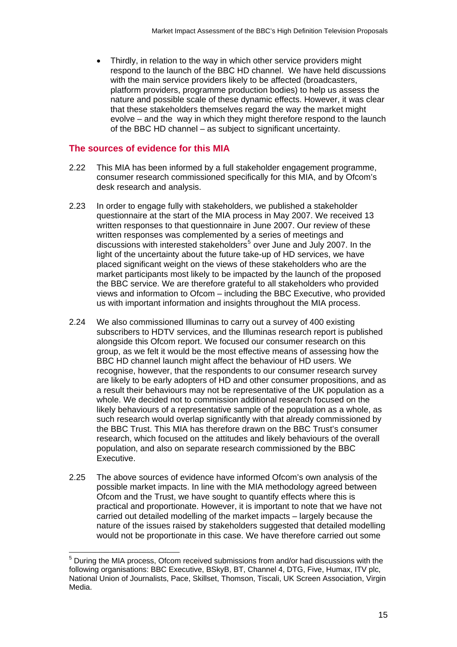<span id="page-14-0"></span>• Thirdly, in relation to the way in which other service providers might respond to the launch of the BBC HD channel. We have held discussions with the main service providers likely to be affected (broadcasters, platform providers, programme production bodies) to help us assess the nature and possible scale of these dynamic effects. However, it was clear that these stakeholders themselves regard the way the market might evolve – and the way in which they might therefore respond to the launch of the BBC HD channel – as subject to significant uncertainty.

#### **The sources of evidence for this MIA**

 $\overline{a}$ 

- 2.22 This MIA has been informed by a full stakeholder engagement programme, consumer research commissioned specifically for this MIA, and by Ofcom's desk research and analysis.
- 2.23 In order to engage fully with stakeholders, we published a stakeholder questionnaire at the start of the MIA process in May 2007. We received 13 written responses to that questionnaire in June 2007. Our review of these written responses was complemented by a series of meetings and discussions with interested stakeholders<sup>[5](#page-14-0)</sup> over June and July 2007. In the light of the uncertainty about the future take-up of HD services, we have placed significant weight on the views of these stakeholders who are the market participants most likely to be impacted by the launch of the proposed the BBC service. We are therefore grateful to all stakeholders who provided views and information to Ofcom – including the BBC Executive, who provided us with important information and insights throughout the MIA process.
- 2.24 We also commissioned Illuminas to carry out a survey of 400 existing subscribers to HDTV services, and the Illuminas research report is published alongside this Ofcom report. We focused our consumer research on this group, as we felt it would be the most effective means of assessing how the BBC HD channel launch might affect the behaviour of HD users. We recognise, however, that the respondents to our consumer research survey are likely to be early adopters of HD and other consumer propositions, and as a result their behaviours may not be representative of the UK population as a whole. We decided not to commission additional research focused on the likely behaviours of a representative sample of the population as a whole, as such research would overlap significantly with that already commissioned by the BBC Trust. This MIA has therefore drawn on the BBC Trust's consumer research, which focused on the attitudes and likely behaviours of the overall population, and also on separate research commissioned by the BBC Executive.
- 2.25 The above sources of evidence have informed Ofcom's own analysis of the possible market impacts. In line with the MIA methodology agreed between Ofcom and the Trust, we have sought to quantify effects where this is practical and proportionate. However, it is important to note that we have not carried out detailed modelling of the market impacts – largely because the nature of the issues raised by stakeholders suggested that detailed modelling would not be proportionate in this case. We have therefore carried out some

<sup>&</sup>lt;sup>5</sup> During the MIA process, Ofcom received submissions from and/or had discussions with the following organisations: BBC Executive, BSkyB, BT, Channel 4, DTG, Five, Humax, ITV plc, National Union of Journalists, Pace, Skillset, Thomson, Tiscali, UK Screen Association, Virgin Media.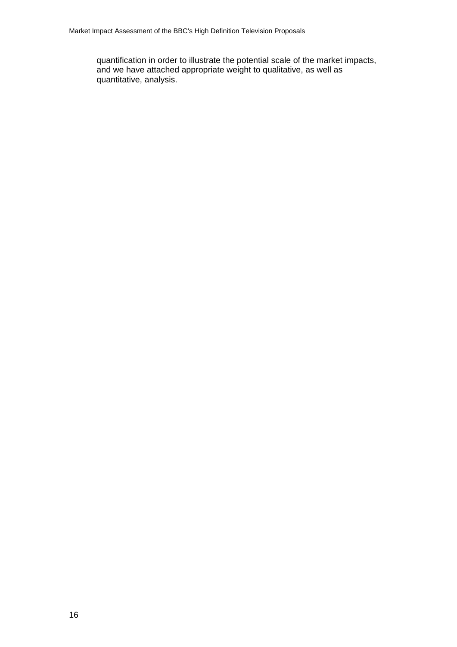quantification in order to illustrate the potential scale of the market impacts, and we have attached appropriate weight to qualitative, as well as quantitative, analysis.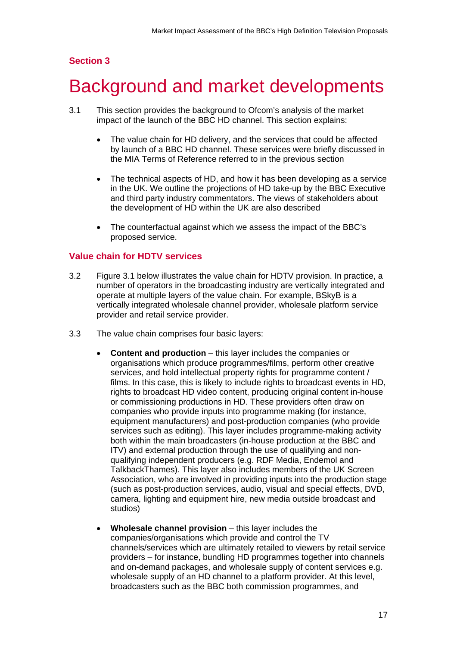## <span id="page-16-0"></span>**Section 3**

# Background and market developments

- 3.1 This section provides the background to Ofcom's analysis of the market impact of the launch of the BBC HD channel. This section explains:
	- The value chain for HD delivery, and the services that could be affected by launch of a BBC HD channel. These services were briefly discussed in the MIA Terms of Reference referred to in the previous section
	- The technical aspects of HD, and how it has been developing as a service in the UK. We outline the projections of HD take-up by the BBC Executive and third party industry commentators. The views of stakeholders about the development of HD within the UK are also described
	- The counterfactual against which we assess the impact of the BBC's proposed service.

#### **Value chain for HDTV services**

- 3.2 Figure 3.1 below illustrates the value chain for HDTV provision. In practice, a number of operators in the broadcasting industry are vertically integrated and operate at multiple layers of the value chain. For example, BSkyB is a vertically integrated wholesale channel provider, wholesale platform service provider and retail service provider.
- 3.3 The value chain comprises four basic layers:
	- **Content and production** this layer includes the companies or organisations which produce programmes/films, perform other creative services, and hold intellectual property rights for programme content / films. In this case, this is likely to include rights to broadcast events in HD, rights to broadcast HD video content, producing original content in-house or commissioning productions in HD. These providers often draw on companies who provide inputs into programme making (for instance, equipment manufacturers) and post-production companies (who provide services such as editing). This layer includes programme-making activity both within the main broadcasters (in-house production at the BBC and ITV) and external production through the use of qualifying and nonqualifying independent producers (e.g. RDF Media, Endemol and TalkbackThames). This layer also includes members of the UK Screen Association, who are involved in providing inputs into the production stage (such as post-production services, audio, visual and special effects, DVD, camera, lighting and equipment hire, new media outside broadcast and studios)
	- **Wholesale channel provision** this layer includes the companies/organisations which provide and control the TV channels/services which are ultimately retailed to viewers by retail service providers – for instance, bundling HD programmes together into channels and on-demand packages, and wholesale supply of content services e.g. wholesale supply of an HD channel to a platform provider. At this level, broadcasters such as the BBC both commission programmes, and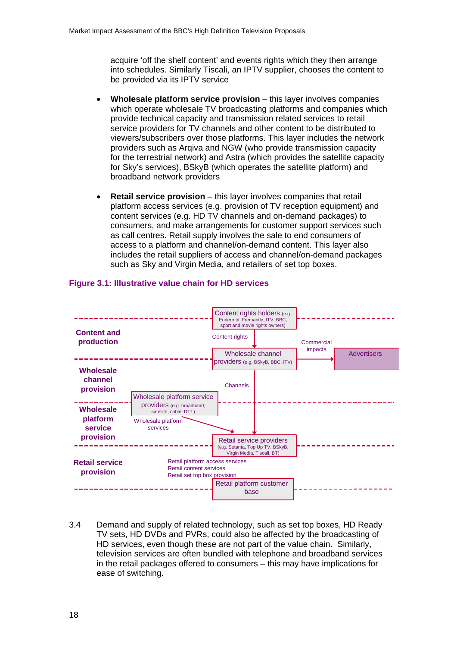acquire 'off the shelf content' and events rights which they then arrange into schedules. Similarly Tiscali, an IPTV supplier, chooses the content to be provided via its IPTV service

- **Wholesale platform service provision** this layer involves companies which operate wholesale TV broadcasting platforms and companies which provide technical capacity and transmission related services to retail service providers for TV channels and other content to be distributed to viewers/subscribers over those platforms. This layer includes the network providers such as Arqiva and NGW (who provide transmission capacity for the terrestrial network) and Astra (which provides the satellite capacity for Sky's services), BSkyB (which operates the satellite platform) and broadband network providers
- **Retail service provision** this layer involves companies that retail platform access services (e.g. provision of TV reception equipment) and content services (e.g. HD TV channels and on-demand packages) to consumers, and make arrangements for customer support services such as call centres. Retail supply involves the sale to end consumers of access to a platform and channel/on-demand content. This layer also includes the retail suppliers of access and channel/on-demand packages such as Sky and Virgin Media, and retailers of set top boxes.



#### **Figure 3.1: Illustrative value chain for HD services**

3.4 Demand and supply of related technology, such as set top boxes, HD Ready TV sets, HD DVDs and PVRs, could also be affected by the broadcasting of HD services, even though these are not part of the value chain. Similarly, television services are often bundled with telephone and broadband services in the retail packages offered to consumers – this may have implications for ease of switching.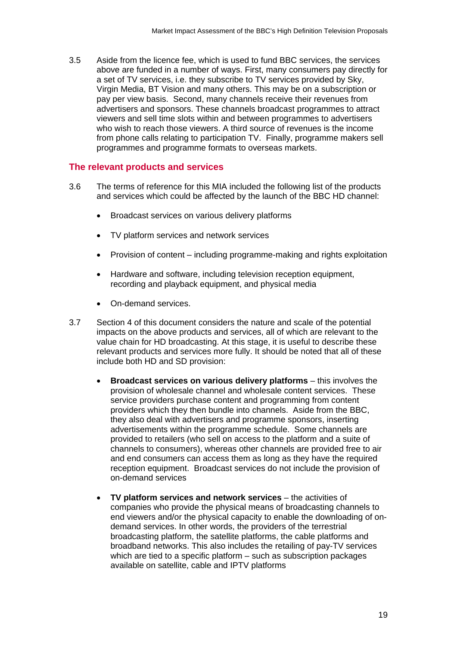3.5 Aside from the licence fee, which is used to fund BBC services, the services above are funded in a number of ways. First, many consumers pay directly for a set of TV services, i.e. they subscribe to TV services provided by Sky, Virgin Media, BT Vision and many others. This may be on a subscription or pay per view basis. Second, many channels receive their revenues from advertisers and sponsors. These channels broadcast programmes to attract viewers and sell time slots within and between programmes to advertisers who wish to reach those viewers. A third source of revenues is the income from phone calls relating to participation TV. Finally, programme makers sell programmes and programme formats to overseas markets.

#### **The relevant products and services**

- 3.6 The terms of reference for this MIA included the following list of the products and services which could be affected by the launch of the BBC HD channel:
	- Broadcast services on various delivery platforms
	- TV platform services and network services
	- Provision of content including programme-making and rights exploitation
	- Hardware and software, including television reception equipment, recording and playback equipment, and physical media
	- On-demand services.
- 3.7 Section 4 of this document considers the nature and scale of the potential impacts on the above products and services, all of which are relevant to the value chain for HD broadcasting. At this stage, it is useful to describe these relevant products and services more fully. It should be noted that all of these include both HD and SD provision:
	- **Broadcast services on various delivery platforms** this involves the provision of wholesale channel and wholesale content services. These service providers purchase content and programming from content providers which they then bundle into channels. Aside from the BBC, they also deal with advertisers and programme sponsors, inserting advertisements within the programme schedule. Some channels are provided to retailers (who sell on access to the platform and a suite of channels to consumers), whereas other channels are provided free to air and end consumers can access them as long as they have the required reception equipment. Broadcast services do not include the provision of on-demand services
	- **TV platform services and network services** the activities of companies who provide the physical means of broadcasting channels to end viewers and/or the physical capacity to enable the downloading of ondemand services. In other words, the providers of the terrestrial broadcasting platform, the satellite platforms, the cable platforms and broadband networks. This also includes the retailing of pay-TV services which are tied to a specific platform – such as subscription packages available on satellite, cable and IPTV platforms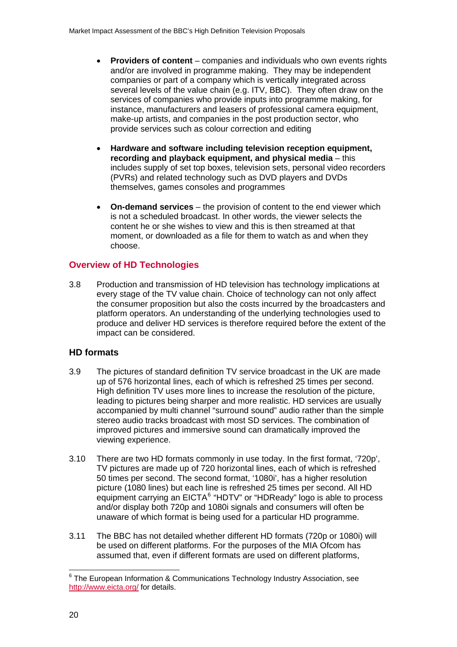- <span id="page-19-0"></span>• **Providers of content** – companies and individuals who own events rights and/or are involved in programme making. They may be independent companies or part of a company which is vertically integrated across several levels of the value chain (e.g. ITV, BBC). They often draw on the services of companies who provide inputs into programme making, for instance, manufacturers and leasers of professional camera equipment, make-up artists, and companies in the post production sector, who provide services such as colour correction and editing
- **Hardware and software including television reception equipment, recording and playback equipment, and physical media** – this includes supply of set top boxes, television sets, personal video recorders (PVRs) and related technology such as DVD players and DVDs themselves, games consoles and programmes
- **On-demand services** the provision of content to the end viewer which is not a scheduled broadcast. In other words, the viewer selects the content he or she wishes to view and this is then streamed at that moment, or downloaded as a file for them to watch as and when they choose.

## **Overview of HD Technologies**

3.8 Production and transmission of HD television has technology implications at every stage of the TV value chain. Choice of technology can not only affect the consumer proposition but also the costs incurred by the broadcasters and platform operators. An understanding of the underlying technologies used to produce and deliver HD services is therefore required before the extent of the impact can be considered.

## **HD formats**

- 3.9 The pictures of standard definition TV service broadcast in the UK are made up of 576 horizontal lines, each of which is refreshed 25 times per second. High definition TV uses more lines to increase the resolution of the picture, leading to pictures being sharper and more realistic. HD services are usually accompanied by multi channel "surround sound" audio rather than the simple stereo audio tracks broadcast with most SD services. The combination of improved pictures and immersive sound can dramatically improved the viewing experience.
- 3.10 There are two HD formats commonly in use today. In the first format, '720p', TV pictures are made up of 720 horizontal lines, each of which is refreshed 50 times per second. The second format, '1080i', has a higher resolution picture (1080 lines) but each line is refreshed 25 times per second. All HD equipment carrying an EICTA<sup>[6](#page-19-0)</sup> "HDTV" or "HDReady" logo is able to process and/or display both 720p and 1080i signals and consumers will often be unaware of which format is being used for a particular HD programme.
- 3.11 The BBC has not detailed whether different HD formats (720p or 1080i) will be used on different platforms. For the purposes of the MIA Ofcom has assumed that, even if different formats are used on different platforms,

 6 The European Information & Communications Technology Industry Association, see <http://www.eicta.org/>for details.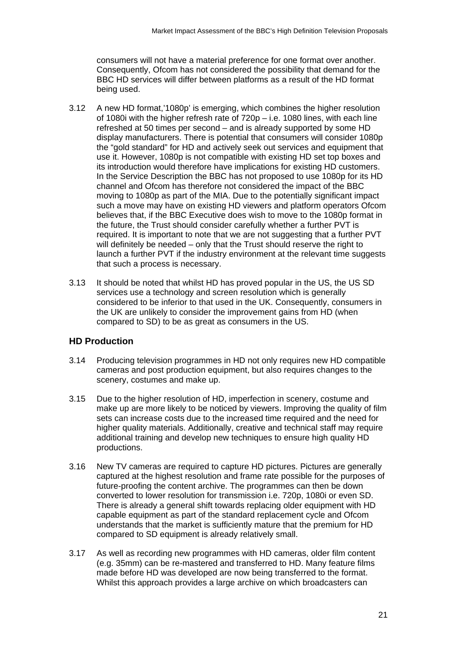consumers will not have a material preference for one format over another. Consequently, Ofcom has not considered the possibility that demand for the BBC HD services will differ between platforms as a result of the HD format being used.

- 3.12 A new HD format,'1080p' is emerging, which combines the higher resolution of 1080i with the higher refresh rate of  $720p - i.e.$  1080 lines, with each line refreshed at 50 times per second – and is already supported by some HD display manufacturers. There is potential that consumers will consider 1080p the "gold standard" for HD and actively seek out services and equipment that use it. However, 1080p is not compatible with existing HD set top boxes and its introduction would therefore have implications for existing HD customers. In the Service Description the BBC has not proposed to use 1080p for its HD channel and Ofcom has therefore not considered the impact of the BBC moving to 1080p as part of the MIA. Due to the potentially significant impact such a move may have on existing HD viewers and platform operators Ofcom believes that, if the BBC Executive does wish to move to the 1080p format in the future, the Trust should consider carefully whether a further PVT is required. It is important to note that we are not suggesting that a further PVT will definitely be needed – only that the Trust should reserve the right to launch a further PVT if the industry environment at the relevant time suggests that such a process is necessary.
- 3.13 It should be noted that whilst HD has proved popular in the US, the US SD services use a technology and screen resolution which is generally considered to be inferior to that used in the UK. Consequently, consumers in the UK are unlikely to consider the improvement gains from HD (when compared to SD) to be as great as consumers in the US.

#### **HD Production**

- 3.14 Producing television programmes in HD not only requires new HD compatible cameras and post production equipment, but also requires changes to the scenery, costumes and make up.
- 3.15 Due to the higher resolution of HD, imperfection in scenery, costume and make up are more likely to be noticed by viewers. Improving the quality of film sets can increase costs due to the increased time required and the need for higher quality materials. Additionally, creative and technical staff may require additional training and develop new techniques to ensure high quality HD productions.
- 3.16 New TV cameras are required to capture HD pictures. Pictures are generally captured at the highest resolution and frame rate possible for the purposes of future-proofing the content archive. The programmes can then be down converted to lower resolution for transmission i.e. 720p, 1080i or even SD. There is already a general shift towards replacing older equipment with HD capable equipment as part of the standard replacement cycle and Ofcom understands that the market is sufficiently mature that the premium for HD compared to SD equipment is already relatively small.
- 3.17 As well as recording new programmes with HD cameras, older film content (e.g. 35mm) can be re-mastered and transferred to HD. Many feature films made before HD was developed are now being transferred to the format. Whilst this approach provides a large archive on which broadcasters can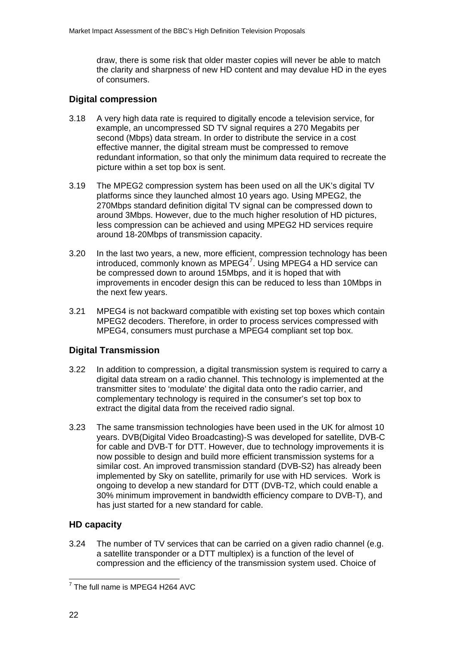<span id="page-21-0"></span>draw, there is some risk that older master copies will never be able to match the clarity and sharpness of new HD content and may devalue HD in the eyes of consumers.

## **Digital compression**

- 3.18 A very high data rate is required to digitally encode a television service, for example, an uncompressed SD TV signal requires a 270 Megabits per second (Mbps) data stream. In order to distribute the service in a cost effective manner, the digital stream must be compressed to remove redundant information, so that only the minimum data required to recreate the picture within a set top box is sent.
- 3.19 The MPEG2 compression system has been used on all the UK's digital TV platforms since they launched almost 10 years ago. Using MPEG2, the 270Mbps standard definition digital TV signal can be compressed down to around 3Mbps. However, due to the much higher resolution of HD pictures, less compression can be achieved and using MPEG2 HD services require around 18-20Mbps of transmission capacity.
- 3.20 In the last two years, a new, more efficient, compression technology has been introduced, commonly known as MPEG4<sup>[7](#page-21-0)</sup>. Using MPEG4 a HD service can be compressed down to around 15Mbps, and it is hoped that with improvements in encoder design this can be reduced to less than 10Mbps in the next few years.
- 3.21 MPEG4 is not backward compatible with existing set top boxes which contain MPEG2 decoders. Therefore, in order to process services compressed with MPEG4, consumers must purchase a MPEG4 compliant set top box.

## **Digital Transmission**

- 3.22 In addition to compression, a digital transmission system is required to carry a digital data stream on a radio channel. This technology is implemented at the transmitter sites to 'modulate' the digital data onto the radio carrier, and complementary technology is required in the consumer's set top box to extract the digital data from the received radio signal.
- 3.23 The same transmission technologies have been used in the UK for almost 10 years. DVB(Digital Video Broadcasting)-S was developed for satellite, DVB-C for cable and DVB-T for DTT. However, due to technology improvements it is now possible to design and build more efficient transmission systems for a similar cost. An improved transmission standard (DVB-S2) has already been implemented by Sky on satellite, primarily for use with HD services. Work is ongoing to develop a new standard for DTT (DVB-T2, which could enable a 30% minimum improvement in bandwidth efficiency compare to DVB-T), and has just started for a new standard for cable.

## **HD capacity**

3.24 The number of TV services that can be carried on a given radio channel (e.g. a satellite transponder or a DTT multiplex) is a function of the level of compression and the efficiency of the transmission system used. Choice of

The full name is MPEG4 H264 AVC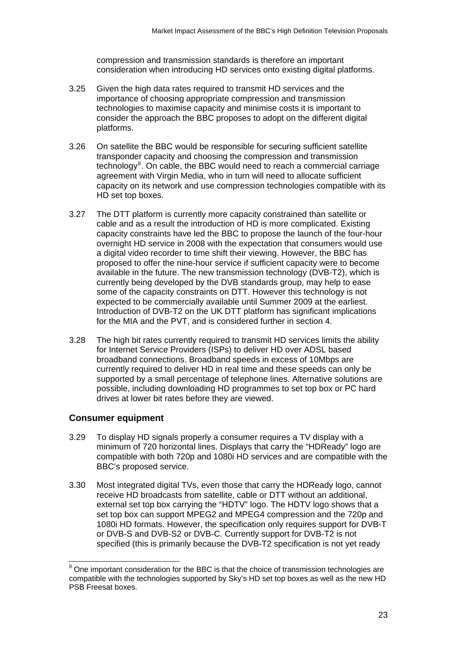compression and transmission standards is therefore an important consideration when introducing HD services onto existing digital platforms.

- <span id="page-22-0"></span>3.25 Given the high data rates required to transmit HD services and the importance of choosing appropriate compression and transmission technologies to maximise capacity and minimise costs it is important to consider the approach the BBC proposes to adopt on the different digital platforms.
- 3.26 On satellite the BBC would be responsible for securing sufficient satellite transponder capacity and choosing the compression and transmission technology<sup>[8](#page-22-0)</sup>. On cable, the BBC would need to reach a commercial carriage agreement with Virgin Media, who in turn will need to allocate sufficient capacity on its network and use compression technologies compatible with its HD set top boxes.
- 3.27 The DTT platform is currently more capacity constrained than satellite or cable and as a result the introduction of HD is more complicated. Existing capacity constraints have led the BBC to propose the launch of the four-hour overnight HD service in 2008 with the expectation that consumers would use a digital video recorder to time shift their viewing. However, the BBC has proposed to offer the nine-hour service if sufficient capacity were to become available in the future. The new transmission technology (DVB-T2), which is currently being developed by the DVB standards group, may help to ease some of the capacity constraints on DTT. However this technology is not expected to be commercially available until Summer 2009 at the earliest. Introduction of DVB-T2 on the UK DTT platform has significant implications for the MIA and the PVT, and is considered further in section 4.
- 3.28 The high bit rates currently required to transmit HD services limits the ability for Internet Service Providers (ISPs) to deliver HD over ADSL based broadband connections. Broadband speeds in excess of 10Mbps are currently required to deliver HD in real time and these speeds can only be supported by a small percentage of telephone lines. Alternative solutions are possible, including downloading HD programmes to set top box or PC hard drives at lower bit rates before they are viewed.

## **Consumer equipment**

1

- 3.29 To display HD signals properly a consumer requires a TV display with a minimum of 720 horizontal lines. Displays that carry the "HDReady" logo are compatible with both 720p and 1080i HD services and are compatible with the BBC's proposed service.
- 3.30 Most integrated digital TVs, even those that carry the HDReady logo, cannot receive HD broadcasts from satellite, cable or DTT without an additional, external set top box carrying the "HDTV" logo. The HDTV logo shows that a set top box can support MPEG2 and MPEG4 compression and the 720p and 1080i HD formats. However, the specification only requires support for DVB-T or DVB-S and DVB-S2 or DVB-C. Currently support for DVB-T2 is not specified (this is primarily because the DVB-T2 specification is not yet ready

<sup>&</sup>lt;sup>8</sup> One important consideration for the BBC is that the choice of transmission technologies are compatible with the technologies supported by Sky's HD set top boxes as well as the new HD PSB Freesat boxes.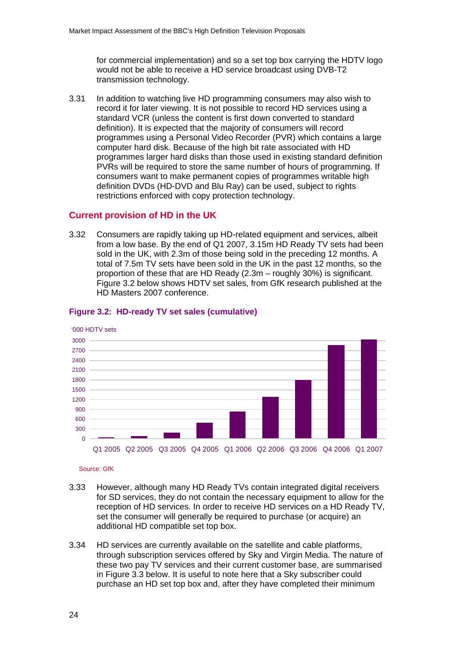for commercial implementation) and so a set top box carrying the HDTV logo would not be able to receive a HD service broadcast using DVB-T2 transmission technology.

3.31 In addition to watching live HD programming consumers may also wish to record it for later viewing. It is not possible to record HD services using a standard VCR (unless the content is first down converted to standard definition). It is expected that the majority of consumers will record programmes using a Personal Video Recorder (PVR) which contains a large computer hard disk. Because of the high bit rate associated with HD programmes larger hard disks than those used in existing standard definition PVRs will be required to store the same number of hours of programming. If consumers want to make permanent copies of programmes writable high definition DVDs (HD-DVD and Blu Ray) can be used, subject to rights restrictions enforced with copy protection technology.

## **Current provision of HD in the UK**

3.32 Consumers are rapidly taking up HD-related equipment and services, albeit from a low base. By the end of Q1 2007, 3.15m HD Ready TV sets had been sold in the UK, with 2.3m of those being sold in the preceding 12 months. A total of 7.5m TV sets have been sold in the UK in the past 12 months, so the proportion of these that are HD Ready (2.3m – roughly 30%) is significant. Figure 3.2 below shows HDTV set sales, from GfK research published at the HD Masters 2007 conference.



## **Figure 3.2: HD-ready TV set sales (cumulative)**

#### Source: GfK

- 3.33 However, although many HD Ready TVs contain integrated digital receivers for SD services, they do not contain the necessary equipment to allow for the reception of HD services. In order to receive HD services on a HD Ready TV, set the consumer will generally be required to purchase (or acquire) an additional HD compatible set top box.
- 3.34 HD services are currently available on the satellite and cable platforms, through subscription services offered by Sky and Virgin Media. The nature of these two pay TV services and their current customer base, are summarised in Figure 3.3 below. It is useful to note here that a Sky subscriber could purchase an HD set top box and, after they have completed their minimum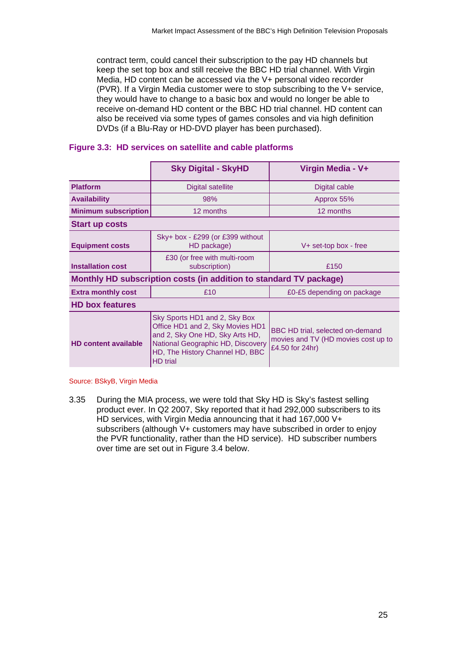contract term, could cancel their subscription to the pay HD channels but keep the set top box and still receive the BBC HD trial channel. With Virgin Media, HD content can be accessed via the V+ personal video recorder (PVR). If a Virgin Media customer were to stop subscribing to the V+ service, they would have to change to a basic box and would no longer be able to receive on-demand HD content or the BBC HD trial channel. HD content can also be received via some types of games consoles and via high definition DVDs (if a Blu-Ray or HD-DVD player has been purchased).

|                                                                                                                                                                                                                                | <b>Sky Digital - SkyHD</b>                            | Virgin Media - V+                                                                          |  |  |  |
|--------------------------------------------------------------------------------------------------------------------------------------------------------------------------------------------------------------------------------|-------------------------------------------------------|--------------------------------------------------------------------------------------------|--|--|--|
| <b>Platform</b>                                                                                                                                                                                                                | Digital satellite                                     | Digital cable                                                                              |  |  |  |
| <b>Availability</b>                                                                                                                                                                                                            | 98%                                                   | Approx 55%                                                                                 |  |  |  |
| <b>Minimum subscription</b>                                                                                                                                                                                                    | 12 months                                             | 12 months                                                                                  |  |  |  |
| <b>Start up costs</b>                                                                                                                                                                                                          |                                                       |                                                                                            |  |  |  |
| <b>Equipment costs</b>                                                                                                                                                                                                         | Sky+ box - £299 (or £399 without<br>HD package)       | V+ set-top box - free                                                                      |  |  |  |
| <b>Installation cost</b>                                                                                                                                                                                                       | £30 (or free with multi-room<br>subscription)<br>£150 |                                                                                            |  |  |  |
| Monthly HD subscription costs (in addition to standard TV package)                                                                                                                                                             |                                                       |                                                                                            |  |  |  |
| <b>Extra monthly cost</b>                                                                                                                                                                                                      | £10                                                   | £0-£5 depending on package                                                                 |  |  |  |
| <b>HD box features</b>                                                                                                                                                                                                         |                                                       |                                                                                            |  |  |  |
| Sky Sports HD1 and 2, Sky Box<br>Office HD1 and 2, Sky Movies HD1<br>and 2, Sky One HD, Sky Arts HD,<br><b>HD content available</b><br>National Geographic HD, Discovery<br>HD, The History Channel HD, BBC<br><b>HD</b> trial |                                                       | BBC HD trial, selected on-demand<br>movies and TV (HD movies cost up to<br>£4.50 for 24hr) |  |  |  |

#### **Figure 3.3: HD services on satellite and cable platforms**

Source: BSkyB, Virgin Media

3.35 During the MIA process, we were told that Sky HD is Sky's fastest selling product ever. In Q2 2007, Sky reported that it had 292,000 subscribers to its HD services, with Virgin Media announcing that it had 167,000 V+ subscribers (although V+ customers may have subscribed in order to enjoy the PVR functionality, rather than the HD service). HD subscriber numbers over time are set out in Figure 3.4 below.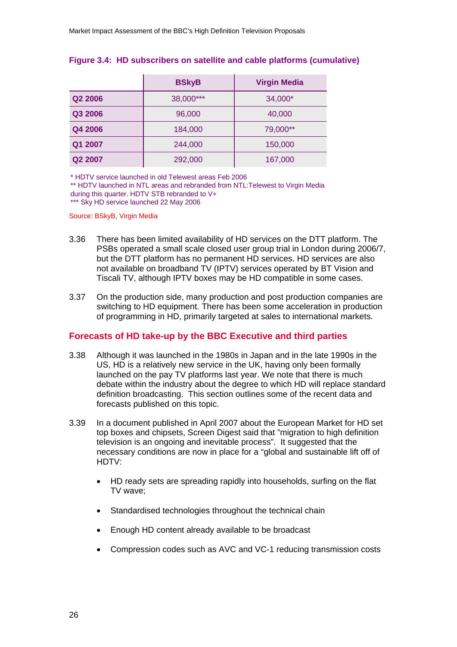|         | <b>BSkyB</b> | <b>Virgin Media</b> |
|---------|--------------|---------------------|
| Q2 2006 | 38,000***    | 34,000*             |
| Q3 2006 | 96,000       | 40,000              |
| Q4 2006 | 184,000      | 79,000**            |
| Q1 2007 | 244,000      | 150,000             |
| Q2 2007 | 292,000      | 167,000             |

#### **Figure 3.4: HD subscribers on satellite and cable platforms (cumulative)**

\* HDTV service launched in old Telewest areas Feb 2006

\*\* HDTV launched in NTL areas and rebranded from NTL:Telewest to Virgin Media during this quarter. HDTV STB rebranded to V+

\*\*\* Sky HD service launched 22 May 2006

#### Source: BSkyB, Virgin Media

- 3.36 There has been limited availability of HD services on the DTT platform. The PSBs operated a small scale closed user group trial in London during 2006/7, but the DTT platform has no permanent HD services. HD services are also not available on broadband TV (IPTV) services operated by BT Vision and Tiscali TV, although IPTV boxes may be HD compatible in some cases.
- 3.37 On the production side, many production and post production companies are switching to HD equipment. There has been some acceleration in production of programming in HD, primarily targeted at sales to international markets.

#### **Forecasts of HD take-up by the BBC Executive and third parties**

- 3.38 Although it was launched in the 1980s in Japan and in the late 1990s in the US, HD is a relatively new service in the UK, having only been formally launched on the pay TV platforms last year. We note that there is much debate within the industry about the degree to which HD will replace standard definition broadcasting. This section outlines some of the recent data and forecasts published on this topic.
- 3.39 In a document published in April 2007 about the European Market for HD set top boxes and chipsets, Screen Digest said that "migration to high definition television is an ongoing and inevitable process". It suggested that the necessary conditions are now in place for a "global and sustainable lift off of HDTV:
	- HD ready sets are spreading rapidly into households, surfing on the flat TV wave;
	- Standardised technologies throughout the technical chain
	- Enough HD content already available to be broadcast
	- Compression codes such as AVC and VC-1 reducing transmission costs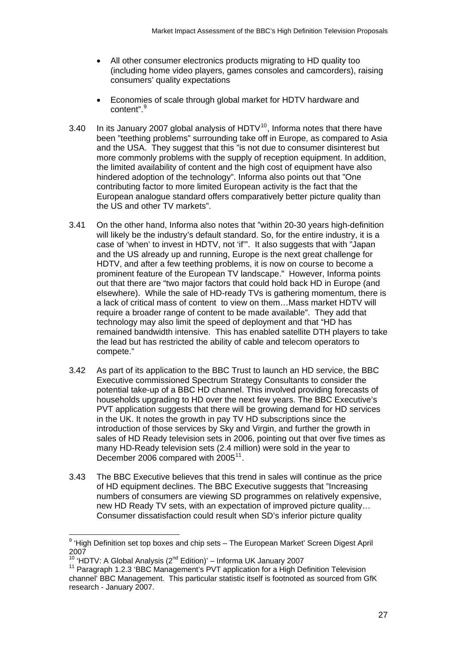- <span id="page-26-0"></span>• All other consumer electronics products migrating to HD quality too (including home video players, games consoles and camcorders), raising consumers' quality expectations
- Economies of scale through global market for HDTV hardware and content".<sup>[9](#page-26-0)</sup>
- 3.40 In its January 2007 global analysis of HDTV $10$ , Informa notes that there have been "teething problems" surrounding take off in Europe, as compared to Asia and the USA. They suggest that this "is not due to consumer disinterest but more commonly problems with the supply of reception equipment. In addition, the limited availability of content and the high cost of equipment have also hindered adoption of the technology". Informa also points out that "One contributing factor to more limited European activity is the fact that the European analogue standard offers comparatively better picture quality than the US and other TV markets".
- 3.41 On the other hand, Informa also notes that "within 20-30 years high-definition will likely be the industry's default standard. So, for the entire industry, it is a case of 'when' to invest in HDTV, not 'if'". It also suggests that with "Japan and the US already up and running, Europe is the next great challenge for HDTV, and after a few teething problems, it is now on course to become a prominent feature of the European TV landscape." However, Informa points out that there are "two major factors that could hold back HD in Europe (and elsewhere). While the sale of HD-ready TVs is gathering momentum, there is a lack of critical mass of content to view on them…Mass market HDTV will require a broader range of content to be made available". They add that technology may also limit the speed of deployment and that "HD has remained bandwidth intensive. This has enabled satellite DTH players to take the lead but has restricted the ability of cable and telecom operators to compete."
- 3.42 As part of its application to the BBC Trust to launch an HD service, the BBC Executive commissioned Spectrum Strategy Consultants to consider the potential take-up of a BBC HD channel. This involved providing forecasts of households upgrading to HD over the next few years. The BBC Executive's PVT application suggests that there will be growing demand for HD services in the UK. It notes the growth in pay TV HD subscriptions since the introduction of those services by Sky and Virgin, and further the growth in sales of HD Ready television sets in 2006, pointing out that over five times as many HD-Ready television sets (2.4 million) were sold in the year to December 2006 compared with 2005<sup>[11](#page-26-0)</sup>.
- 3.43 The BBC Executive believes that this trend in sales will continue as the price of HD equipment declines. The BBC Executive suggests that "Increasing numbers of consumers are viewing SD programmes on relatively expensive, new HD Ready TV sets, with an expectation of improved picture quality… Consumer dissatisfaction could result when SD's inferior picture quality

1

<sup>&</sup>lt;sup>9</sup> 'High Definition set top boxes and chip sets - The European Market' Screen Digest April 2007

<sup>10 &#</sup>x27;HDTV: A Global Analysis (2<sup>nd</sup> Edition)' – Informa UK January 2007<br><sup>11</sup> Paragraph 1.2.3 'BBC Management's PVT application for a High Definition Television channel' BBC Management. This particular statistic itself is footnoted as sourced from GfK research - January 2007.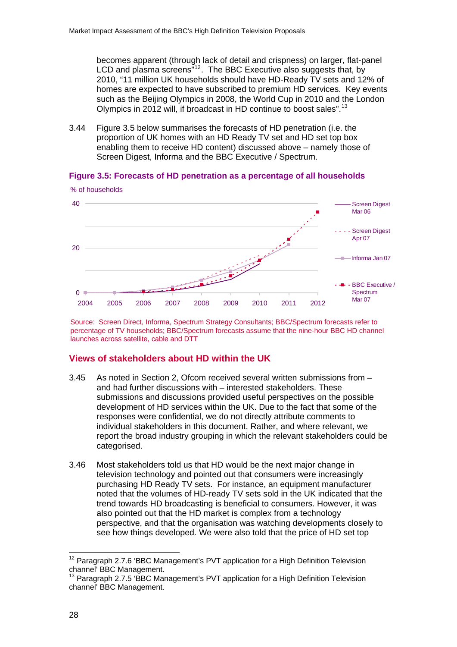<span id="page-27-0"></span>becomes apparent (through lack of detail and crispness) on larger, flat-panel LCD and plasma screens"<sup>[12](#page-27-0)</sup>. The BBC Executive also suggests that, by 2010, "11 million UK households should have HD-Ready TV sets and 12% of homes are expected to have subscribed to premium HD services. Key events such as the Beijing Olympics in 2008, the World Cup in 2010 and the London Olympics in 2012 will, if broadcast in HD continue to boost sales".[13](#page-27-0)

3.44 Figure 3.5 below summarises the forecasts of HD penetration (i.e. the proportion of UK homes with an HD Ready TV set and HD set top box enabling them to receive HD content) discussed above – namely those of Screen Digest, Informa and the BBC Executive / Spectrum.

#### **Figure 3.5: Forecasts of HD penetration as a percentage of all households**



Source: Screen Direct, Informa, Spectrum Strategy Consultants; BBC/Spectrum forecasts refer to percentage of TV households; BBC/Spectrum forecasts assume that the nine-hour BBC HD channel launches across satellite, cable and DTT

## **Views of stakeholders about HD within the UK**

- 3.45 As noted in Section 2, Ofcom received several written submissions from and had further discussions with – interested stakeholders. These submissions and discussions provided useful perspectives on the possible development of HD services within the UK. Due to the fact that some of the responses were confidential, we do not directly attribute comments to individual stakeholders in this document. Rather, and where relevant, we report the broad industry grouping in which the relevant stakeholders could be categorised.
- 3.46 Most stakeholders told us that HD would be the next major change in television technology and pointed out that consumers were increasingly purchasing HD Ready TV sets. For instance, an equipment manufacturer noted that the volumes of HD-ready TV sets sold in the UK indicated that the trend towards HD broadcasting is beneficial to consumers. However, it was also pointed out that the HD market is complex from a technology perspective, and that the organisation was watching developments closely to see how things developed. We were also told that the price of HD set top

 $\overline{a}$ 

 $12$  Paragraph 2.7.6 'BBC Management's PVT application for a High Definition Television channel' BBC Management.

 $13$  Paragraph 2.7.5 'BBC Management's PVT application for a High Definition Television channel' BBC Management.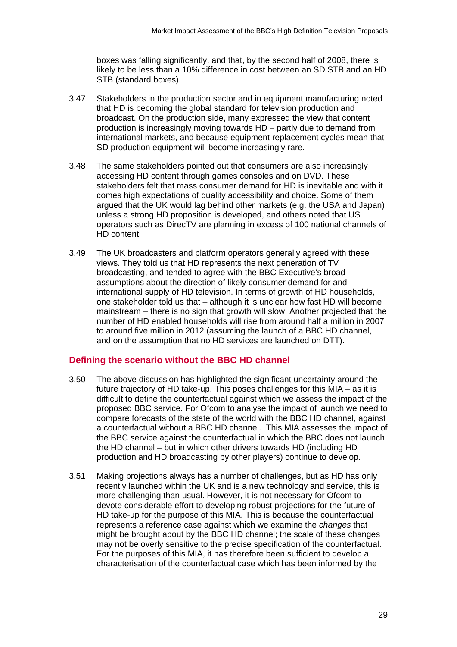boxes was falling significantly, and that, by the second half of 2008, there is likely to be less than a 10% difference in cost between an SD STB and an HD STB (standard boxes).

- 3.47 Stakeholders in the production sector and in equipment manufacturing noted that HD is becoming the global standard for television production and broadcast. On the production side, many expressed the view that content production is increasingly moving towards HD – partly due to demand from international markets, and because equipment replacement cycles mean that SD production equipment will become increasingly rare.
- 3.48 The same stakeholders pointed out that consumers are also increasingly accessing HD content through games consoles and on DVD. These stakeholders felt that mass consumer demand for HD is inevitable and with it comes high expectations of quality accessibility and choice. Some of them argued that the UK would lag behind other markets (e.g. the USA and Japan) unless a strong HD proposition is developed, and others noted that US operators such as DirecTV are planning in excess of 100 national channels of HD content.
- 3.49 The UK broadcasters and platform operators generally agreed with these views. They told us that HD represents the next generation of TV broadcasting, and tended to agree with the BBC Executive's broad assumptions about the direction of likely consumer demand for and international supply of HD television. In terms of growth of HD households, one stakeholder told us that – although it is unclear how fast HD will become mainstream – there is no sign that growth will slow. Another projected that the number of HD enabled households will rise from around half a million in 2007 to around five million in 2012 (assuming the launch of a BBC HD channel, and on the assumption that no HD services are launched on DTT).

#### **Defining the scenario without the BBC HD channel**

- 3.50 The above discussion has highlighted the significant uncertainty around the future trajectory of HD take-up. This poses challenges for this MIA – as it is difficult to define the counterfactual against which we assess the impact of the proposed BBC service. For Ofcom to analyse the impact of launch we need to compare forecasts of the state of the world with the BBC HD channel, against a counterfactual without a BBC HD channel. This MIA assesses the impact of the BBC service against the counterfactual in which the BBC does not launch the HD channel – but in which other drivers towards HD (including HD production and HD broadcasting by other players) continue to develop.
- 3.51 Making projections always has a number of challenges, but as HD has only recently launched within the UK and is a new technology and service, this is more challenging than usual. However, it is not necessary for Ofcom to devote considerable effort to developing robust projections for the future of HD take-up for the purpose of this MIA. This is because the counterfactual represents a reference case against which we examine the *changes* that might be brought about by the BBC HD channel; the scale of these changes may not be overly sensitive to the precise specification of the counterfactual. For the purposes of this MIA, it has therefore been sufficient to develop a characterisation of the counterfactual case which has been informed by the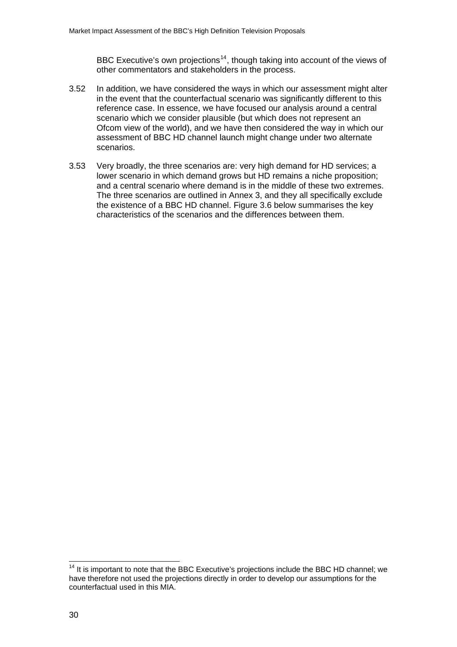BBC Executive's own projections<sup>[14](#page-29-0)</sup>, though taking into account of the views of other commentators and stakeholders in the process.

- <span id="page-29-0"></span>3.52 In addition, we have considered the ways in which our assessment might alter in the event that the counterfactual scenario was significantly different to this reference case. In essence, we have focused our analysis around a central scenario which we consider plausible (but which does not represent an Ofcom view of the world), and we have then considered the way in which our assessment of BBC HD channel launch might change under two alternate scenarios.
- 3.53 Very broadly, the three scenarios are: very high demand for HD services; a lower scenario in which demand grows but HD remains a niche proposition; and a central scenario where demand is in the middle of these two extremes. The three scenarios are outlined in Annex 3, and they all specifically exclude the existence of a BBC HD channel. Figure 3.6 below summarises the key characteristics of the scenarios and the differences between them.

1

 $14$  It is important to note that the BBC Executive's projections include the BBC HD channel; we have therefore not used the projections directly in order to develop our assumptions for the counterfactual used in this MIA.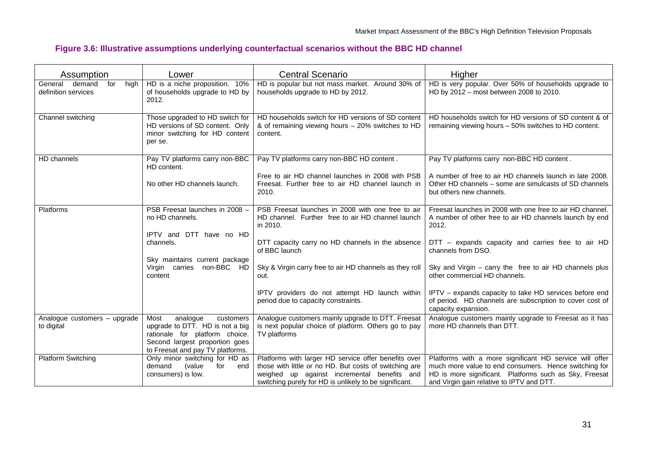## **Figure 3.6: Illustrative assumptions underlying counterfactual scenarios without the BBC HD channel**

| Assumption                                              | Lower                                                                                                                                                                    | <b>Central Scenario</b>                                                                                                                                                                                                 | Higher                                                                                                                                                                                                                  |  |
|---------------------------------------------------------|--------------------------------------------------------------------------------------------------------------------------------------------------------------------------|-------------------------------------------------------------------------------------------------------------------------------------------------------------------------------------------------------------------------|-------------------------------------------------------------------------------------------------------------------------------------------------------------------------------------------------------------------------|--|
| General<br>demand<br>for<br>high<br>definition services | HD is a niche proposition. 10%<br>of households upgrade to HD by<br>2012.                                                                                                | HD is popular but not mass market. Around 30% of<br>households upgrade to HD by 2012.                                                                                                                                   | HD is very popular. Over 50% of households upgrade to<br>HD by 2012 - most between 2008 to 2010.                                                                                                                        |  |
| Channel switching                                       | Those upgraded to HD switch for<br>HD versions of SD content. Only<br>minor switching for HD content<br>per se.                                                          | HD households switch for HD versions of SD content<br>& of remaining viewing hours – 20% switches to HD<br>content.                                                                                                     | HD households switch for HD versions of SD content & of<br>remaining viewing hours - 50% switches to HD content.                                                                                                        |  |
| HD channels                                             | Pay TV platforms carry non-BBC<br>HD content.                                                                                                                            | Pay TV platforms carry non-BBC HD content.                                                                                                                                                                              | Pay TV platforms carry non-BBC HD content.                                                                                                                                                                              |  |
|                                                         | No other HD channels launch.                                                                                                                                             | Free to air HD channel launches in 2008 with PSB<br>Freesat. Further free to air HD channel launch in<br>2010.                                                                                                          | A number of free to air HD channels launch in late 2008.<br>Other HD channels – some are simulcasts of SD channels<br>but others new channels.                                                                          |  |
| Platforms                                               | PSB Freesat launches in 2008 -<br>no HD channels.                                                                                                                        | PSB Freesat launches in 2008 with one free to air<br>HD channel. Further free to air HD channel launch<br>in 2010.                                                                                                      | Freesat launches in 2008 with one free to air HD channel.<br>A number of other free to air HD channels launch by end<br>2012.                                                                                           |  |
|                                                         | IPTV and DTT have no HD<br>channels.                                                                                                                                     | DTT capacity carry no HD channels in the absence<br>of BBC launch                                                                                                                                                       | DTT - expands capacity and carries free to air HD<br>channels from DSO.                                                                                                                                                 |  |
|                                                         | Sky maintains current package<br>Virgin carries non-BBC HD<br>content                                                                                                    | Sky & Virgin carry free to air HD channels as they roll<br>out.                                                                                                                                                         | Sky and Virgin - carry the free to air HD channels plus<br>other commercial HD channels.                                                                                                                                |  |
|                                                         |                                                                                                                                                                          | IPTV providers do not attempt HD launch within<br>period due to capacity constraints.                                                                                                                                   | IPTV - expands capacity to take HD services before end<br>of period. HD channels are subscription to cover cost of<br>capacity expansion.                                                                               |  |
| Analogue customers - upgrade<br>to digital              | Most<br>analogue<br>customers<br>upgrade to DTT. HD is not a big<br>rationale for platform choice.<br>Second largest proportion goes<br>to Freesat and pay TV platforms. | Analogue customers mainly upgrade to DTT. Freesat<br>is next popular choice of platform. Others go to pay<br>TV platforms                                                                                               | Analogue customers mainly upgrade to Freesat as it has<br>more HD channels than DTT.                                                                                                                                    |  |
| <b>Platform Switching</b>                               | Only minor switching for HD as<br>demand<br>(value<br>for<br>end<br>consumers) is low.                                                                                   | Platforms with larger HD service offer benefits over<br>those with little or no HD. But costs of switching are<br>weighed up against incremental benefits and<br>switching purely for HD is unlikely to be significant. | Platforms with a more significant HD service will offer<br>much more value to end consumers. Hence switching for<br>HD is more significant. Platforms such as Sky, Freesat<br>and Virgin gain relative to IPTV and DTT. |  |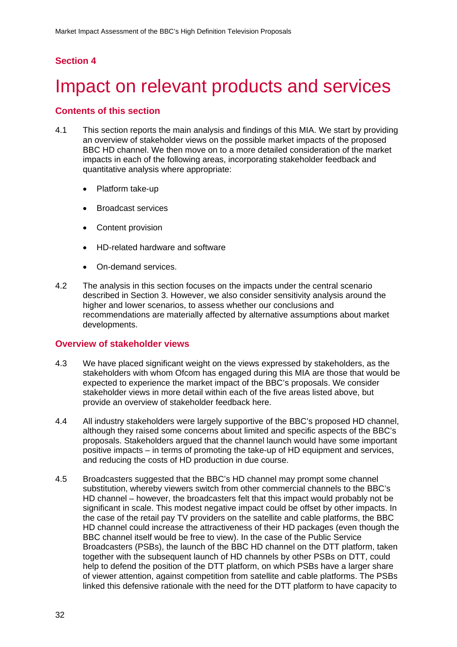## <span id="page-31-0"></span>**Section 4**

# Impact on relevant products and services

#### **Contents of this section**

- 4.1 This section reports the main analysis and findings of this MIA. We start by providing an overview of stakeholder views on the possible market impacts of the proposed BBC HD channel. We then move on to a more detailed consideration of the market impacts in each of the following areas, incorporating stakeholder feedback and quantitative analysis where appropriate:
	- Platform take-up
	- Broadcast services
	- Content provision
	- HD-related hardware and software
	- On-demand services.
- 4.2 The analysis in this section focuses on the impacts under the central scenario described in Section 3. However, we also consider sensitivity analysis around the higher and lower scenarios, to assess whether our conclusions and recommendations are materially affected by alternative assumptions about market developments.

#### **Overview of stakeholder views**

- 4.3 We have placed significant weight on the views expressed by stakeholders, as the stakeholders with whom Ofcom has engaged during this MIA are those that would be expected to experience the market impact of the BBC's proposals. We consider stakeholder views in more detail within each of the five areas listed above, but provide an overview of stakeholder feedback here.
- 4.4 All industry stakeholders were largely supportive of the BBC's proposed HD channel, although they raised some concerns about limited and specific aspects of the BBC's proposals. Stakeholders argued that the channel launch would have some important positive impacts – in terms of promoting the take-up of HD equipment and services, and reducing the costs of HD production in due course.
- 4.5 Broadcasters suggested that the BBC's HD channel may prompt some channel substitution, whereby viewers switch from other commercial channels to the BBC's HD channel – however, the broadcasters felt that this impact would probably not be significant in scale. This modest negative impact could be offset by other impacts. In the case of the retail pay TV providers on the satellite and cable platforms, the BBC HD channel could increase the attractiveness of their HD packages (even though the BBC channel itself would be free to view). In the case of the Public Service Broadcasters (PSBs), the launch of the BBC HD channel on the DTT platform, taken together with the subsequent launch of HD channels by other PSBs on DTT, could help to defend the position of the DTT platform, on which PSBs have a larger share of viewer attention, against competition from satellite and cable platforms. The PSBs linked this defensive rationale with the need for the DTT platform to have capacity to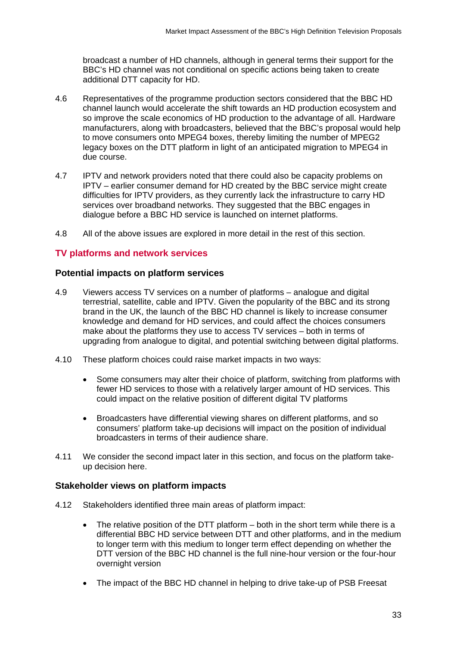broadcast a number of HD channels, although in general terms their support for the BBC's HD channel was not conditional on specific actions being taken to create additional DTT capacity for HD.

- 4.6 Representatives of the programme production sectors considered that the BBC HD channel launch would accelerate the shift towards an HD production ecosystem and so improve the scale economics of HD production to the advantage of all. Hardware manufacturers, along with broadcasters, believed that the BBC's proposal would help to move consumers onto MPEG4 boxes, thereby limiting the number of MPEG2 legacy boxes on the DTT platform in light of an anticipated migration to MPEG4 in due course.
- 4.7 IPTV and network providers noted that there could also be capacity problems on IPTV – earlier consumer demand for HD created by the BBC service might create difficulties for IPTV providers, as they currently lack the infrastructure to carry HD services over broadband networks. They suggested that the BBC engages in dialogue before a BBC HD service is launched on internet platforms.
- 4.8 All of the above issues are explored in more detail in the rest of this section.

## **TV platforms and network services**

#### **Potential impacts on platform services**

- 4.9 Viewers access TV services on a number of platforms analogue and digital terrestrial, satellite, cable and IPTV. Given the popularity of the BBC and its strong brand in the UK, the launch of the BBC HD channel is likely to increase consumer knowledge and demand for HD services, and could affect the choices consumers make about the platforms they use to access TV services – both in terms of upgrading from analogue to digital, and potential switching between digital platforms.
- 4.10 These platform choices could raise market impacts in two ways:
	- Some consumers may alter their choice of platform, switching from platforms with fewer HD services to those with a relatively larger amount of HD services. This could impact on the relative position of different digital TV platforms
	- Broadcasters have differential viewing shares on different platforms, and so consumers' platform take-up decisions will impact on the position of individual broadcasters in terms of their audience share.
- 4.11 We consider the second impact later in this section, and focus on the platform takeup decision here.

#### **Stakeholder views on platform impacts**

- 4.12 Stakeholders identified three main areas of platform impact:
	- The relative position of the DTT platform both in the short term while there is a differential BBC HD service between DTT and other platforms, and in the medium to longer term with this medium to longer term effect depending on whether the DTT version of the BBC HD channel is the full nine-hour version or the four-hour overnight version
	- The impact of the BBC HD channel in helping to drive take-up of PSB Freesat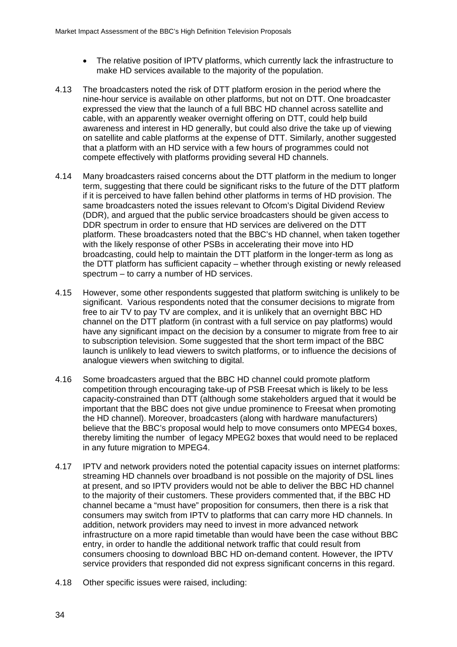- The relative position of IPTV platforms, which currently lack the infrastructure to make HD services available to the majority of the population.
- 4.13 The broadcasters noted the risk of DTT platform erosion in the period where the nine-hour service is available on other platforms, but not on DTT. One broadcaster expressed the view that the launch of a full BBC HD channel across satellite and cable, with an apparently weaker overnight offering on DTT, could help build awareness and interest in HD generally, but could also drive the take up of viewing on satellite and cable platforms at the expense of DTT. Similarly, another suggested that a platform with an HD service with a few hours of programmes could not compete effectively with platforms providing several HD channels.
- 4.14 Many broadcasters raised concerns about the DTT platform in the medium to longer term, suggesting that there could be significant risks to the future of the DTT platform if it is perceived to have fallen behind other platforms in terms of HD provision. The same broadcasters noted the issues relevant to Ofcom's Digital Dividend Review (DDR), and argued that the public service broadcasters should be given access to DDR spectrum in order to ensure that HD services are delivered on the DTT platform. These broadcasters noted that the BBC's HD channel, when taken together with the likely response of other PSBs in accelerating their move into HD broadcasting, could help to maintain the DTT platform in the longer-term as long as the DTT platform has sufficient capacity – whether through existing or newly released spectrum – to carry a number of HD services.
- 4.15 However, some other respondents suggested that platform switching is unlikely to be significant. Various respondents noted that the consumer decisions to migrate from free to air TV to pay TV are complex, and it is unlikely that an overnight BBC HD channel on the DTT platform (in contrast with a full service on pay platforms) would have any significant impact on the decision by a consumer to migrate from free to air to subscription television. Some suggested that the short term impact of the BBC launch is unlikely to lead viewers to switch platforms, or to influence the decisions of analogue viewers when switching to digital.
- 4.16 Some broadcasters argued that the BBC HD channel could promote platform competition through encouraging take-up of PSB Freesat which is likely to be less capacity-constrained than DTT (although some stakeholders argued that it would be important that the BBC does not give undue prominence to Freesat when promoting the HD channel). Moreover, broadcasters (along with hardware manufacturers) believe that the BBC's proposal would help to move consumers onto MPEG4 boxes, thereby limiting the number of legacy MPEG2 boxes that would need to be replaced in any future migration to MPEG4.
- 4.17 IPTV and network providers noted the potential capacity issues on internet platforms: streaming HD channels over broadband is not possible on the majority of DSL lines at present, and so IPTV providers would not be able to deliver the BBC HD channel to the majority of their customers. These providers commented that, if the BBC HD channel became a "must have" proposition for consumers, then there is a risk that consumers may switch from IPTV to platforms that can carry more HD channels. In addition, network providers may need to invest in more advanced network infrastructure on a more rapid timetable than would have been the case without BBC entry, in order to handle the additional network traffic that could result from consumers choosing to download BBC HD on-demand content. However, the IPTV service providers that responded did not express significant concerns in this regard.
- 4.18 Other specific issues were raised, including: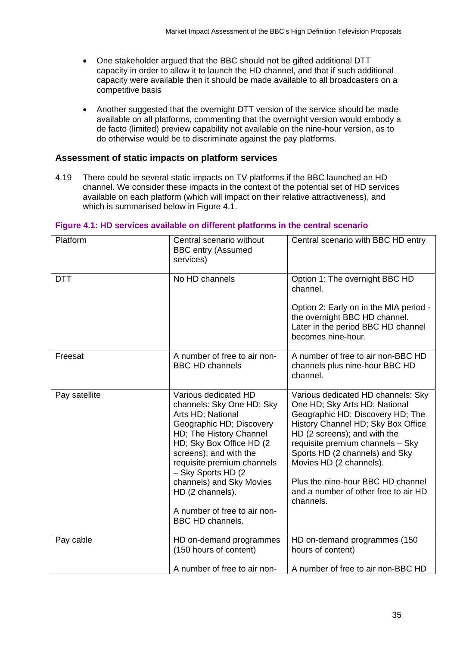- One stakeholder argued that the BBC should not be gifted additional DTT capacity in order to allow it to launch the HD channel, and that if such additional capacity were available then it should be made available to all broadcasters on a competitive basis
- Another suggested that the overnight DTT version of the service should be made available on all platforms, commenting that the overnight version would embody a de facto (limited) preview capability not available on the nine-hour version, as to do otherwise would be to discriminate against the pay platforms.

## **Assessment of static impacts on platform services**

4.19 There could be several static impacts on TV platforms if the BBC launched an HD channel. We consider these impacts in the context of the potential set of HD services available on each platform (which will impact on their relative attractiveness), and which is summarised below in Figure 4.1.

| Platform      | Central scenario without<br><b>BBC entry (Assumed</b><br>services)                                                                                                                                                                                                                                                                                  | Central scenario with BBC HD entry                                                                                                                                                                                                                                                                                                                                       |
|---------------|-----------------------------------------------------------------------------------------------------------------------------------------------------------------------------------------------------------------------------------------------------------------------------------------------------------------------------------------------------|--------------------------------------------------------------------------------------------------------------------------------------------------------------------------------------------------------------------------------------------------------------------------------------------------------------------------------------------------------------------------|
| <b>DTT</b>    | No HD channels                                                                                                                                                                                                                                                                                                                                      | Option 1: The overnight BBC HD<br>channel.<br>Option 2: Early on in the MIA period -<br>the overnight BBC HD channel.<br>Later in the period BBC HD channel<br>becomes nine-hour.                                                                                                                                                                                        |
| Freesat       | A number of free to air non-<br><b>BBC HD channels</b>                                                                                                                                                                                                                                                                                              | A number of free to air non-BBC HD<br>channels plus nine-hour BBC HD<br>channel.                                                                                                                                                                                                                                                                                         |
| Pay satellite | Various dedicated HD<br>channels: Sky One HD; Sky<br>Arts HD; National<br>Geographic HD; Discovery<br>HD; The History Channel<br>HD; Sky Box Office HD (2)<br>screens); and with the<br>requisite premium channels<br>- Sky Sports HD (2<br>channels) and Sky Movies<br>HD (2 channels).<br>A number of free to air non-<br><b>BBC HD channels.</b> | Various dedicated HD channels: Sky<br>One HD; Sky Arts HD; National<br>Geographic HD; Discovery HD; The<br>History Channel HD; Sky Box Office<br>HD (2 screens); and with the<br>requisite premium channels - Sky<br>Sports HD (2 channels) and Sky<br>Movies HD (2 channels).<br>Plus the nine-hour BBC HD channel<br>and a number of other free to air HD<br>channels. |
| Pay cable     | HD on-demand programmes<br>(150 hours of content)                                                                                                                                                                                                                                                                                                   | HD on-demand programmes (150<br>hours of content)                                                                                                                                                                                                                                                                                                                        |
|               | A number of free to air non-                                                                                                                                                                                                                                                                                                                        | A number of free to air non-BBC HD                                                                                                                                                                                                                                                                                                                                       |

#### **Figure 4.1: HD services available on different platforms in the central scenario**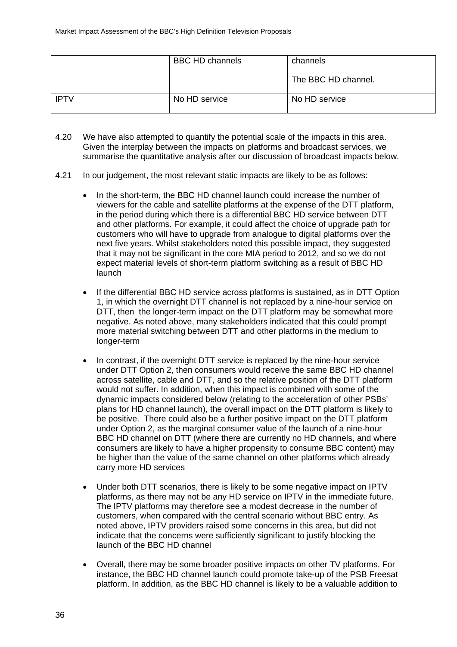|             | <b>BBC HD channels</b> | channels            |  |
|-------------|------------------------|---------------------|--|
|             |                        | The BBC HD channel. |  |
| <b>IPTV</b> | No HD service          | No HD service       |  |

- 4.20 We have also attempted to quantify the potential scale of the impacts in this area. Given the interplay between the impacts on platforms and broadcast services, we summarise the quantitative analysis after our discussion of broadcast impacts below.
- 4.21 In our judgement, the most relevant static impacts are likely to be as follows:
	- In the short-term, the BBC HD channel launch could increase the number of viewers for the cable and satellite platforms at the expense of the DTT platform, in the period during which there is a differential BBC HD service between DTT and other platforms. For example, it could affect the choice of upgrade path for customers who will have to upgrade from analogue to digital platforms over the next five years. Whilst stakeholders noted this possible impact, they suggested that it may not be significant in the core MIA period to 2012, and so we do not expect material levels of short-term platform switching as a result of BBC HD launch
	- If the differential BBC HD service across platforms is sustained, as in DTT Option 1, in which the overnight DTT channel is not replaced by a nine-hour service on DTT, then the longer-term impact on the DTT platform may be somewhat more negative. As noted above, many stakeholders indicated that this could prompt more material switching between DTT and other platforms in the medium to longer-term
	- In contrast, if the overnight DTT service is replaced by the nine-hour service under DTT Option 2, then consumers would receive the same BBC HD channel across satellite, cable and DTT, and so the relative position of the DTT platform would not suffer. In addition, when this impact is combined with some of the dynamic impacts considered below (relating to the acceleration of other PSBs' plans for HD channel launch), the overall impact on the DTT platform is likely to be positive. There could also be a further positive impact on the DTT platform under Option 2, as the marginal consumer value of the launch of a nine-hour BBC HD channel on DTT (where there are currently no HD channels, and where consumers are likely to have a higher propensity to consume BBC content) may be higher than the value of the same channel on other platforms which already carry more HD services
	- Under both DTT scenarios, there is likely to be some negative impact on IPTV platforms, as there may not be any HD service on IPTV in the immediate future. The IPTV platforms may therefore see a modest decrease in the number of customers, when compared with the central scenario without BBC entry. As noted above, IPTV providers raised some concerns in this area, but did not indicate that the concerns were sufficiently significant to justify blocking the launch of the BBC HD channel
	- Overall, there may be some broader positive impacts on other TV platforms. For instance, the BBC HD channel launch could promote take-up of the PSB Freesat platform. In addition, as the BBC HD channel is likely to be a valuable addition to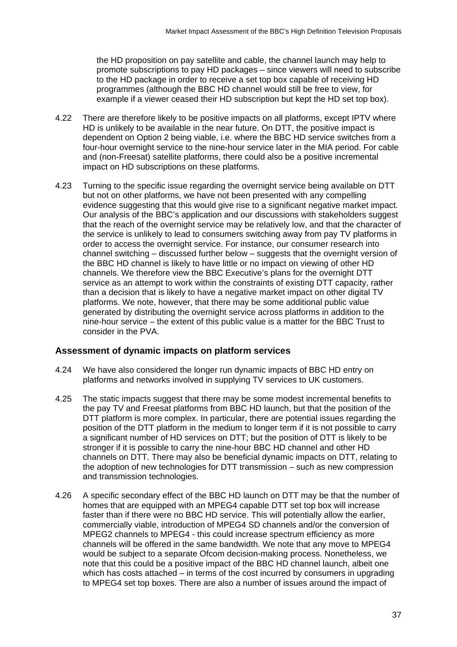the HD proposition on pay satellite and cable, the channel launch may help to promote subscriptions to pay HD packages – since viewers will need to subscribe to the HD package in order to receive a set top box capable of receiving HD programmes (although the BBC HD channel would still be free to view, for example if a viewer ceased their HD subscription but kept the HD set top box).

- 4.22 There are therefore likely to be positive impacts on all platforms, except IPTV where HD is unlikely to be available in the near future. On DTT, the positive impact is dependent on Option 2 being viable, i.e. where the BBC HD service switches from a four-hour overnight service to the nine-hour service later in the MIA period. For cable and (non-Freesat) satellite platforms, there could also be a positive incremental impact on HD subscriptions on these platforms.
- 4.23 Turning to the specific issue regarding the overnight service being available on DTT but not on other platforms, we have not been presented with any compelling evidence suggesting that this would give rise to a significant negative market impact. Our analysis of the BBC's application and our discussions with stakeholders suggest that the reach of the overnight service may be relatively low, and that the character of the service is unlikely to lead to consumers switching away from pay TV platforms in order to access the overnight service. For instance, our consumer research into channel switching – discussed further below – suggests that the overnight version of the BBC HD channel is likely to have little or no impact on viewing of other HD channels. We therefore view the BBC Executive's plans for the overnight DTT service as an attempt to work within the constraints of existing DTT capacity, rather than a decision that is likely to have a negative market impact on other digital TV platforms. We note, however, that there may be some additional public value generated by distributing the overnight service across platforms in addition to the nine-hour service – the extent of this public value is a matter for the BBC Trust to consider in the PVA.

## **Assessment of dynamic impacts on platform services**

- 4.24 We have also considered the longer run dynamic impacts of BBC HD entry on platforms and networks involved in supplying TV services to UK customers.
- 4.25 The static impacts suggest that there may be some modest incremental benefits to the pay TV and Freesat platforms from BBC HD launch, but that the position of the DTT platform is more complex. In particular, there are potential issues regarding the position of the DTT platform in the medium to longer term if it is not possible to carry a significant number of HD services on DTT; but the position of DTT is likely to be stronger if it is possible to carry the nine-hour BBC HD channel and other HD channels on DTT. There may also be beneficial dynamic impacts on DTT, relating to the adoption of new technologies for DTT transmission – such as new compression and transmission technologies.
- 4.26 A specific secondary effect of the BBC HD launch on DTT may be that the number of homes that are equipped with an MPEG4 capable DTT set top box will increase faster than if there were no BBC HD service. This will potentially allow the earlier, commercially viable, introduction of MPEG4 SD channels and/or the conversion of MPEG2 channels to MPEG4 - this could increase spectrum efficiency as more channels will be offered in the same bandwidth. We note that any move to MPEG4 would be subject to a separate Ofcom decision-making process. Nonetheless, we note that this could be a positive impact of the BBC HD channel launch, albeit one which has costs attached – in terms of the cost incurred by consumers in upgrading to MPEG4 set top boxes. There are also a number of issues around the impact of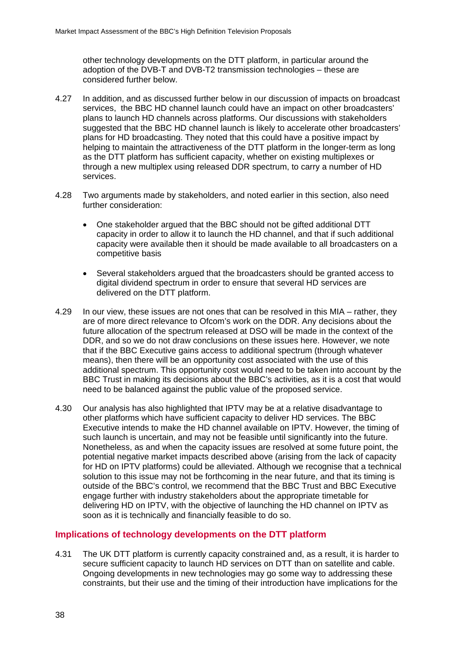other technology developments on the DTT platform, in particular around the adoption of the DVB-T and DVB-T2 transmission technologies – these are considered further below.

- 4.27 In addition, and as discussed further below in our discussion of impacts on broadcast services, the BBC HD channel launch could have an impact on other broadcasters' plans to launch HD channels across platforms. Our discussions with stakeholders suggested that the BBC HD channel launch is likely to accelerate other broadcasters' plans for HD broadcasting. They noted that this could have a positive impact by helping to maintain the attractiveness of the DTT platform in the longer-term as long as the DTT platform has sufficient capacity, whether on existing multiplexes or through a new multiplex using released DDR spectrum, to carry a number of HD services.
- 4.28 Two arguments made by stakeholders, and noted earlier in this section, also need further consideration:
	- One stakeholder argued that the BBC should not be gifted additional DTT capacity in order to allow it to launch the HD channel, and that if such additional capacity were available then it should be made available to all broadcasters on a competitive basis
	- Several stakeholders argued that the broadcasters should be granted access to digital dividend spectrum in order to ensure that several HD services are delivered on the DTT platform.
- 4.29 In our view, these issues are not ones that can be resolved in this MIA rather, they are of more direct relevance to Ofcom's work on the DDR. Any decisions about the future allocation of the spectrum released at DSO will be made in the context of the DDR, and so we do not draw conclusions on these issues here. However, we note that if the BBC Executive gains access to additional spectrum (through whatever means), then there will be an opportunity cost associated with the use of this additional spectrum. This opportunity cost would need to be taken into account by the BBC Trust in making its decisions about the BBC's activities, as it is a cost that would need to be balanced against the public value of the proposed service.
- 4.30 Our analysis has also highlighted that IPTV may be at a relative disadvantage to other platforms which have sufficient capacity to deliver HD services. The BBC Executive intends to make the HD channel available on IPTV. However, the timing of such launch is uncertain, and may not be feasible until significantly into the future. Nonetheless, as and when the capacity issues are resolved at some future point, the potential negative market impacts described above (arising from the lack of capacity for HD on IPTV platforms) could be alleviated. Although we recognise that a technical solution to this issue may not be forthcoming in the near future, and that its timing is outside of the BBC's control, we recommend that the BBC Trust and BBC Executive engage further with industry stakeholders about the appropriate timetable for delivering HD on IPTV, with the objective of launching the HD channel on IPTV as soon as it is technically and financially feasible to do so.

## **Implications of technology developments on the DTT platform**

4.31 The UK DTT platform is currently capacity constrained and, as a result, it is harder to secure sufficient capacity to launch HD services on DTT than on satellite and cable. Ongoing developments in new technologies may go some way to addressing these constraints, but their use and the timing of their introduction have implications for the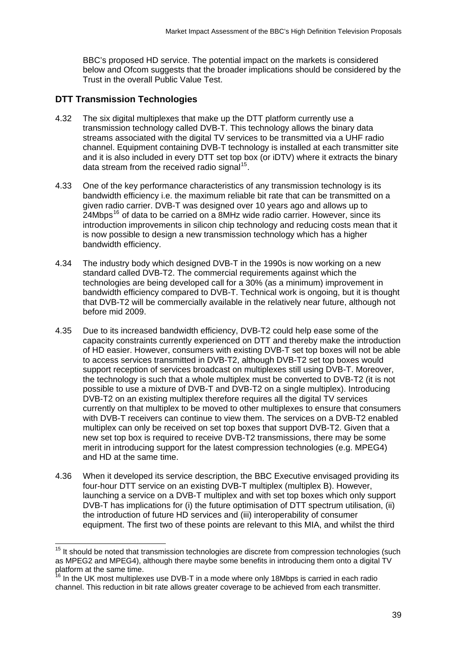<span id="page-38-0"></span>BBC's proposed HD service. The potential impact on the markets is considered below and Ofcom suggests that the broader implications should be considered by the Trust in the overall Public Value Test.

## **DTT Transmission Technologies**

1

- 4.32 The six digital multiplexes that make up the DTT platform currently use a transmission technology called DVB-T. This technology allows the binary data streams associated with the digital TV services to be transmitted via a UHF radio channel. Equipment containing DVB-T technology is installed at each transmitter site and it is also included in every DTT set top box (or iDTV) where it extracts the binary data stream from the received radio signal<sup>[15](#page-38-0)</sup>.
- 4.33 One of the key performance characteristics of any transmission technology is its bandwidth efficiency i.e. the maximum reliable bit rate that can be transmitted on a given radio carrier. DVB-T was designed over 10 years ago and allows up to  $24M$ bps<sup>[16](#page-38-0)</sup> of data to be carried on a 8MHz wide radio carrier. However, since its introduction improvements in silicon chip technology and reducing costs mean that it is now possible to design a new transmission technology which has a higher bandwidth efficiency.
- 4.34 The industry body which designed DVB-T in the 1990s is now working on a new standard called DVB-T2. The commercial requirements against which the technologies are being developed call for a 30% (as a minimum) improvement in bandwidth efficiency compared to DVB-T. Technical work is ongoing, but it is thought that DVB-T2 will be commercially available in the relatively near future, although not before mid 2009.
- 4.35 Due to its increased bandwidth efficiency, DVB-T2 could help ease some of the capacity constraints currently experienced on DTT and thereby make the introduction of HD easier. However, consumers with existing DVB-T set top boxes will not be able to access services transmitted in DVB-T2, although DVB-T2 set top boxes would support reception of services broadcast on multiplexes still using DVB-T. Moreover, the technology is such that a whole multiplex must be converted to DVB-T2 (it is not possible to use a mixture of DVB-T and DVB-T2 on a single multiplex). Introducing DVB-T2 on an existing multiplex therefore requires all the digital TV services currently on that multiplex to be moved to other multiplexes to ensure that consumers with DVB-T receivers can continue to view them. The services on a DVB-T2 enabled multiplex can only be received on set top boxes that support DVB-T2. Given that a new set top box is required to receive DVB-T2 transmissions, there may be some merit in introducing support for the latest compression technologies (e.g. MPEG4) and HD at the same time.
- 4.36 When it developed its service description, the BBC Executive envisaged providing its four-hour DTT service on an existing DVB-T multiplex (multiplex B). However, launching a service on a DVB-T multiplex and with set top boxes which only support DVB-T has implications for (i) the future optimisation of DTT spectrum utilisation, (ii) the introduction of future HD services and (iii) interoperability of consumer equipment. The first two of these points are relevant to this MIA, and whilst the third

 $15$  It should be noted that transmission technologies are discrete from compression technologies (such as MPEG2 and MPEG4), although there maybe some benefits in introducing them onto a digital TV platform at the same time.

 $16$  In the UK most multiplexes use DVB-T in a mode where only 18Mbps is carried in each radio channel. This reduction in bit rate allows greater coverage to be achieved from each transmitter.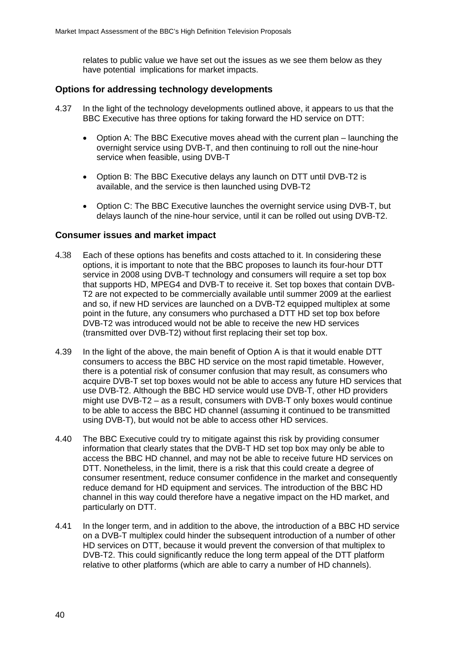relates to public value we have set out the issues as we see them below as they have potential implications for market impacts.

## **Options for addressing technology developments**

- 4.37 In the light of the technology developments outlined above, it appears to us that the BBC Executive has three options for taking forward the HD service on DTT:
	- Option A: The BBC Executive moves ahead with the current plan launching the overnight service using DVB-T, and then continuing to roll out the nine-hour service when feasible, using DVB-T
	- Option B: The BBC Executive delays any launch on DTT until DVB-T2 is available, and the service is then launched using DVB-T2
	- Option C: The BBC Executive launches the overnight service using DVB-T, but delays launch of the nine-hour service, until it can be rolled out using DVB-T2.

#### **Consumer issues and market impact**

- 4.38 Each of these options has benefits and costs attached to it. In considering these options, it is important to note that the BBC proposes to launch its four-hour DTT service in 2008 using DVB-T technology and consumers will require a set top box that supports HD, MPEG4 and DVB-T to receive it. Set top boxes that contain DVB-T2 are not expected to be commercially available until summer 2009 at the earliest and so, if new HD services are launched on a DVB-T2 equipped multiplex at some point in the future, any consumers who purchased a DTT HD set top box before DVB-T2 was introduced would not be able to receive the new HD services (transmitted over DVB-T2) without first replacing their set top box.
- 4.39 In the light of the above, the main benefit of Option A is that it would enable DTT consumers to access the BBC HD service on the most rapid timetable. However, there is a potential risk of consumer confusion that may result, as consumers who acquire DVB-T set top boxes would not be able to access any future HD services that use DVB-T2. Although the BBC HD service would use DVB-T, other HD providers might use DVB-T2 – as a result, consumers with DVB-T only boxes would continue to be able to access the BBC HD channel (assuming it continued to be transmitted using DVB-T), but would not be able to access other HD services.
- 4.40 The BBC Executive could try to mitigate against this risk by providing consumer information that clearly states that the DVB-T HD set top box may only be able to access the BBC HD channel, and may not be able to receive future HD services on DTT. Nonetheless, in the limit, there is a risk that this could create a degree of consumer resentment, reduce consumer confidence in the market and consequently reduce demand for HD equipment and services. The introduction of the BBC HD channel in this way could therefore have a negative impact on the HD market, and particularly on DTT.
- 4.41 In the longer term, and in addition to the above, the introduction of a BBC HD service on a DVB-T multiplex could hinder the subsequent introduction of a number of other HD services on DTT, because it would prevent the conversion of that multiplex to DVB-T2. This could significantly reduce the long term appeal of the DTT platform relative to other platforms (which are able to carry a number of HD channels).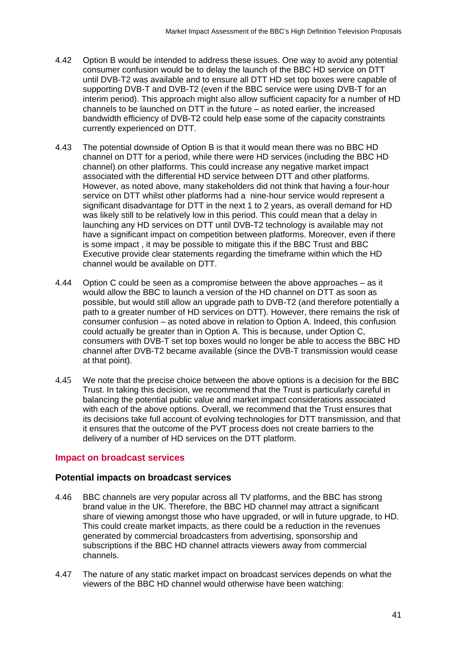- 4.42 Option B would be intended to address these issues. One way to avoid any potential consumer confusion would be to delay the launch of the BBC HD service on DTT until DVB-T2 was available and to ensure all DTT HD set top boxes were capable of supporting DVB-T and DVB-T2 (even if the BBC service were using DVB-T for an interim period). This approach might also allow sufficient capacity for a number of HD channels to be launched on DTT in the future – as noted earlier, the increased bandwidth efficiency of DVB-T2 could help ease some of the capacity constraints currently experienced on DTT.
- 4.43 The potential downside of Option B is that it would mean there was no BBC HD channel on DTT for a period, while there were HD services (including the BBC HD channel) on other platforms. This could increase any negative market impact associated with the differential HD service between DTT and other platforms. However, as noted above, many stakeholders did not think that having a four-hour service on DTT whilst other platforms had a nine-hour service would represent a significant disadvantage for DTT in the next 1 to 2 years, as overall demand for HD was likely still to be relatively low in this period. This could mean that a delay in launching any HD services on DTT until DVB-T2 technology is available may not have a significant impact on competition between platforms. Moreover, even if there is some impact , it may be possible to mitigate this if the BBC Trust and BBC Executive provide clear statements regarding the timeframe within which the HD channel would be available on DTT.
- 4.44 Option C could be seen as a compromise between the above approaches as it would allow the BBC to launch a version of the HD channel on DTT as soon as possible, but would still allow an upgrade path to DVB-T2 (and therefore potentially a path to a greater number of HD services on DTT). However, there remains the risk of consumer confusion – as noted above in relation to Option A. Indeed, this confusion could actually be greater than in Option A. This is because, under Option C, consumers with DVB-T set top boxes would no longer be able to access the BBC HD channel after DVB-T2 became available (since the DVB-T transmission would cease at that point).
- 4.45 We note that the precise choice between the above options is a decision for the BBC Trust. In taking this decision, we recommend that the Trust is particularly careful in balancing the potential public value and market impact considerations associated with each of the above options. Overall, we recommend that the Trust ensures that its decisions take full account of evolving technologies for DTT transmission, and that it ensures that the outcome of the PVT process does not create barriers to the delivery of a number of HD services on the DTT platform.

## **Impact on broadcast services**

## **Potential impacts on broadcast services**

- 4.46 BBC channels are very popular across all TV platforms, and the BBC has strong brand value in the UK. Therefore, the BBC HD channel may attract a significant share of viewing amongst those who have upgraded, or will in future upgrade, to HD. This could create market impacts, as there could be a reduction in the revenues generated by commercial broadcasters from advertising, sponsorship and subscriptions if the BBC HD channel attracts viewers away from commercial channels.
- 4.47 The nature of any static market impact on broadcast services depends on what the viewers of the BBC HD channel would otherwise have been watching: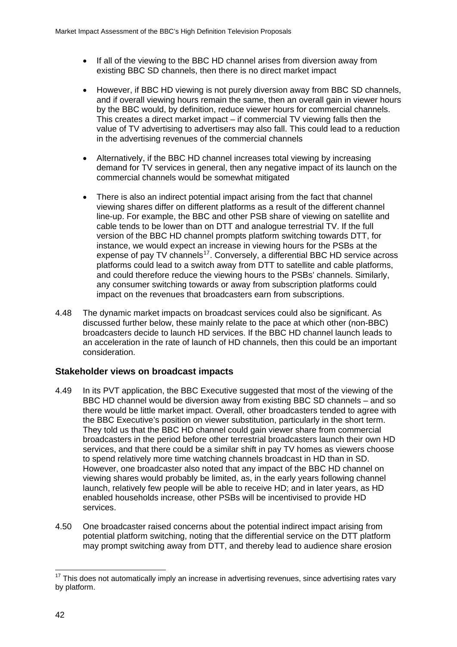- <span id="page-41-0"></span>• If all of the viewing to the BBC HD channel arises from diversion away from existing BBC SD channels, then there is no direct market impact
- However, if BBC HD viewing is not purely diversion away from BBC SD channels, and if overall viewing hours remain the same, then an overall gain in viewer hours by the BBC would, by definition, reduce viewer hours for commercial channels. This creates a direct market impact – if commercial TV viewing falls then the value of TV advertising to advertisers may also fall. This could lead to a reduction in the advertising revenues of the commercial channels
- Alternatively, if the BBC HD channel increases total viewing by increasing demand for TV services in general, then any negative impact of its launch on the commercial channels would be somewhat mitigated
- There is also an indirect potential impact arising from the fact that channel viewing shares differ on different platforms as a result of the different channel line-up. For example, the BBC and other PSB share of viewing on satellite and cable tends to be lower than on DTT and analogue terrestrial TV. If the full version of the BBC HD channel prompts platform switching towards DTT, for instance, we would expect an increase in viewing hours for the PSBs at the expense of pay TV channels<sup>[17](#page-41-0)</sup>. Conversely, a differential BBC HD service across platforms could lead to a switch away from DTT to satellite and cable platforms, and could therefore reduce the viewing hours to the PSBs' channels. Similarly, any consumer switching towards or away from subscription platforms could impact on the revenues that broadcasters earn from subscriptions.
- 4.48 The dynamic market impacts on broadcast services could also be significant. As discussed further below, these mainly relate to the pace at which other (non-BBC) broadcasters decide to launch HD services. If the BBC HD channel launch leads to an acceleration in the rate of launch of HD channels, then this could be an important consideration.

## **Stakeholder views on broadcast impacts**

- 4.49 In its PVT application, the BBC Executive suggested that most of the viewing of the BBC HD channel would be diversion away from existing BBC SD channels – and so there would be little market impact. Overall, other broadcasters tended to agree with the BBC Executive's position on viewer substitution, particularly in the short term. They told us that the BBC HD channel could gain viewer share from commercial broadcasters in the period before other terrestrial broadcasters launch their own HD services, and that there could be a similar shift in pay TV homes as viewers choose to spend relatively more time watching channels broadcast in HD than in SD. However, one broadcaster also noted that any impact of the BBC HD channel on viewing shares would probably be limited, as, in the early years following channel launch, relatively few people will be able to receive HD; and in later years, as HD enabled households increase, other PSBs will be incentivised to provide HD services.
- 4.50 One broadcaster raised concerns about the potential indirect impact arising from potential platform switching, noting that the differential service on the DTT platform may prompt switching away from DTT, and thereby lead to audience share erosion

<sup>1</sup>  $17$  This does not automatically imply an increase in advertising revenues, since advertising rates vary by platform.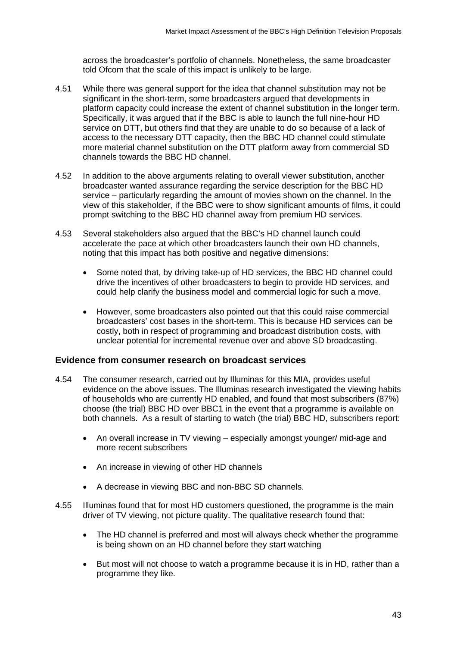across the broadcaster's portfolio of channels. Nonetheless, the same broadcaster told Ofcom that the scale of this impact is unlikely to be large.

- 4.51 While there was general support for the idea that channel substitution may not be significant in the short-term, some broadcasters argued that developments in platform capacity could increase the extent of channel substitution in the longer term. Specifically, it was argued that if the BBC is able to launch the full nine-hour HD service on DTT, but others find that they are unable to do so because of a lack of access to the necessary DTT capacity, then the BBC HD channel could stimulate more material channel substitution on the DTT platform away from commercial SD channels towards the BBC HD channel.
- 4.52 In addition to the above arguments relating to overall viewer substitution, another broadcaster wanted assurance regarding the service description for the BBC HD service – particularly regarding the amount of movies shown on the channel. In the view of this stakeholder, if the BBC were to show significant amounts of films, it could prompt switching to the BBC HD channel away from premium HD services.
- 4.53 Several stakeholders also argued that the BBC's HD channel launch could accelerate the pace at which other broadcasters launch their own HD channels, noting that this impact has both positive and negative dimensions:
	- Some noted that, by driving take-up of HD services, the BBC HD channel could drive the incentives of other broadcasters to begin to provide HD services, and could help clarify the business model and commercial logic for such a move.
	- However, some broadcasters also pointed out that this could raise commercial broadcasters' cost bases in the short-term. This is because HD services can be costly, both in respect of programming and broadcast distribution costs, with unclear potential for incremental revenue over and above SD broadcasting.

#### **Evidence from consumer research on broadcast services**

- 4.54 The consumer research, carried out by Illuminas for this MIA, provides useful evidence on the above issues. The Illuminas research investigated the viewing habits of households who are currently HD enabled, and found that most subscribers (87%) choose (the trial) BBC HD over BBC1 in the event that a programme is available on both channels. As a result of starting to watch (the trial) BBC HD, subscribers report:
	- An overall increase in TV viewing especially amongst younger/ mid-age and more recent subscribers
	- An increase in viewing of other HD channels
	- A decrease in viewing BBC and non-BBC SD channels.
- 4.55 Illuminas found that for most HD customers questioned, the programme is the main driver of TV viewing, not picture quality. The qualitative research found that:
	- The HD channel is preferred and most will always check whether the programme is being shown on an HD channel before they start watching
	- But most will not choose to watch a programme because it is in HD, rather than a programme they like.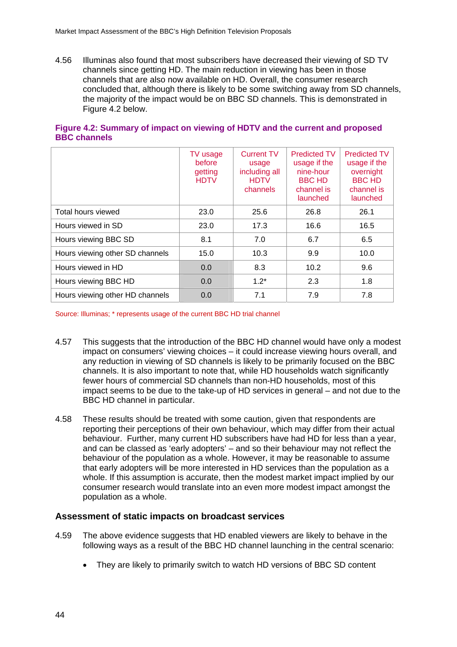4.56 Illuminas also found that most subscribers have decreased their viewing of SD TV channels since getting HD. The main reduction in viewing has been in those channels that are also now available on HD. Overall, the consumer research concluded that, although there is likely to be some switching away from SD channels, the majority of the impact would be on BBC SD channels. This is demonstrated in Figure 4.2 below.

|                                 | TV usage<br><b>before</b><br>getting<br><b>HDTV</b> | <b>Current TV</b><br>usage<br>including all<br><b>HDTV</b><br>channels | <b>Predicted TV</b><br>usage if the<br>nine-hour<br><b>BBC HD</b><br>channel is<br>launched | <b>Predicted TV</b><br>usage if the<br>overnight<br><b>BBC HD</b><br>channel is<br>launched |
|---------------------------------|-----------------------------------------------------|------------------------------------------------------------------------|---------------------------------------------------------------------------------------------|---------------------------------------------------------------------------------------------|
| Total hours viewed              | 23.0                                                | 25.6                                                                   | 26.8                                                                                        | 26.1                                                                                        |
| Hours viewed in SD              | 23.0                                                | 17.3                                                                   | 16.6                                                                                        | 16.5                                                                                        |
| Hours viewing BBC SD            | 8.1                                                 | 7.0                                                                    | 6.7                                                                                         | 6.5                                                                                         |
| Hours viewing other SD channels | 15.0                                                | 10.3                                                                   | 9.9                                                                                         | 10.0                                                                                        |
| Hours viewed in HD              | 0.0                                                 | 8.3                                                                    | 10.2                                                                                        | 9.6                                                                                         |
| Hours viewing BBC HD            | 0.0                                                 | $1.2*$                                                                 | 2.3                                                                                         | 1.8                                                                                         |
| Hours viewing other HD channels | 0.0                                                 | 7.1                                                                    | 7.9                                                                                         | 7.8                                                                                         |

## **Figure 4.2: Summary of impact on viewing of HDTV and the current and proposed BBC channels**

Source: Illuminas; \* represents usage of the current BBC HD trial channel

- 4.57 This suggests that the introduction of the BBC HD channel would have only a modest impact on consumers' viewing choices – it could increase viewing hours overall, and any reduction in viewing of SD channels is likely to be primarily focused on the BBC channels. It is also important to note that, while HD households watch significantly fewer hours of commercial SD channels than non-HD households, most of this impact seems to be due to the take-up of HD services in general – and not due to the BBC HD channel in particular.
- 4.58 These results should be treated with some caution, given that respondents are reporting their perceptions of their own behaviour, which may differ from their actual behaviour. Further, many current HD subscribers have had HD for less than a year, and can be classed as 'early adopters' – and so their behaviour may not reflect the behaviour of the population as a whole. However, it may be reasonable to assume that early adopters will be more interested in HD services than the population as a whole. If this assumption is accurate, then the modest market impact implied by our consumer research would translate into an even more modest impact amongst the population as a whole.

#### **Assessment of static impacts on broadcast services**

- 4.59 The above evidence suggests that HD enabled viewers are likely to behave in the following ways as a result of the BBC HD channel launching in the central scenario:
	- They are likely to primarily switch to watch HD versions of BBC SD content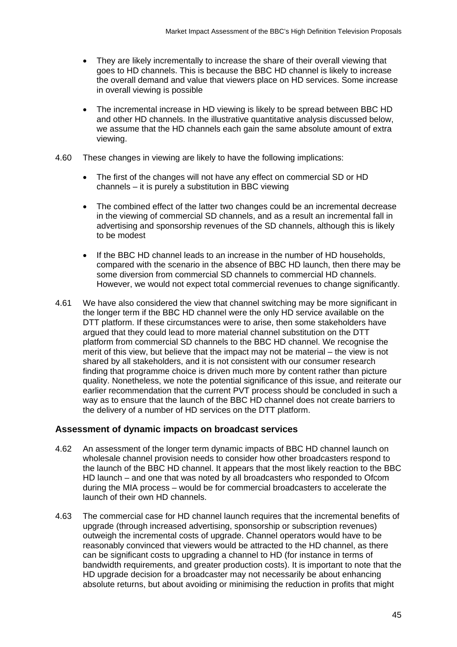- They are likely incrementally to increase the share of their overall viewing that goes to HD channels. This is because the BBC HD channel is likely to increase the overall demand and value that viewers place on HD services. Some increase in overall viewing is possible
- The incremental increase in HD viewing is likely to be spread between BBC HD and other HD channels. In the illustrative quantitative analysis discussed below, we assume that the HD channels each gain the same absolute amount of extra viewing.
- 4.60 These changes in viewing are likely to have the following implications:
	- The first of the changes will not have any effect on commercial SD or HD channels – it is purely a substitution in BBC viewing
	- The combined effect of the latter two changes could be an incremental decrease in the viewing of commercial SD channels, and as a result an incremental fall in advertising and sponsorship revenues of the SD channels, although this is likely to be modest
	- If the BBC HD channel leads to an increase in the number of HD households, compared with the scenario in the absence of BBC HD launch, then there may be some diversion from commercial SD channels to commercial HD channels. However, we would not expect total commercial revenues to change significantly.
- 4.61 We have also considered the view that channel switching may be more significant in the longer term if the BBC HD channel were the only HD service available on the DTT platform. If these circumstances were to arise, then some stakeholders have argued that they could lead to more material channel substitution on the DTT platform from commercial SD channels to the BBC HD channel. We recognise the merit of this view, but believe that the impact may not be material – the view is not shared by all stakeholders, and it is not consistent with our consumer research finding that programme choice is driven much more by content rather than picture quality. Nonetheless, we note the potential significance of this issue, and reiterate our earlier recommendation that the current PVT process should be concluded in such a way as to ensure that the launch of the BBC HD channel does not create barriers to the delivery of a number of HD services on the DTT platform.

## **Assessment of dynamic impacts on broadcast services**

- 4.62 An assessment of the longer term dynamic impacts of BBC HD channel launch on wholesale channel provision needs to consider how other broadcasters respond to the launch of the BBC HD channel. It appears that the most likely reaction to the BBC HD launch – and one that was noted by all broadcasters who responded to Ofcom during the MIA process – would be for commercial broadcasters to accelerate the launch of their own HD channels.
- 4.63 The commercial case for HD channel launch requires that the incremental benefits of upgrade (through increased advertising, sponsorship or subscription revenues) outweigh the incremental costs of upgrade. Channel operators would have to be reasonably convinced that viewers would be attracted to the HD channel, as there can be significant costs to upgrading a channel to HD (for instance in terms of bandwidth requirements, and greater production costs). It is important to note that the HD upgrade decision for a broadcaster may not necessarily be about enhancing absolute returns, but about avoiding or minimising the reduction in profits that might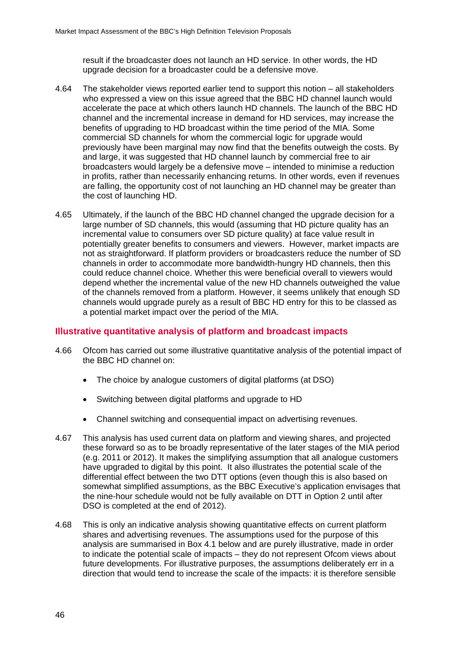result if the broadcaster does not launch an HD service. In other words, the HD upgrade decision for a broadcaster could be a defensive move.

- 4.64 The stakeholder views reported earlier tend to support this notion all stakeholders who expressed a view on this issue agreed that the BBC HD channel launch would accelerate the pace at which others launch HD channels. The launch of the BBC HD channel and the incremental increase in demand for HD services, may increase the benefits of upgrading to HD broadcast within the time period of the MIA. Some commercial SD channels for whom the commercial logic for upgrade would previously have been marginal may now find that the benefits outweigh the costs. By and large, it was suggested that HD channel launch by commercial free to air broadcasters would largely be a defensive move – intended to minimise a reduction in profits, rather than necessarily enhancing returns. In other words, even if revenues are falling, the opportunity cost of not launching an HD channel may be greater than the cost of launching HD.
- 4.65 Ultimately, if the launch of the BBC HD channel changed the upgrade decision for a large number of SD channels, this would (assuming that HD picture quality has an incremental value to consumers over SD picture quality) at face value result in potentially greater benefits to consumers and viewers. However, market impacts are not as straightforward. If platform providers or broadcasters reduce the number of SD channels in order to accommodate more bandwidth-hungry HD channels, then this could reduce channel choice. Whether this were beneficial overall to viewers would depend whether the incremental value of the new HD channels outweighed the value of the channels removed from a platform. However, it seems unlikely that enough SD channels would upgrade purely as a result of BBC HD entry for this to be classed as a potential market impact over the period of the MIA.

## **Illustrative quantitative analysis of platform and broadcast impacts**

- 4.66 Ofcom has carried out some illustrative quantitative analysis of the potential impact of the BBC HD channel on:
	- The choice by analogue customers of digital platforms (at DSO)
	- Switching between digital platforms and upgrade to HD
	- Channel switching and consequential impact on advertising revenues.
- 4.67 This analysis has used current data on platform and viewing shares, and projected these forward so as to be broadly representative of the later stages of the MIA period (e.g. 2011 or 2012). It makes the simplifying assumption that all analogue customers have upgraded to digital by this point. It also illustrates the potential scale of the differential effect between the two DTT options (even though this is also based on somewhat simplified assumptions, as the BBC Executive's application envisages that the nine-hour schedule would not be fully available on DTT in Option 2 until after DSO is completed at the end of 2012).
- 4.68 This is only an indicative analysis showing quantitative effects on current platform shares and advertising revenues. The assumptions used for the purpose of this analysis are summarised in Box 4.1 below and are purely illustrative, made in order to indicate the potential scale of impacts – they do not represent Ofcom views about future developments. For illustrative purposes, the assumptions deliberately err in a direction that would tend to increase the scale of the impacts: it is therefore sensible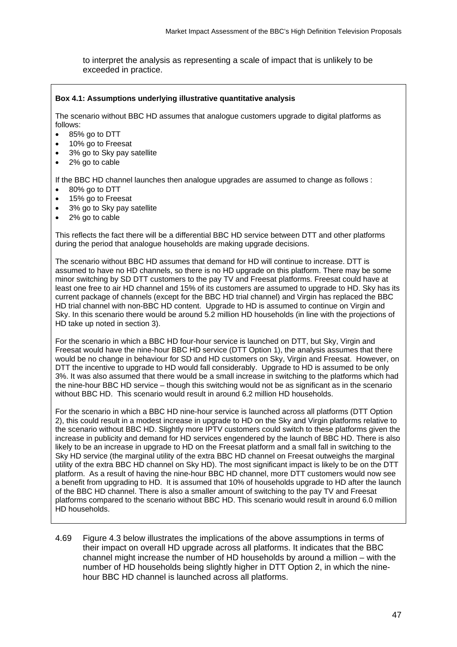to interpret the analysis as representing a scale of impact that is unlikely to be exceeded in practice.

#### **Box 4.1: Assumptions underlying illustrative quantitative analysis**

The scenario without BBC HD assumes that analogue customers upgrade to digital platforms as follows:

- 85% go to DTT
- 10% go to Freesat
- 3% go to Sky pay satellite
- 2% go to cable

If the BBC HD channel launches then analogue upgrades are assumed to change as follows :

- 80% go to DTT
- 15% go to Freesat
- 3% go to Sky pay satellite
- 2% go to cable

This reflects the fact there will be a differential BBC HD service between DTT and other platforms during the period that analogue households are making upgrade decisions.

The scenario without BBC HD assumes that demand for HD will continue to increase. DTT is assumed to have no HD channels, so there is no HD upgrade on this platform. There may be some minor switching by SD DTT customers to the pay TV and Freesat platforms. Freesat could have at least one free to air HD channel and 15% of its customers are assumed to upgrade to HD. Sky has its current package of channels (except for the BBC HD trial channel) and Virgin has replaced the BBC HD trial channel with non-BBC HD content. Upgrade to HD is assumed to continue on Virgin and Sky. In this scenario there would be around 5.2 million HD households (in line with the projections of HD take up noted in section 3).

For the scenario in which a BBC HD four-hour service is launched on DTT, but Sky, Virgin and Freesat would have the nine-hour BBC HD service (DTT Option 1), the analysis assumes that there would be no change in behaviour for SD and HD customers on Sky, Virgin and Freesat. However, on DTT the incentive to upgrade to HD would fall considerably. Upgrade to HD is assumed to be only 3%. It was also assumed that there would be a small increase in switching to the platforms which had the nine-hour BBC HD service – though this switching would not be as significant as in the scenario without BBC HD. This scenario would result in around 6.2 million HD households.

For the scenario in which a BBC HD nine-hour service is launched across all platforms (DTT Option 2), this could result in a modest increase in upgrade to HD on the Sky and Virgin platforms relative to the scenario without BBC HD. Slightly more IPTV customers could switch to these platforms given the increase in publicity and demand for HD services engendered by the launch of BBC HD. There is also likely to be an increase in upgrade to HD on the Freesat platform and a small fall in switching to the Sky HD service (the marginal utility of the extra BBC HD channel on Freesat outweighs the marginal utility of the extra BBC HD channel on Sky HD). The most significant impact is likely to be on the DTT platform. As a result of having the nine-hour BBC HD channel, more DTT customers would now see a benefit from upgrading to HD. It is assumed that 10% of households upgrade to HD after the launch of the BBC HD channel. There is also a smaller amount of switching to the pay TV and Freesat platforms compared to the scenario without BBC HD. This scenario would result in around 6.0 million HD households.

4.69 Figure 4.3 below illustrates the implications of the above assumptions in terms of their impact on overall HD upgrade across all platforms. It indicates that the BBC channel might increase the number of HD households by around a million – with the number of HD households being slightly higher in DTT Option 2, in which the ninehour BBC HD channel is launched across all platforms.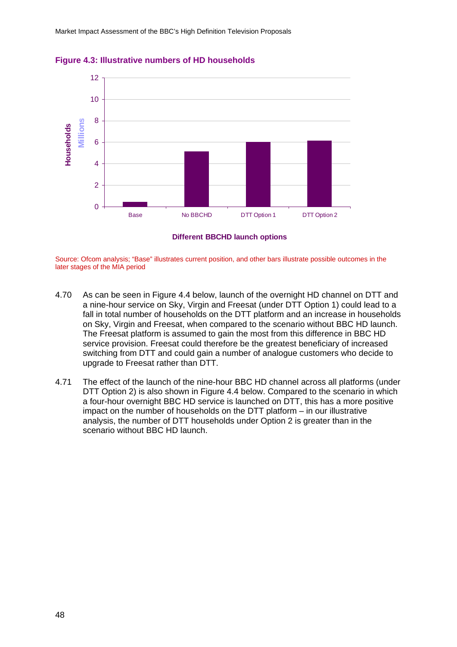



Source: Ofcom analysis; "Base" illustrates current position, and other bars illustrate possible outcomes in the later stages of the MIA period

- 4.70 As can be seen in Figure 4.4 below, launch of the overnight HD channel on DTT and a nine-hour service on Sky, Virgin and Freesat (under DTT Option 1) could lead to a fall in total number of households on the DTT platform and an increase in households on Sky, Virgin and Freesat, when compared to the scenario without BBC HD launch. The Freesat platform is assumed to gain the most from this difference in BBC HD service provision. Freesat could therefore be the greatest beneficiary of increased switching from DTT and could gain a number of analogue customers who decide to upgrade to Freesat rather than DTT.
- 4.71 The effect of the launch of the nine-hour BBC HD channel across all platforms (under DTT Option 2) is also shown in Figure 4.4 below. Compared to the scenario in which a four-hour overnight BBC HD service is launched on DTT, this has a more positive impact on the number of households on the DTT platform – in our illustrative analysis, the number of DTT households under Option 2 is greater than in the scenario without BBC HD launch.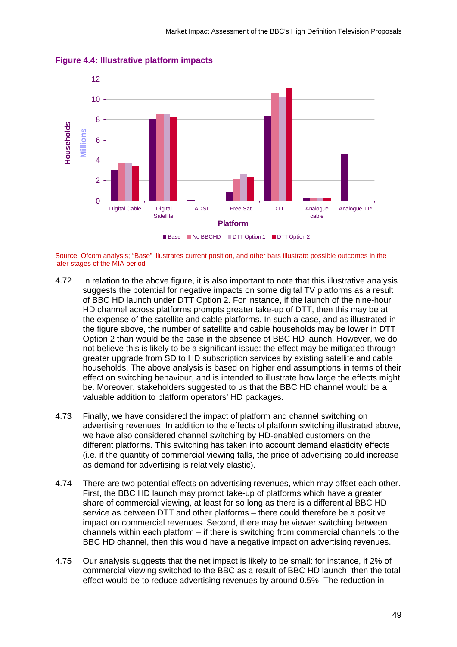

**Figure 4.4: Illustrative platform impacts**

Source: Ofcom analysis; "Base" illustrates current position, and other bars illustrate possible outcomes in the later stages of the MIA period

- 4.72 In relation to the above figure, it is also important to note that this illustrative analysis suggests the potential for negative impacts on some digital TV platforms as a result of BBC HD launch under DTT Option 2. For instance, if the launch of the nine-hour HD channel across platforms prompts greater take-up of DTT, then this may be at the expense of the satellite and cable platforms. In such a case, and as illustrated in the figure above, the number of satellite and cable households may be lower in DTT Option 2 than would be the case in the absence of BBC HD launch. However, we do not believe this is likely to be a significant issue: the effect may be mitigated through greater upgrade from SD to HD subscription services by existing satellite and cable households. The above analysis is based on higher end assumptions in terms of their effect on switching behaviour, and is intended to illustrate how large the effects might be. Moreover, stakeholders suggested to us that the BBC HD channel would be a valuable addition to platform operators' HD packages.
- 4.73 Finally, we have considered the impact of platform and channel switching on advertising revenues. In addition to the effects of platform switching illustrated above, we have also considered channel switching by HD-enabled customers on the different platforms. This switching has taken into account demand elasticity effects (i.e. if the quantity of commercial viewing falls, the price of advertising could increase as demand for advertising is relatively elastic).
- 4.74 There are two potential effects on advertising revenues, which may offset each other. First, the BBC HD launch may prompt take-up of platforms which have a greater share of commercial viewing, at least for so long as there is a differential BBC HD service as between DTT and other platforms – there could therefore be a positive impact on commercial revenues. Second, there may be viewer switching between channels within each platform – if there is switching from commercial channels to the BBC HD channel, then this would have a negative impact on advertising revenues.
- 4.75 Our analysis suggests that the net impact is likely to be small: for instance, if 2% of commercial viewing switched to the BBC as a result of BBC HD launch, then the total effect would be to reduce advertising revenues by around 0.5%. The reduction in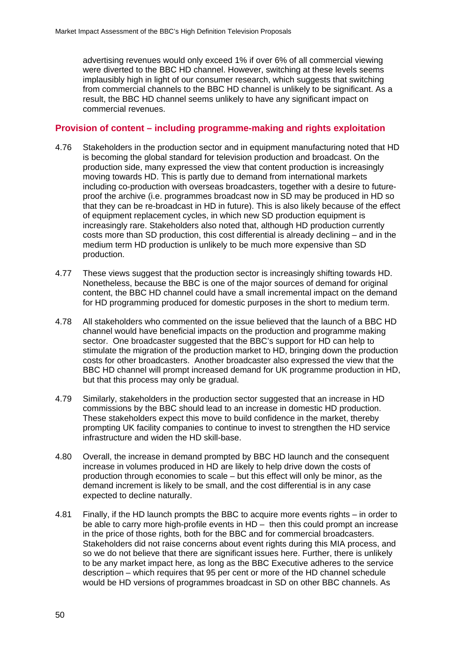advertising revenues would only exceed 1% if over 6% of all commercial viewing were diverted to the BBC HD channel. However, switching at these levels seems implausibly high in light of our consumer research, which suggests that switching from commercial channels to the BBC HD channel is unlikely to be significant. As a result, the BBC HD channel seems unlikely to have any significant impact on commercial revenues.

#### **Provision of content – including programme-making and rights exploitation**

- 4.76 Stakeholders in the production sector and in equipment manufacturing noted that HD is becoming the global standard for television production and broadcast. On the production side, many expressed the view that content production is increasingly moving towards HD. This is partly due to demand from international markets including co-production with overseas broadcasters, together with a desire to futureproof the archive (i.e. programmes broadcast now in SD may be produced in HD so that they can be re-broadcast in HD in future). This is also likely because of the effect of equipment replacement cycles, in which new SD production equipment is increasingly rare. Stakeholders also noted that, although HD production currently costs more than SD production, this cost differential is already declining – and in the medium term HD production is unlikely to be much more expensive than SD production.
- 4.77 These views suggest that the production sector is increasingly shifting towards HD. Nonetheless, because the BBC is one of the major sources of demand for original content, the BBC HD channel could have a small incremental impact on the demand for HD programming produced for domestic purposes in the short to medium term.
- 4.78 All stakeholders who commented on the issue believed that the launch of a BBC HD channel would have beneficial impacts on the production and programme making sector. One broadcaster suggested that the BBC's support for HD can help to stimulate the migration of the production market to HD, bringing down the production costs for other broadcasters. Another broadcaster also expressed the view that the BBC HD channel will prompt increased demand for UK programme production in HD, but that this process may only be gradual.
- 4.79 Similarly, stakeholders in the production sector suggested that an increase in HD commissions by the BBC should lead to an increase in domestic HD production. These stakeholders expect this move to build confidence in the market, thereby prompting UK facility companies to continue to invest to strengthen the HD service infrastructure and widen the HD skill-base.
- 4.80 Overall, the increase in demand prompted by BBC HD launch and the consequent increase in volumes produced in HD are likely to help drive down the costs of production through economies to scale – but this effect will only be minor, as the demand increment is likely to be small, and the cost differential is in any case expected to decline naturally.
- 4.81 Finally, if the HD launch prompts the BBC to acquire more events rights in order to be able to carry more high-profile events in HD – then this could prompt an increase in the price of those rights, both for the BBC and for commercial broadcasters. Stakeholders did not raise concerns about event rights during this MIA process, and so we do not believe that there are significant issues here. Further, there is unlikely to be any market impact here, as long as the BBC Executive adheres to the service description – which requires that 95 per cent or more of the HD channel schedule would be HD versions of programmes broadcast in SD on other BBC channels. As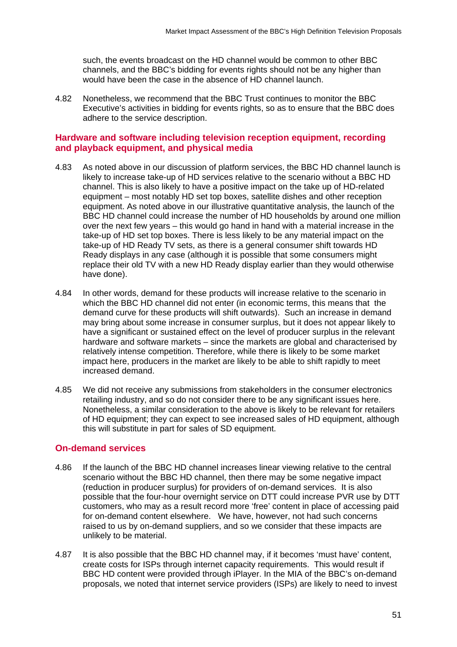such, the events broadcast on the HD channel would be common to other BBC channels, and the BBC's bidding for events rights should not be any higher than would have been the case in the absence of HD channel launch.

4.82 Nonetheless, we recommend that the BBC Trust continues to monitor the BBC Executive's activities in bidding for events rights, so as to ensure that the BBC does adhere to the service description.

## **Hardware and software including television reception equipment, recording and playback equipment, and physical media**

- 4.83 As noted above in our discussion of platform services, the BBC HD channel launch is likely to increase take-up of HD services relative to the scenario without a BBC HD channel. This is also likely to have a positive impact on the take up of HD-related equipment – most notably HD set top boxes, satellite dishes and other reception equipment. As noted above in our illustrative quantitative analysis, the launch of the BBC HD channel could increase the number of HD households by around one million over the next few years – this would go hand in hand with a material increase in the take-up of HD set top boxes. There is less likely to be any material impact on the take-up of HD Ready TV sets, as there is a general consumer shift towards HD Ready displays in any case (although it is possible that some consumers might replace their old TV with a new HD Ready display earlier than they would otherwise have done).
- 4.84 In other words, demand for these products will increase relative to the scenario in which the BBC HD channel did not enter (in economic terms, this means that the demand curve for these products will shift outwards). Such an increase in demand may bring about some increase in consumer surplus, but it does not appear likely to have a significant or sustained effect on the level of producer surplus in the relevant hardware and software markets – since the markets are global and characterised by relatively intense competition. Therefore, while there is likely to be some market impact here, producers in the market are likely to be able to shift rapidly to meet increased demand.
- 4.85 We did not receive any submissions from stakeholders in the consumer electronics retailing industry, and so do not consider there to be any significant issues here. Nonetheless, a similar consideration to the above is likely to be relevant for retailers of HD equipment; they can expect to see increased sales of HD equipment, although this will substitute in part for sales of SD equipment.

## **On-demand services**

- 4.86 If the launch of the BBC HD channel increases linear viewing relative to the central scenario without the BBC HD channel, then there may be some negative impact (reduction in producer surplus) for providers of on-demand services. It is also possible that the four-hour overnight service on DTT could increase PVR use by DTT customers, who may as a result record more 'free' content in place of accessing paid for on-demand content elsewhere. We have, however, not had such concerns raised to us by on-demand suppliers, and so we consider that these impacts are unlikely to be material.
- 4.87 It is also possible that the BBC HD channel may, if it becomes 'must have' content, create costs for ISPs through internet capacity requirements. This would result if BBC HD content were provided through iPlayer. In the MIA of the BBC's on-demand proposals, we noted that internet service providers (ISPs) are likely to need to invest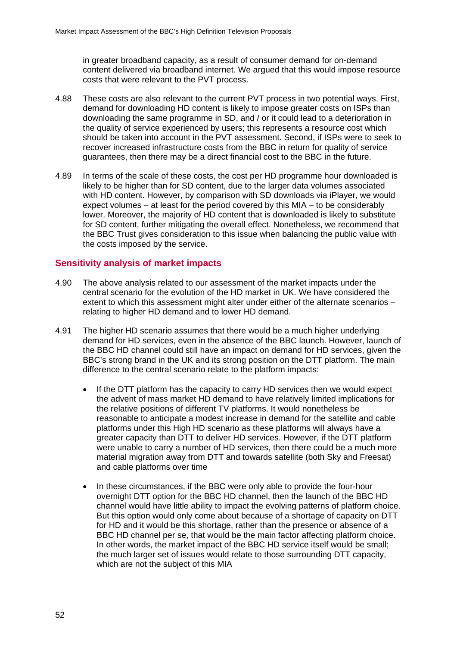in greater broadband capacity, as a result of consumer demand for on-demand content delivered via broadband internet. We argued that this would impose resource costs that were relevant to the PVT process.

- 4.88 These costs are also relevant to the current PVT process in two potential ways. First, demand for downloading HD content is likely to impose greater costs on ISPs than downloading the same programme in SD, and / or it could lead to a deterioration in the quality of service experienced by users; this represents a resource cost which should be taken into account in the PVT assessment. Second, if ISPs were to seek to recover increased infrastructure costs from the BBC in return for quality of service guarantees, then there may be a direct financial cost to the BBC in the future.
- 4.89 In terms of the scale of these costs, the cost per HD programme hour downloaded is likely to be higher than for SD content, due to the larger data volumes associated with HD content. However, by comparison with SD downloads via iPlayer, we would expect volumes – at least for the period covered by this MIA – to be considerably lower. Moreover, the majority of HD content that is downloaded is likely to substitute for SD content, further mitigating the overall effect. Nonetheless, we recommend that the BBC Trust gives consideration to this issue when balancing the public value with the costs imposed by the service.

## **Sensitivity analysis of market impacts**

- 4.90 The above analysis related to our assessment of the market impacts under the central scenario for the evolution of the HD market in UK. We have considered the extent to which this assessment might alter under either of the alternate scenarios – relating to higher HD demand and to lower HD demand.
- 4.91 The higher HD scenario assumes that there would be a much higher underlying demand for HD services, even in the absence of the BBC launch. However, launch of the BBC HD channel could still have an impact on demand for HD services, given the BBC's strong brand in the UK and its strong position on the DTT platform. The main difference to the central scenario relate to the platform impacts:
	- If the DTT platform has the capacity to carry HD services then we would expect the advent of mass market HD demand to have relatively limited implications for the relative positions of different TV platforms. It would nonetheless be reasonable to anticipate a modest increase in demand for the satellite and cable platforms under this High HD scenario as these platforms will always have a greater capacity than DTT to deliver HD services. However, if the DTT platform were unable to carry a number of HD services, then there could be a much more material migration away from DTT and towards satellite (both Sky and Freesat) and cable platforms over time
	- In these circumstances, if the BBC were only able to provide the four-hour overnight DTT option for the BBC HD channel, then the launch of the BBC HD channel would have little ability to impact the evolving patterns of platform choice. But this option would only come about because of a shortage of capacity on DTT for HD and it would be this shortage, rather than the presence or absence of a BBC HD channel per se, that would be the main factor affecting platform choice. In other words, the market impact of the BBC HD service itself would be small; the much larger set of issues would relate to those surrounding DTT capacity, which are not the subject of this MIA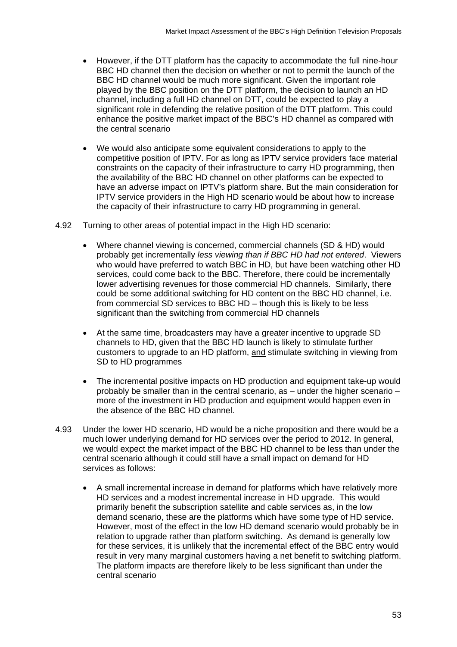- However, if the DTT platform has the capacity to accommodate the full nine-hour BBC HD channel then the decision on whether or not to permit the launch of the BBC HD channel would be much more significant. Given the important role played by the BBC position on the DTT platform, the decision to launch an HD channel, including a full HD channel on DTT, could be expected to play a significant role in defending the relative position of the DTT platform. This could enhance the positive market impact of the BBC's HD channel as compared with the central scenario
- We would also anticipate some equivalent considerations to apply to the competitive position of IPTV. For as long as IPTV service providers face material constraints on the capacity of their infrastructure to carry HD programming, then the availability of the BBC HD channel on other platforms can be expected to have an adverse impact on IPTV's platform share. But the main consideration for IPTV service providers in the High HD scenario would be about how to increase the capacity of their infrastructure to carry HD programming in general.
- 4.92 Turning to other areas of potential impact in the High HD scenario:
	- Where channel viewing is concerned, commercial channels (SD & HD) would probably get incrementally *less viewing than if BBC HD had not entered*. Viewers who would have preferred to watch BBC in HD, but have been watching other HD services, could come back to the BBC. Therefore, there could be incrementally lower advertising revenues for those commercial HD channels. Similarly, there could be some additional switching for HD content on the BBC HD channel, i.e. from commercial SD services to BBC HD – though this is likely to be less significant than the switching from commercial HD channels
	- At the same time, broadcasters may have a greater incentive to upgrade SD channels to HD, given that the BBC HD launch is likely to stimulate further customers to upgrade to an HD platform, and stimulate switching in viewing from SD to HD programmes
	- The incremental positive impacts on HD production and equipment take-up would probably be smaller than in the central scenario, as – under the higher scenario – more of the investment in HD production and equipment would happen even in the absence of the BBC HD channel.
- 4.93 Under the lower HD scenario, HD would be a niche proposition and there would be a much lower underlying demand for HD services over the period to 2012. In general, we would expect the market impact of the BBC HD channel to be less than under the central scenario although it could still have a small impact on demand for HD services as follows:
	- A small incremental increase in demand for platforms which have relatively more HD services and a modest incremental increase in HD upgrade. This would primarily benefit the subscription satellite and cable services as, in the low demand scenario, these are the platforms which have some type of HD service. However, most of the effect in the low HD demand scenario would probably be in relation to upgrade rather than platform switching. As demand is generally low for these services, it is unlikely that the incremental effect of the BBC entry would result in very many marginal customers having a net benefit to switching platform. The platform impacts are therefore likely to be less significant than under the central scenario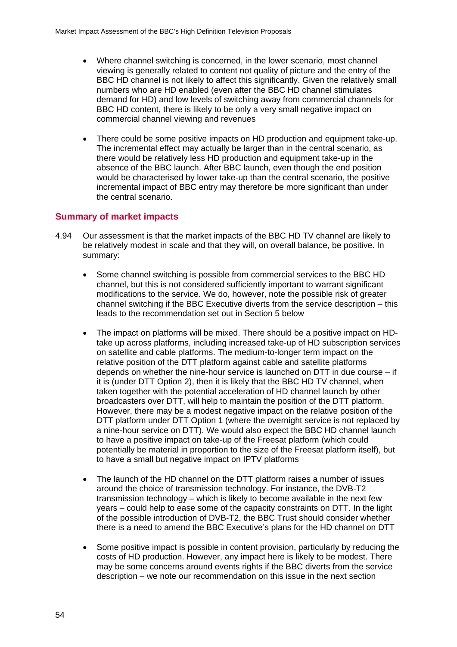- Where channel switching is concerned, in the lower scenario, most channel viewing is generally related to content not quality of picture and the entry of the BBC HD channel is not likely to affect this significantly. Given the relatively small numbers who are HD enabled (even after the BBC HD channel stimulates demand for HD) and low levels of switching away from commercial channels for BBC HD content, there is likely to be only a very small negative impact on commercial channel viewing and revenues
- There could be some positive impacts on HD production and equipment take-up. The incremental effect may actually be larger than in the central scenario, as there would be relatively less HD production and equipment take-up in the absence of the BBC launch. After BBC launch, even though the end position would be characterised by lower take-up than the central scenario, the positive incremental impact of BBC entry may therefore be more significant than under the central scenario.

## **Summary of market impacts**

- 4.94 Our assessment is that the market impacts of the BBC HD TV channel are likely to be relatively modest in scale and that they will, on overall balance, be positive. In summary:
	- Some channel switching is possible from commercial services to the BBC HD channel, but this is not considered sufficiently important to warrant significant modifications to the service. We do, however, note the possible risk of greater channel switching if the BBC Executive diverts from the service description – this leads to the recommendation set out in Section 5 below
	- The impact on platforms will be mixed. There should be a positive impact on HDtake up across platforms, including increased take-up of HD subscription services on satellite and cable platforms. The medium-to-longer term impact on the relative position of the DTT platform against cable and satellite platforms depends on whether the nine-hour service is launched on DTT in due course – if it is (under DTT Option 2), then it is likely that the BBC HD TV channel, when taken together with the potential acceleration of HD channel launch by other broadcasters over DTT, will help to maintain the position of the DTT platform. However, there may be a modest negative impact on the relative position of the DTT platform under DTT Option 1 (where the overnight service is not replaced by a nine-hour service on DTT). We would also expect the BBC HD channel launch to have a positive impact on take-up of the Freesat platform (which could potentially be material in proportion to the size of the Freesat platform itself), but to have a small but negative impact on IPTV platforms
	- The launch of the HD channel on the DTT platform raises a number of issues around the choice of transmission technology. For instance, the DVB-T2 transmission technology – which is likely to become available in the next few years – could help to ease some of the capacity constraints on DTT. In the light of the possible introduction of DVB-T2, the BBC Trust should consider whether there is a need to amend the BBC Executive's plans for the HD channel on DTT
	- Some positive impact is possible in content provision, particularly by reducing the costs of HD production. However, any impact here is likely to be modest. There may be some concerns around events rights if the BBC diverts from the service description – we note our recommendation on this issue in the next section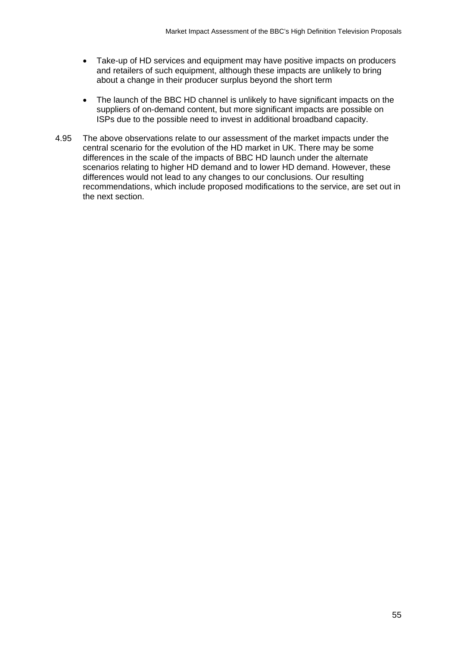- Take-up of HD services and equipment may have positive impacts on producers and retailers of such equipment, although these impacts are unlikely to bring about a change in their producer surplus beyond the short term
- The launch of the BBC HD channel is unlikely to have significant impacts on the suppliers of on-demand content, but more significant impacts are possible on ISPs due to the possible need to invest in additional broadband capacity.
- 4.95 The above observations relate to our assessment of the market impacts under the central scenario for the evolution of the HD market in UK. There may be some differences in the scale of the impacts of BBC HD launch under the alternate scenarios relating to higher HD demand and to lower HD demand. However, these differences would not lead to any changes to our conclusions. Our resulting recommendations, which include proposed modifications to the service, are set out in the next section.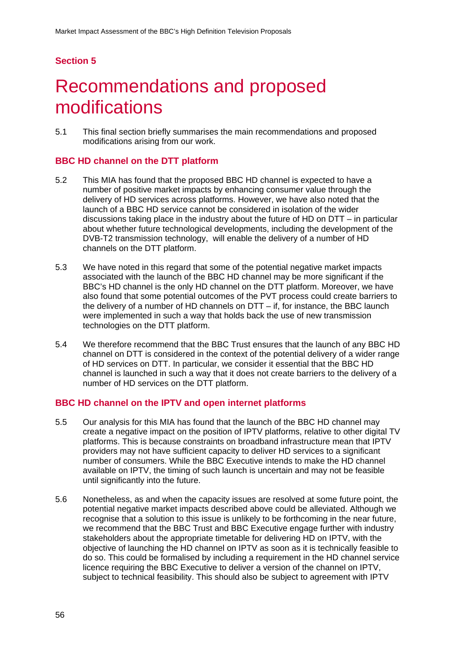# <span id="page-55-0"></span>**Section 5**

# Recommendations and proposed modifications

5.1 This final section briefly summarises the main recommendations and proposed modifications arising from our work.

#### **BBC HD channel on the DTT platform**

- 5.2 This MIA has found that the proposed BBC HD channel is expected to have a number of positive market impacts by enhancing consumer value through the delivery of HD services across platforms. However, we have also noted that the launch of a BBC HD service cannot be considered in isolation of the wider discussions taking place in the industry about the future of HD on DTT – in particular about whether future technological developments, including the development of the DVB-T2 transmission technology, will enable the delivery of a number of HD channels on the DTT platform.
- 5.3 We have noted in this regard that some of the potential negative market impacts associated with the launch of the BBC HD channel may be more significant if the BBC's HD channel is the only HD channel on the DTT platform. Moreover, we have also found that some potential outcomes of the PVT process could create barriers to the delivery of a number of HD channels on DTT – if, for instance, the BBC launch were implemented in such a way that holds back the use of new transmission technologies on the DTT platform.
- 5.4 We therefore recommend that the BBC Trust ensures that the launch of any BBC HD channel on DTT is considered in the context of the potential delivery of a wider range of HD services on DTT. In particular, we consider it essential that the BBC HD channel is launched in such a way that it does not create barriers to the delivery of a number of HD services on the DTT platform.

#### **BBC HD channel on the IPTV and open internet platforms**

- 5.5 Our analysis for this MIA has found that the launch of the BBC HD channel may create a negative impact on the position of IPTV platforms, relative to other digital TV platforms. This is because constraints on broadband infrastructure mean that IPTV providers may not have sufficient capacity to deliver HD services to a significant number of consumers. While the BBC Executive intends to make the HD channel available on IPTV, the timing of such launch is uncertain and may not be feasible until significantly into the future.
- 5.6 Nonetheless, as and when the capacity issues are resolved at some future point, the potential negative market impacts described above could be alleviated. Although we recognise that a solution to this issue is unlikely to be forthcoming in the near future, we recommend that the BBC Trust and BBC Executive engage further with industry stakeholders about the appropriate timetable for delivering HD on IPTV, with the objective of launching the HD channel on IPTV as soon as it is technically feasible to do so. This could be formalised by including a requirement in the HD channel service licence requiring the BBC Executive to deliver a version of the channel on IPTV, subject to technical feasibility. This should also be subject to agreement with IPTV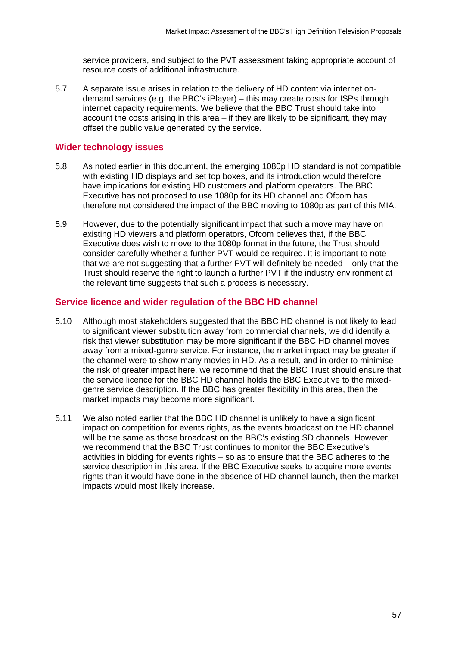service providers, and subject to the PVT assessment taking appropriate account of resource costs of additional infrastructure.

5.7 A separate issue arises in relation to the delivery of HD content via internet ondemand services (e.g. the BBC's iPlayer) – this may create costs for ISPs through internet capacity requirements. We believe that the BBC Trust should take into account the costs arising in this area – if they are likely to be significant, they may offset the public value generated by the service.

#### **Wider technology issues**

- 5.8 As noted earlier in this document, the emerging 1080p HD standard is not compatible with existing HD displays and set top boxes, and its introduction would therefore have implications for existing HD customers and platform operators. The BBC Executive has not proposed to use 1080p for its HD channel and Ofcom has therefore not considered the impact of the BBC moving to 1080p as part of this MIA.
- 5.9 However, due to the potentially significant impact that such a move may have on existing HD viewers and platform operators, Ofcom believes that, if the BBC Executive does wish to move to the 1080p format in the future, the Trust should consider carefully whether a further PVT would be required. It is important to note that we are not suggesting that a further PVT will definitely be needed – only that the Trust should reserve the right to launch a further PVT if the industry environment at the relevant time suggests that such a process is necessary.

#### **Service licence and wider regulation of the BBC HD channel**

- 5.10 Although most stakeholders suggested that the BBC HD channel is not likely to lead to significant viewer substitution away from commercial channels, we did identify a risk that viewer substitution may be more significant if the BBC HD channel moves away from a mixed-genre service. For instance, the market impact may be greater if the channel were to show many movies in HD. As a result, and in order to minimise the risk of greater impact here, we recommend that the BBC Trust should ensure that the service licence for the BBC HD channel holds the BBC Executive to the mixedgenre service description. If the BBC has greater flexibility in this area, then the market impacts may become more significant.
- 5.11 We also noted earlier that the BBC HD channel is unlikely to have a significant impact on competition for events rights, as the events broadcast on the HD channel will be the same as those broadcast on the BBC's existing SD channels. However, we recommend that the BBC Trust continues to monitor the BBC Executive's activities in bidding for events rights – so as to ensure that the BBC adheres to the service description in this area. If the BBC Executive seeks to acquire more events rights than it would have done in the absence of HD channel launch, then the market impacts would most likely increase.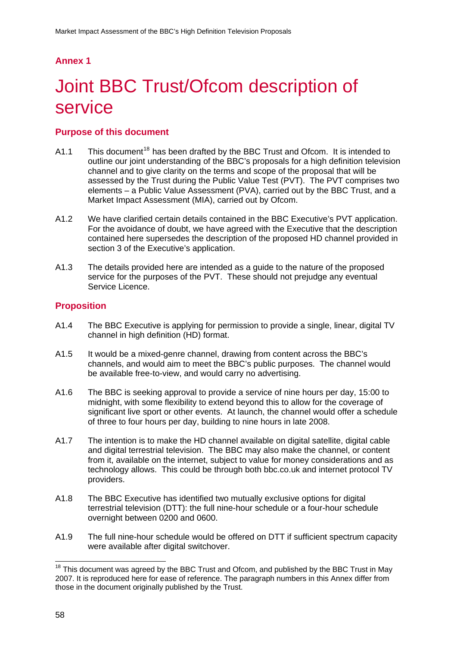# <span id="page-57-0"></span>**Annex 1**

# 1 Joint BBC Trust/Ofcom description of service

## **Purpose of this document**

- A1.1 This document<sup>[18](#page-57-0)</sup> has been drafted by the BBC Trust and Ofcom. It is intended to outline our joint understanding of the BBC's proposals for a high definition television channel and to give clarity on the terms and scope of the proposal that will be assessed by the Trust during the Public Value Test (PVT). The PVT comprises two elements – a Public Value Assessment (PVA), carried out by the BBC Trust, and a Market Impact Assessment (MIA), carried out by Ofcom.
- A1.2 We have clarified certain details contained in the BBC Executive's PVT application. For the avoidance of doubt, we have agreed with the Executive that the description contained here supersedes the description of the proposed HD channel provided in section 3 of the Executive's application.
- A1.3 The details provided here are intended as a guide to the nature of the proposed service for the purposes of the PVT. These should not prejudge any eventual Service Licence.

## **Proposition**

- A1.4 The BBC Executive is applying for permission to provide a single, linear, digital TV channel in high definition (HD) format.
- A1.5 It would be a mixed-genre channel, drawing from content across the BBC's channels, and would aim to meet the BBC's public purposes. The channel would be available free-to-view, and would carry no advertising.
- A1.6 The BBC is seeking approval to provide a service of nine hours per day, 15:00 to midnight, with some flexibility to extend beyond this to allow for the coverage of significant live sport or other events. At launch, the channel would offer a schedule of three to four hours per day, building to nine hours in late 2008.
- A1.7 The intention is to make the HD channel available on digital satellite, digital cable and digital terrestrial television. The BBC may also make the channel, or content from it, available on the internet, subject to value for money considerations and as technology allows. This could be through both bbc.co.uk and internet protocol TV providers.
- A1.8 The BBC Executive has identified two mutually exclusive options for digital terrestrial television (DTT): the full nine-hour schedule or a four-hour schedule overnight between 0200 and 0600.
- A1.9 The full nine-hour schedule would be offered on DTT if sufficient spectrum capacity were available after digital switchover.

<sup>1</sup>  $18$  This document was agreed by the BBC Trust and Ofcom, and published by the BBC Trust in May 2007. It is reproduced here for ease of reference. The paragraph numbers in this Annex differ from those in the document originally published by the Trust.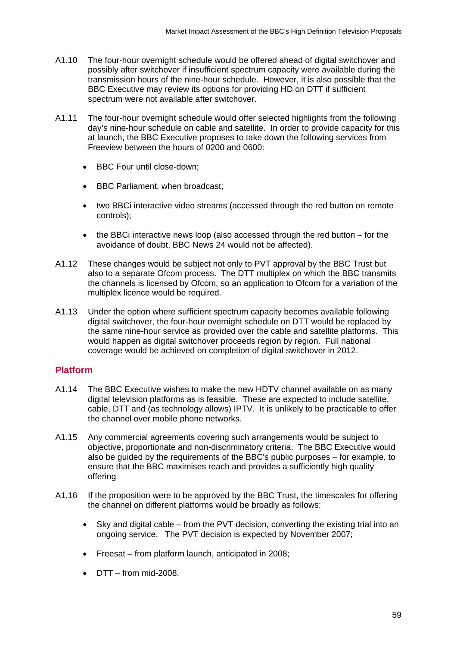- A1.10 The four-hour overnight schedule would be offered ahead of digital switchover and possibly after switchover if insufficient spectrum capacity were available during the transmission hours of the nine-hour schedule. However, it is also possible that the BBC Executive may review its options for providing HD on DTT if sufficient spectrum were not available after switchover.
- A1.11 The four-hour overnight schedule would offer selected highlights from the following day's nine-hour schedule on cable and satellite. In order to provide capacity for this at launch, the BBC Executive proposes to take down the following services from Freeview between the hours of 0200 and 0600:
	- BBC Four until close-down:
	- BBC Parliament, when broadcast;
	- two BBCi interactive video streams (accessed through the red button on remote controls);
	- the BBCi interactive news loop (also accessed through the red button for the avoidance of doubt, BBC News 24 would not be affected).
- A1.12 These changes would be subject not only to PVT approval by the BBC Trust but also to a separate Ofcom process. The DTT multiplex on which the BBC transmits the channels is licensed by Ofcom, so an application to Ofcom for a variation of the multiplex licence would be required.
- A1.13 Under the option where sufficient spectrum capacity becomes available following digital switchover, the four-hour overnight schedule on DTT would be replaced by the same nine-hour service as provided over the cable and satellite platforms. This would happen as digital switchover proceeds region by region. Full national coverage would be achieved on completion of digital switchover in 2012.

## **Platform**

- A1.14 The BBC Executive wishes to make the new HDTV channel available on as many digital television platforms as is feasible. These are expected to include satellite, cable, DTT and (as technology allows) IPTV. It is unlikely to be practicable to offer the channel over mobile phone networks.
- A1.15 Any commercial agreements covering such arrangements would be subject to objective, proportionate and non-discriminatory criteria. The BBC Executive would also be guided by the requirements of the BBC's public purposes – for example, to ensure that the BBC maximises reach and provides a sufficiently high quality offering
- A1.16 If the proposition were to be approved by the BBC Trust, the timescales for offering the channel on different platforms would be broadly as follows:
	- Sky and digital cable from the PVT decision, converting the existing trial into an ongoing service. The PVT decision is expected by November 2007;
	- Freesat from platform launch, anticipated in 2008;
	- DTT from mid-2008.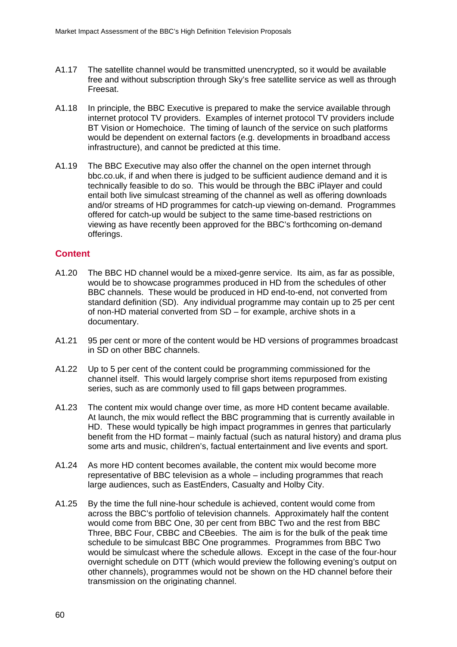- A1.17 The satellite channel would be transmitted unencrypted, so it would be available free and without subscription through Sky's free satellite service as well as through Freesat.
- A1.18 In principle, the BBC Executive is prepared to make the service available through internet protocol TV providers. Examples of internet protocol TV providers include BT Vision or Homechoice. The timing of launch of the service on such platforms would be dependent on external factors (e.g. developments in broadband access infrastructure), and cannot be predicted at this time.
- A1.19 The BBC Executive may also offer the channel on the open internet through bbc.co.uk, if and when there is judged to be sufficient audience demand and it is technically feasible to do so. This would be through the BBC iPlayer and could entail both live simulcast streaming of the channel as well as offering downloads and/or streams of HD programmes for catch-up viewing on-demand. Programmes offered for catch-up would be subject to the same time-based restrictions on viewing as have recently been approved for the BBC's forthcoming on-demand offerings.

## **Content**

- A1.20 The BBC HD channel would be a mixed-genre service. Its aim, as far as possible, would be to showcase programmes produced in HD from the schedules of other BBC channels. These would be produced in HD end-to-end, not converted from standard definition (SD). Any individual programme may contain up to 25 per cent of non-HD material converted from SD – for example, archive shots in a documentary.
- A1.21 95 per cent or more of the content would be HD versions of programmes broadcast in SD on other BBC channels.
- A1.22 Up to 5 per cent of the content could be programming commissioned for the channel itself. This would largely comprise short items repurposed from existing series, such as are commonly used to fill gaps between programmes.
- A1.23 The content mix would change over time, as more HD content became available. At launch, the mix would reflect the BBC programming that is currently available in HD. These would typically be high impact programmes in genres that particularly benefit from the HD format – mainly factual (such as natural history) and drama plus some arts and music, children's, factual entertainment and live events and sport.
- A1.24 As more HD content becomes available, the content mix would become more representative of BBC television as a whole – including programmes that reach large audiences, such as EastEnders, Casualty and Holby City.
- A1.25 By the time the full nine-hour schedule is achieved, content would come from across the BBC's portfolio of television channels. Approximately half the content would come from BBC One, 30 per cent from BBC Two and the rest from BBC Three, BBC Four, CBBC and CBeebies. The aim is for the bulk of the peak time schedule to be simulcast BBC One programmes. Programmes from BBC Two would be simulcast where the schedule allows. Except in the case of the four-hour overnight schedule on DTT (which would preview the following evening's output on other channels), programmes would not be shown on the HD channel before their transmission on the originating channel.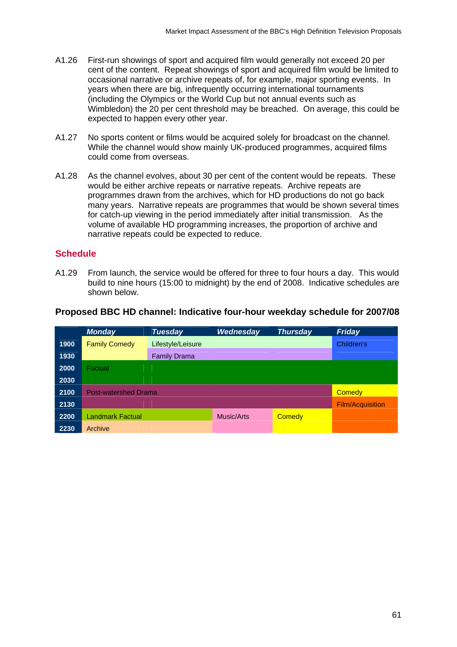- A1.26 First-run showings of sport and acquired film would generally not exceed 20 per cent of the content. Repeat showings of sport and acquired film would be limited to occasional narrative or archive repeats of, for example, major sporting events. In years when there are big, infrequently occurring international tournaments (including the Olympics or the World Cup but not annual events such as Wimbledon) the 20 per cent threshold may be breached. On average, this could be expected to happen every other year.
- A1.27 No sports content or films would be acquired solely for broadcast on the channel. While the channel would show mainly UK-produced programmes, acquired films could come from overseas.
- A1.28 As the channel evolves, about 30 per cent of the content would be repeats. These would be either archive repeats or narrative repeats. Archive repeats are programmes drawn from the archives, which for HD productions do not go back many years. Narrative repeats are programmes that would be shown several times for catch-up viewing in the period immediately after initial transmission. As the volume of available HD programming increases, the proportion of archive and narrative repeats could be expected to reduce.

## **Schedule**

A1.29 From launch, the service would be offered for three to four hours a day. This would build to nine hours (15:00 to midnight) by the end of 2008. Indicative schedules are shown below.

|      | <b>Monday</b>               | <b>Tuesday</b>      | Wednesday  | <b>Thursday</b> | <b>Friday</b>           |
|------|-----------------------------|---------------------|------------|-----------------|-------------------------|
| 1900 | <b>Family Comedy</b>        | Lifestyle/Leisure   |            |                 | Children's              |
| 1930 |                             | <b>Family Drama</b> |            |                 |                         |
| 2000 | Factual                     |                     |            |                 |                         |
| 2030 |                             |                     |            |                 |                         |
| 2100 | <b>Post-watershed Drama</b> |                     |            |                 | <b>Comedy</b>           |
| 2130 |                             |                     |            |                 | <b>Film/Acquisition</b> |
| 2200 | <b>Landmark Factual</b>     |                     | Music/Arts | Comedy          |                         |
| 2230 | Archive                     |                     |            |                 |                         |

#### **Proposed BBC HD channel: Indicative four-hour weekday schedule for 2007/08**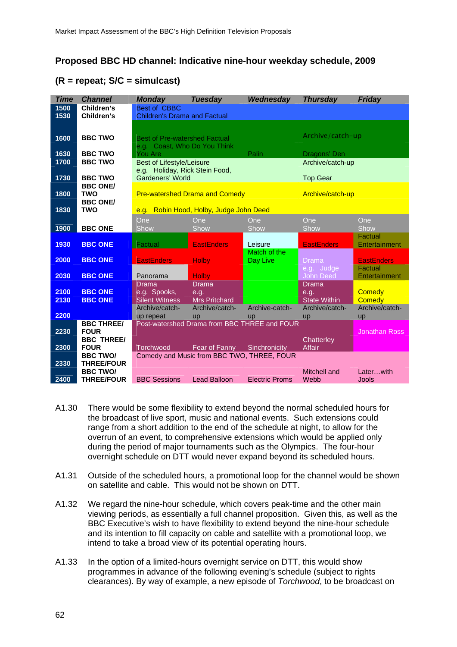## **Proposed BBC HD channel: Indicative nine-hour weekday schedule, 2009**

## **(R = repeat; S/C = simulcast)**

| <b>Time</b> | <b>Channel</b>    | <b>Monday</b>                              | <b>Tuesday</b>                                     | Wednesday             | <b>Thursday</b>                       | <b>Friday</b>            |
|-------------|-------------------|--------------------------------------------|----------------------------------------------------|-----------------------|---------------------------------------|--------------------------|
| 1500        | Children's        | <b>Best of CBBC</b>                        |                                                    |                       |                                       |                          |
| 1530        | Children's        | <b>Children's Drama and Factual</b>        |                                                    |                       |                                       |                          |
|             |                   |                                            |                                                    |                       |                                       |                          |
|             |                   |                                            |                                                    |                       |                                       |                          |
| 1600        | <b>BBC TWO</b>    | <b>Best of Pre-watershed Factual</b>       |                                                    |                       | Archive/catch-up                      |                          |
|             |                   | e.g. Coast, Who Do You Think               |                                                    |                       |                                       |                          |
| 1630        | <b>BBC TWO</b>    | <b>You Are</b>                             |                                                    | Palin                 | Dragons' Den                          |                          |
| 1700        | <b>BBC TWO</b>    | <b>Best of Lifestyle/Leisure</b>           |                                                    |                       | Archive/catch-up                      |                          |
|             |                   | e.g. Holiday, Rick Stein Food,             |                                                    |                       |                                       |                          |
| 1730        | <b>BBC TWO</b>    | Gardeners' World                           |                                                    |                       | <b>Top Gear</b>                       |                          |
|             | <b>BBC ONE/</b>   |                                            |                                                    |                       |                                       |                          |
| 1800        | <b>TWO</b>        |                                            | <b>Pre-watershed Drama and Comedy</b>              |                       | Archive/catch-up                      |                          |
|             | <b>BBC ONE/</b>   |                                            |                                                    |                       |                                       |                          |
| 1830        | <b>TWO</b>        |                                            | e.g. Robin Hood, Holby, Judge John Deed            |                       |                                       |                          |
|             |                   | One                                        | One                                                | One                   | One                                   | One                      |
| 1900        | <b>BBC ONE</b>    | Show                                       | Show                                               | Show                  | Show                                  | Show                     |
|             |                   |                                            |                                                    |                       |                                       | Factual                  |
| 1930        | <b>BBC ONE</b>    | Factual                                    | <b>EastEnders</b>                                  | Leisure               | <b>EastEnders</b>                     | Entertainment            |
|             |                   |                                            |                                                    | Match of the          |                                       |                          |
| 2000        | <b>BBC ONE</b>    | <b>EastEnders</b>                          | <b>Holby</b>                                       | Day Live              | <b>Drama</b>                          | <b>EastEnders</b>        |
|             |                   |                                            |                                                    |                       | e.g. Judge                            | Factual                  |
| 2030        | <b>BBC ONE</b>    | Panorama                                   | <b>Holby</b>                                       |                       | <b>John Deed</b>                      | Entertainment            |
|             |                   | <b>Drama</b>                               | Drama                                              |                       | <b>Drama</b>                          |                          |
| 2100        | <b>BBC ONE</b>    | e.g. Spooks,                               | e.g.                                               |                       | e.g.                                  | Comedy                   |
| 2130        | <b>BBC ONE</b>    | <b>Silent Witness</b>                      | <b>Mrs Pritchard</b><br>Archive/catch-             | Archive-catch-        | <b>State Within</b><br>Archive/catch- | Comedy<br>Archive/catch- |
| 2200        |                   | Archive/catch-<br>up repeat                |                                                    |                       |                                       | <b>up</b>                |
|             | <b>BBC THREE/</b> |                                            | up<br>Post-watershed Drama from BBC THREE and FOUR | up                    | up                                    |                          |
| 2230        | <b>FOUR</b>       |                                            |                                                    |                       |                                       | <b>Jonathan Ross</b>     |
|             | <b>BBC THREE/</b> |                                            |                                                    |                       | Chatterley                            |                          |
| 2300        | <b>FOUR</b>       | Torchwood                                  | Fear of Fanny                                      | Sinchronicity         | <b>Affair</b>                         |                          |
|             | <b>BBC TWO/</b>   | Comedy and Music from BBC TWO, THREE, FOUR |                                                    |                       |                                       |                          |
| 2330        | <b>THREE/FOUR</b> |                                            |                                                    |                       |                                       |                          |
|             | <b>BBC TWO/</b>   |                                            |                                                    |                       | Mitchell and                          | Laterwith                |
| 2400        | <b>THREE/FOUR</b> | <b>BBC Sessions</b>                        | <b>Lead Balloon</b>                                | <b>Electric Proms</b> | Webb                                  | <b>Jools</b>             |
|             |                   |                                            |                                                    |                       |                                       |                          |

- A1.30 There would be some flexibility to extend beyond the normal scheduled hours for the broadcast of live sport, music and national events. Such extensions could range from a short addition to the end of the schedule at night, to allow for the overrun of an event, to comprehensive extensions which would be applied only during the period of major tournaments such as the Olympics. The four-hour overnight schedule on DTT would never expand beyond its scheduled hours.
- A1.31 Outside of the scheduled hours, a promotional loop for the channel would be shown on satellite and cable. This would not be shown on DTT.
- A1.32 We regard the nine-hour schedule, which covers peak-time and the other main viewing periods, as essentially a full channel proposition. Given this, as well as the BBC Executive's wish to have flexibility to extend beyond the nine-hour schedule and its intention to fill capacity on cable and satellite with a promotional loop, we intend to take a broad view of its potential operating hours.
- A1.33 In the option of a limited-hours overnight service on DTT, this would show programmes in advance of the following evening's schedule (subject to rights clearances). By way of example, a new episode of *Torchwood*, to be broadcast on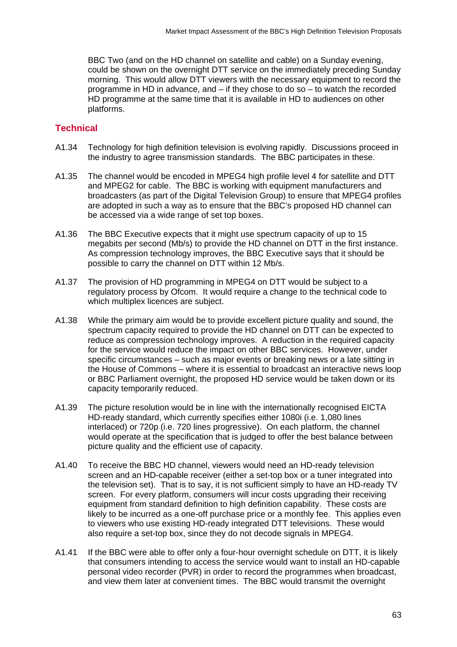BBC Two (and on the HD channel on satellite and cable) on a Sunday evening, could be shown on the overnight DTT service on the immediately preceding Sunday morning. This would allow DTT viewers with the necessary equipment to record the programme in HD in advance, and – if they chose to do so – to watch the recorded HD programme at the same time that it is available in HD to audiences on other platforms.

## **Technical**

- A1.34 Technology for high definition television is evolving rapidly. Discussions proceed in the industry to agree transmission standards. The BBC participates in these.
- A1.35 The channel would be encoded in MPEG4 high profile level 4 for satellite and DTT and MPEG2 for cable. The BBC is working with equipment manufacturers and broadcasters (as part of the Digital Television Group) to ensure that MPEG4 profiles are adopted in such a way as to ensure that the BBC's proposed HD channel can be accessed via a wide range of set top boxes.
- A1.36 The BBC Executive expects that it might use spectrum capacity of up to 15 megabits per second (Mb/s) to provide the HD channel on DTT in the first instance. As compression technology improves, the BBC Executive says that it should be possible to carry the channel on DTT within 12 Mb/s.
- A1.37 The provision of HD programming in MPEG4 on DTT would be subject to a regulatory process by Ofcom. It would require a change to the technical code to which multiplex licences are subject.
- A1.38 While the primary aim would be to provide excellent picture quality and sound, the spectrum capacity required to provide the HD channel on DTT can be expected to reduce as compression technology improves. A reduction in the required capacity for the service would reduce the impact on other BBC services. However, under specific circumstances – such as major events or breaking news or a late sitting in the House of Commons – where it is essential to broadcast an interactive news loop or BBC Parliament overnight, the proposed HD service would be taken down or its capacity temporarily reduced.
- A1.39 The picture resolution would be in line with the internationally recognised EICTA HD-ready standard, which currently specifies either 1080i (i.e. 1,080 lines interlaced) or 720p (i.e. 720 lines progressive). On each platform, the channel would operate at the specification that is judged to offer the best balance between picture quality and the efficient use of capacity.
- A1.40 To receive the BBC HD channel, viewers would need an HD-ready television screen and an HD-capable receiver (either a set-top box or a tuner integrated into the television set). That is to say, it is not sufficient simply to have an HD-ready TV screen. For every platform, consumers will incur costs upgrading their receiving equipment from standard definition to high definition capability. These costs are likely to be incurred as a one-off purchase price or a monthly fee. This applies even to viewers who use existing HD-ready integrated DTT televisions. These would also require a set-top box, since they do not decode signals in MPEG4.
- A1.41 If the BBC were able to offer only a four-hour overnight schedule on DTT, it is likely that consumers intending to access the service would want to install an HD-capable personal video recorder (PVR) in order to record the programmes when broadcast, and view them later at convenient times. The BBC would transmit the overnight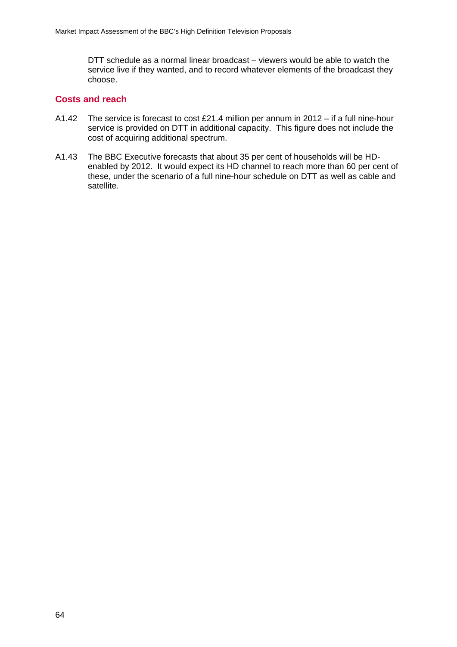DTT schedule as a normal linear broadcast – viewers would be able to watch the service live if they wanted, and to record whatever elements of the broadcast they choose.

## **Costs and reach**

- A1.42 The service is forecast to cost £21.4 million per annum in 2012 if a full nine-hour service is provided on DTT in additional capacity. This figure does not include the cost of acquiring additional spectrum.
- A1.43 The BBC Executive forecasts that about 35 per cent of households will be HDenabled by 2012. It would expect its HD channel to reach more than 60 per cent of these, under the scenario of a full nine-hour schedule on DTT as well as cable and satellite.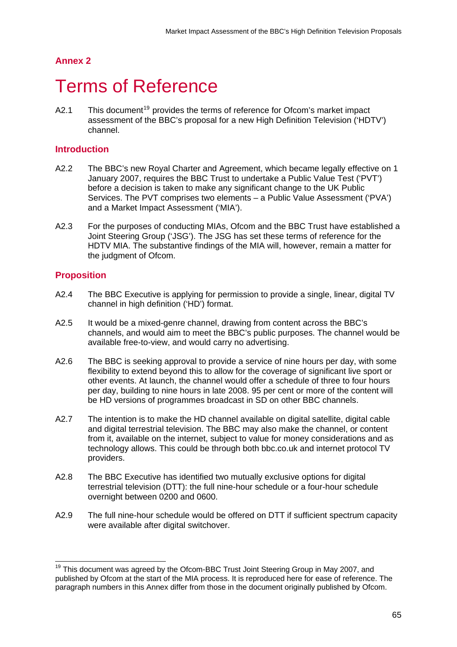## <span id="page-64-0"></span>**Annex 2**

# **Terms of Reference**

A2.1 This document<sup>[19](#page-64-0)</sup> provides the terms of reference for Ofcom's market impact assessment of the BBC's proposal for a new High Definition Television ('HDTV') channel.

#### **Introduction**

- A2.2 The BBC's new Royal Charter and Agreement, which became legally effective on 1 January 2007, requires the BBC Trust to undertake a Public Value Test ('PVT') before a decision is taken to make any significant change to the UK Public Services. The PVT comprises two elements – a Public Value Assessment ('PVA') and a Market Impact Assessment ('MIA').
- A2.3 For the purposes of conducting MIAs, Ofcom and the BBC Trust have established a Joint Steering Group ('JSG'). The JSG has set these terms of reference for the HDTV MIA. The substantive findings of the MIA will, however, remain a matter for the judgment of Ofcom.

## **Proposition**

1

- A2.4 The BBC Executive is applying for permission to provide a single, linear, digital TV channel in high definition ('HD') format.
- A2.5 It would be a mixed-genre channel, drawing from content across the BBC's channels, and would aim to meet the BBC's public purposes. The channel would be available free-to-view, and would carry no advertising.
- A2.6 The BBC is seeking approval to provide a service of nine hours per day, with some flexibility to extend beyond this to allow for the coverage of significant live sport or other events. At launch, the channel would offer a schedule of three to four hours per day, building to nine hours in late 2008. 95 per cent or more of the content will be HD versions of programmes broadcast in SD on other BBC channels.
- A2.7 The intention is to make the HD channel available on digital satellite, digital cable and digital terrestrial television. The BBC may also make the channel, or content from it, available on the internet, subject to value for money considerations and as technology allows. This could be through both bbc.co.uk and internet protocol TV providers.
- A2.8 The BBC Executive has identified two mutually exclusive options for digital terrestrial television (DTT): the full nine-hour schedule or a four-hour schedule overnight between 0200 and 0600.
- A2.9 The full nine-hour schedule would be offered on DTT if sufficient spectrum capacity were available after digital switchover.

<sup>&</sup>lt;sup>19</sup> This document was agreed by the Ofcom-BBC Trust Joint Steering Group in May 2007, and published by Ofcom at the start of the MIA process. It is reproduced here for ease of reference. The paragraph numbers in this Annex differ from those in the document originally published by Ofcom.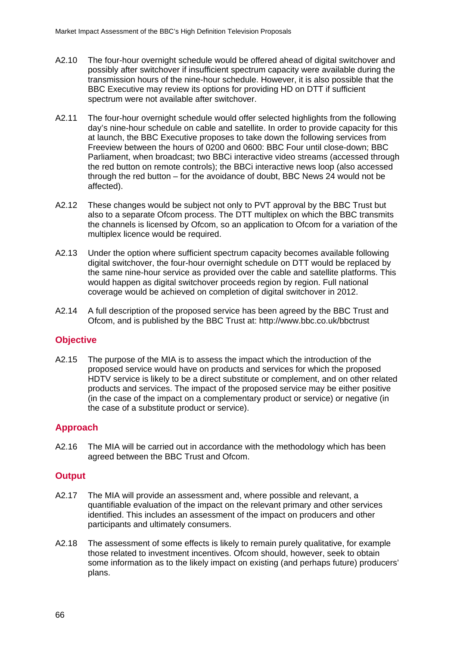- A2.10 The four-hour overnight schedule would be offered ahead of digital switchover and possibly after switchover if insufficient spectrum capacity were available during the transmission hours of the nine-hour schedule. However, it is also possible that the BBC Executive may review its options for providing HD on DTT if sufficient spectrum were not available after switchover.
- A2.11 The four-hour overnight schedule would offer selected highlights from the following day's nine-hour schedule on cable and satellite. In order to provide capacity for this at launch, the BBC Executive proposes to take down the following services from Freeview between the hours of 0200 and 0600: BBC Four until close-down; BBC Parliament, when broadcast; two BBCi interactive video streams (accessed through the red button on remote controls); the BBCi interactive news loop (also accessed through the red button – for the avoidance of doubt, BBC News 24 would not be affected).
- A2.12 These changes would be subject not only to PVT approval by the BBC Trust but also to a separate Ofcom process. The DTT multiplex on which the BBC transmits the channels is licensed by Ofcom, so an application to Ofcom for a variation of the multiplex licence would be required.
- A2.13 Under the option where sufficient spectrum capacity becomes available following digital switchover, the four-hour overnight schedule on DTT would be replaced by the same nine-hour service as provided over the cable and satellite platforms. This would happen as digital switchover proceeds region by region. Full national coverage would be achieved on completion of digital switchover in 2012.
- A2.14 A full description of the proposed service has been agreed by the BBC Trust and Ofcom, and is published by the BBC Trust at: http://www.bbc.co.uk/bbctrust

## **Objective**

A2.15 The purpose of the MIA is to assess the impact which the introduction of the proposed service would have on products and services for which the proposed HDTV service is likely to be a direct substitute or complement, and on other related products and services. The impact of the proposed service may be either positive (in the case of the impact on a complementary product or service) or negative (in the case of a substitute product or service).

## **Approach**

A2.16 The MIA will be carried out in accordance with the methodology which has been agreed between the BBC Trust and Ofcom.

## **Output**

- A2.17 The MIA will provide an assessment and, where possible and relevant, a quantifiable evaluation of the impact on the relevant primary and other services identified. This includes an assessment of the impact on producers and other participants and ultimately consumers.
- A2.18 The assessment of some effects is likely to remain purely qualitative, for example those related to investment incentives. Ofcom should, however, seek to obtain some information as to the likely impact on existing (and perhaps future) producers' plans.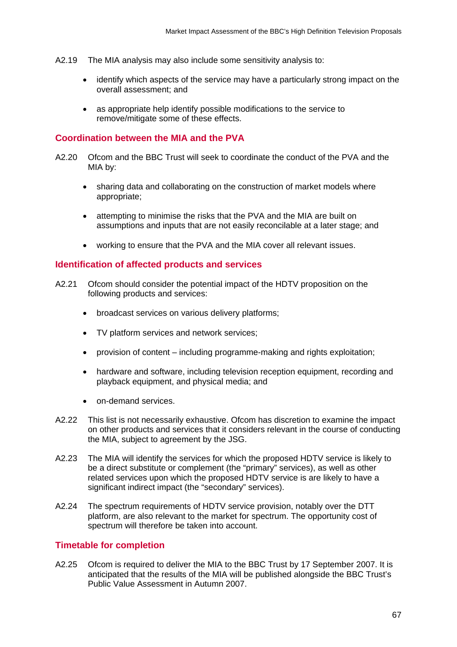- A2.19 The MIA analysis may also include some sensitivity analysis to:
	- identify which aspects of the service may have a particularly strong impact on the overall assessment; and
	- as appropriate help identify possible modifications to the service to remove/mitigate some of these effects.

#### **Coordination between the MIA and the PVA**

- A2.20 Ofcom and the BBC Trust will seek to coordinate the conduct of the PVA and the MIA by:
	- sharing data and collaborating on the construction of market models where appropriate;
	- attempting to minimise the risks that the PVA and the MIA are built on assumptions and inputs that are not easily reconcilable at a later stage; and
	- working to ensure that the PVA and the MIA cover all relevant issues.

#### **Identification of affected products and services**

- A2.21 Ofcom should consider the potential impact of the HDTV proposition on the following products and services:
	- broadcast services on various delivery platforms;
	- TV platform services and network services;
	- provision of content including programme-making and rights exploitation;
	- hardware and software, including television reception equipment, recording and playback equipment, and physical media; and
	- on-demand services.
- A2.22 This list is not necessarily exhaustive. Ofcom has discretion to examine the impact on other products and services that it considers relevant in the course of conducting the MIA, subject to agreement by the JSG.
- A2.23 The MIA will identify the services for which the proposed HDTV service is likely to be a direct substitute or complement (the "primary" services), as well as other related services upon which the proposed HDTV service is are likely to have a significant indirect impact (the "secondary" services).
- A2.24 The spectrum requirements of HDTV service provision, notably over the DTT platform, are also relevant to the market for spectrum. The opportunity cost of spectrum will therefore be taken into account.

#### **Timetable for completion**

A2.25 Ofcom is required to deliver the MIA to the BBC Trust by 17 September 2007. It is anticipated that the results of the MIA will be published alongside the BBC Trust's Public Value Assessment in Autumn 2007.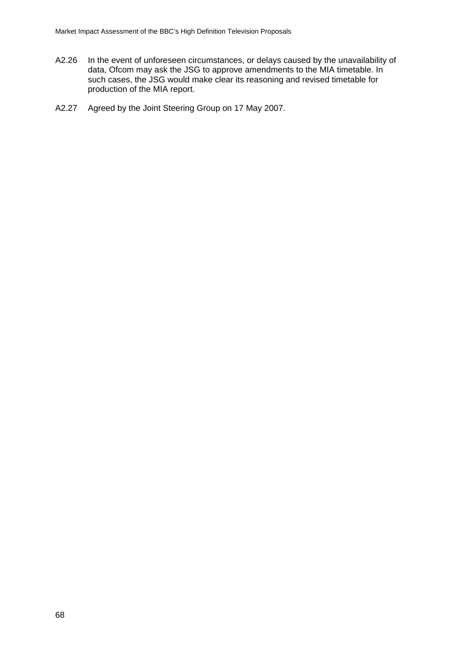- A2.26 In the event of unforeseen circumstances, or delays caused by the unavailability of data, Ofcom may ask the JSG to approve amendments to the MIA timetable. In such cases, the JSG would make clear its reasoning and revised timetable for production of the MIA report.
- A2.27 Agreed by the Joint Steering Group on 17 May 2007.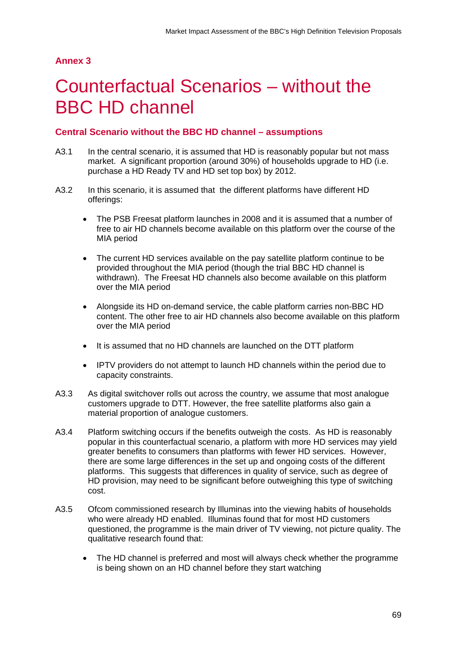# <span id="page-68-0"></span>**Annex 3**

# Counterfactual Scenarios – without the BBC HD channel

## **Central Scenario without the BBC HD channel – assumptions**

- A3.1 In the central scenario, it is assumed that HD is reasonably popular but not mass market. A significant proportion (around 30%) of households upgrade to HD (i.e. purchase a HD Ready TV and HD set top box) by 2012.
- A3.2 In this scenario, it is assumed that the different platforms have different HD offerings:
	- The PSB Freesat platform launches in 2008 and it is assumed that a number of free to air HD channels become available on this platform over the course of the MIA period
	- The current HD services available on the pay satellite platform continue to be provided throughout the MIA period (though the trial BBC HD channel is withdrawn). The Freesat HD channels also become available on this platform over the MIA period
	- Alongside its HD on-demand service, the cable platform carries non-BBC HD content. The other free to air HD channels also become available on this platform over the MIA period
	- It is assumed that no HD channels are launched on the DTT platform
	- IPTV providers do not attempt to launch HD channels within the period due to capacity constraints.
- A3.3 As digital switchover rolls out across the country, we assume that most analogue customers upgrade to DTT. However, the free satellite platforms also gain a material proportion of analogue customers.
- A3.4 Platform switching occurs if the benefits outweigh the costs. As HD is reasonably popular in this counterfactual scenario, a platform with more HD services may yield greater benefits to consumers than platforms with fewer HD services. However, there are some large differences in the set up and ongoing costs of the different platforms. This suggests that differences in quality of service, such as degree of HD provision, may need to be significant before outweighing this type of switching cost.
- A3.5 Ofcom commissioned research by Illuminas into the viewing habits of households who were already HD enabled. Illuminas found that for most HD customers questioned, the programme is the main driver of TV viewing, not picture quality. The qualitative research found that:
	- The HD channel is preferred and most will always check whether the programme is being shown on an HD channel before they start watching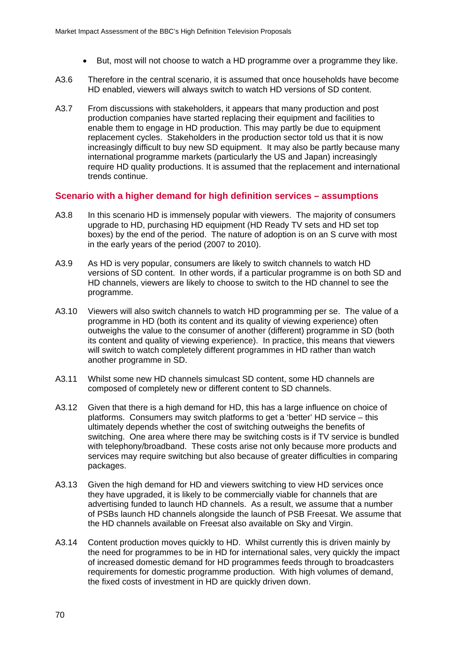- But, most will not choose to watch a HD programme over a programme they like.
- A3.6 Therefore in the central scenario, it is assumed that once households have become HD enabled, viewers will always switch to watch HD versions of SD content.
- A3.7 From discussions with stakeholders, it appears that many production and post production companies have started replacing their equipment and facilities to enable them to engage in HD production. This may partly be due to equipment replacement cycles. Stakeholders in the production sector told us that it is now increasingly difficult to buy new SD equipment. It may also be partly because many international programme markets (particularly the US and Japan) increasingly require HD quality productions. It is assumed that the replacement and international trends continue.

#### **Scenario with a higher demand for high definition services – assumptions**

- A3.8 In this scenario HD is immensely popular with viewers. The majority of consumers upgrade to HD, purchasing HD equipment (HD Ready TV sets and HD set top boxes) by the end of the period. The nature of adoption is on an S curve with most in the early years of the period (2007 to 2010).
- A3.9 As HD is very popular, consumers are likely to switch channels to watch HD versions of SD content. In other words, if a particular programme is on both SD and HD channels, viewers are likely to choose to switch to the HD channel to see the programme.
- A3.10 Viewers will also switch channels to watch HD programming per se. The value of a programme in HD (both its content and its quality of viewing experience) often outweighs the value to the consumer of another (different) programme in SD (both its content and quality of viewing experience). In practice, this means that viewers will switch to watch completely different programmes in HD rather than watch another programme in SD.
- A3.11 Whilst some new HD channels simulcast SD content, some HD channels are composed of completely new or different content to SD channels.
- A3.12 Given that there is a high demand for HD, this has a large influence on choice of platforms. Consumers may switch platforms to get a 'better' HD service – this ultimately depends whether the cost of switching outweighs the benefits of switching. One area where there may be switching costs is if TV service is bundled with telephony/broadband. These costs arise not only because more products and services may require switching but also because of greater difficulties in comparing packages.
- A3.13 Given the high demand for HD and viewers switching to view HD services once they have upgraded, it is likely to be commercially viable for channels that are advertising funded to launch HD channels. As a result, we assume that a number of PSBs launch HD channels alongside the launch of PSB Freesat. We assume that the HD channels available on Freesat also available on Sky and Virgin.
- A3.14 Content production moves quickly to HD. Whilst currently this is driven mainly by the need for programmes to be in HD for international sales, very quickly the impact of increased domestic demand for HD programmes feeds through to broadcasters requirements for domestic programme production. With high volumes of demand, the fixed costs of investment in HD are quickly driven down.